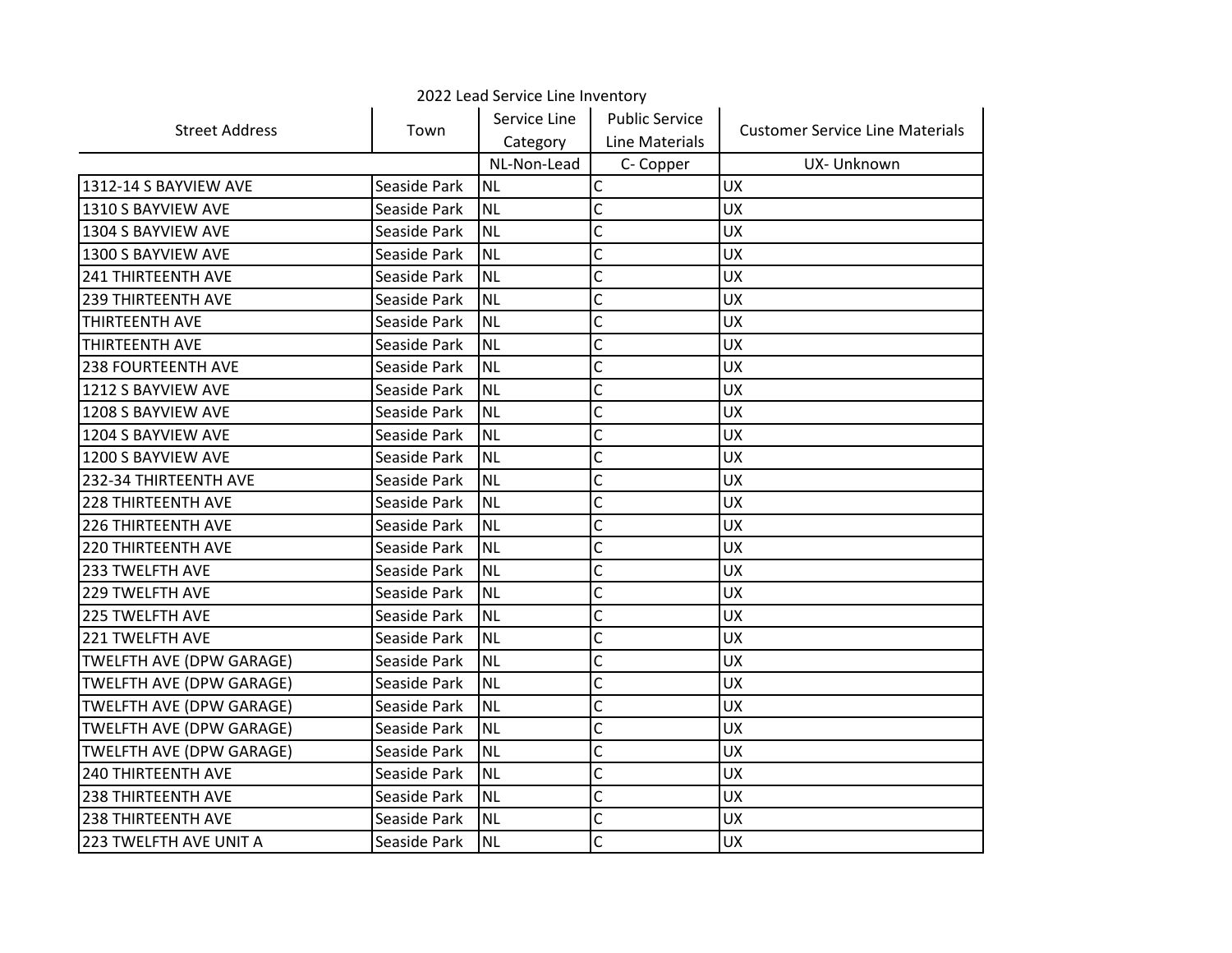| 2022 Lead Service Line Inventory |              |              |                       |                                        |  |
|----------------------------------|--------------|--------------|-----------------------|----------------------------------------|--|
| <b>Street Address</b>            | Town         | Service Line | <b>Public Service</b> | <b>Customer Service Line Materials</b> |  |
|                                  |              | Category     | Line Materials        |                                        |  |
|                                  |              | NL-Non-Lead  | C- Copper             | UX- Unknown                            |  |
| 1312-14 S BAYVIEW AVE            | Seaside Park | <b>NL</b>    | Ċ                     | <b>UX</b>                              |  |
| 1310 S BAYVIEW AVE               | Seaside Park | <b>NL</b>    | Ċ                     | UX                                     |  |
| 1304 S BAYVIEW AVE               | Seaside Park | <b>NL</b>    | Ċ                     | <b>UX</b>                              |  |
| 1300 S BAYVIEW AVE               | Seaside Park | <b>NL</b>    | Ċ                     | <b>UX</b>                              |  |
| 241 THIRTEENTH AVE               | Seaside Park | <b>NL</b>    | C                     | <b>UX</b>                              |  |
| <b>239 THIRTEENTH AVE</b>        | Seaside Park | <b>NL</b>    | C                     | <b>UX</b>                              |  |
| <b>THIRTEENTH AVE</b>            | Seaside Park | <b>NL</b>    | Ċ                     | <b>UX</b>                              |  |
| ITHIRTEENTH AVE                  | Seaside Park | <b>NL</b>    | C                     | <b>UX</b>                              |  |
| <b>238 FOURTEENTH AVE</b>        | Seaside Park | <b>NL</b>    | Ċ                     | <b>UX</b>                              |  |
| 1212 S BAYVIEW AVE               | Seaside Park | <b>NL</b>    | Ċ                     | <b>UX</b>                              |  |
| 1208 S BAYVIEW AVE               | Seaside Park | <b>NL</b>    | C                     | UX                                     |  |
| 1204 S BAYVIEW AVE               | Seaside Park | <b>NL</b>    | C                     | <b>UX</b>                              |  |
| 1200 S BAYVIEW AVE               | Seaside Park | <b>NL</b>    | C                     | <b>UX</b>                              |  |
| 232-34 THIRTEENTH AVE            | Seaside Park | <b>NL</b>    | C                     | <b>UX</b>                              |  |
| <b>228 THIRTEENTH AVE</b>        | Seaside Park | <b>NL</b>    | C                     | <b>UX</b>                              |  |
| <b>226 THIRTEENTH AVE</b>        | Seaside Park | <b>NL</b>    | Ċ                     | <b>UX</b>                              |  |
| <b>220 THIRTEENTH AVE</b>        | Seaside Park | <b>NL</b>    | C                     | <b>UX</b>                              |  |
| 233 TWELFTH AVE                  | Seaside Park | <b>NL</b>    | Ċ                     | <b>UX</b>                              |  |
| 229 TWELFTH AVE                  | Seaside Park | <b>NL</b>    | Ċ                     | <b>UX</b>                              |  |
| 225 TWELFTH AVE                  | Seaside Park | <b>NL</b>    | C                     | <b>UX</b>                              |  |
| <b>221 TWELFTH AVE</b>           | Seaside Park | <b>NL</b>    | C                     | <b>UX</b>                              |  |
| TWELFTH AVE (DPW GARAGE)         | Seaside Park | NL           | Ċ                     | <b>UX</b>                              |  |
| <b>TWELFTH AVE (DPW GARAGE)</b>  | Seaside Park | <b>NL</b>    | Ċ                     | <b>UX</b>                              |  |
| <b>TWELFTH AVE (DPW GARAGE)</b>  | Seaside Park | <b>NL</b>    | Ċ                     | <b>UX</b>                              |  |
| <b>TWELFTH AVE (DPW GARAGE)</b>  | Seaside Park | <b>NL</b>    | Ċ                     | <b>UX</b>                              |  |
| <b>TWELFTH AVE (DPW GARAGE)</b>  | Seaside Park | <b>NL</b>    | Ċ                     | <b>UX</b>                              |  |
| <b>240 THIRTEENTH AVE</b>        | Seaside Park | <b>NL</b>    | C                     | <b>UX</b>                              |  |
| <b>238 THIRTEENTH AVE</b>        | Seaside Park | <b>NL</b>    | C                     | <b>UX</b>                              |  |
| 238 THIRTEENTH AVE               | Seaside Park | <b>NL</b>    | C                     | <b>UX</b>                              |  |
| 223 TWELFTH AVE UNIT A           | Seaside Park | <b>NL</b>    | $\mathsf{C}$          | <b>UX</b>                              |  |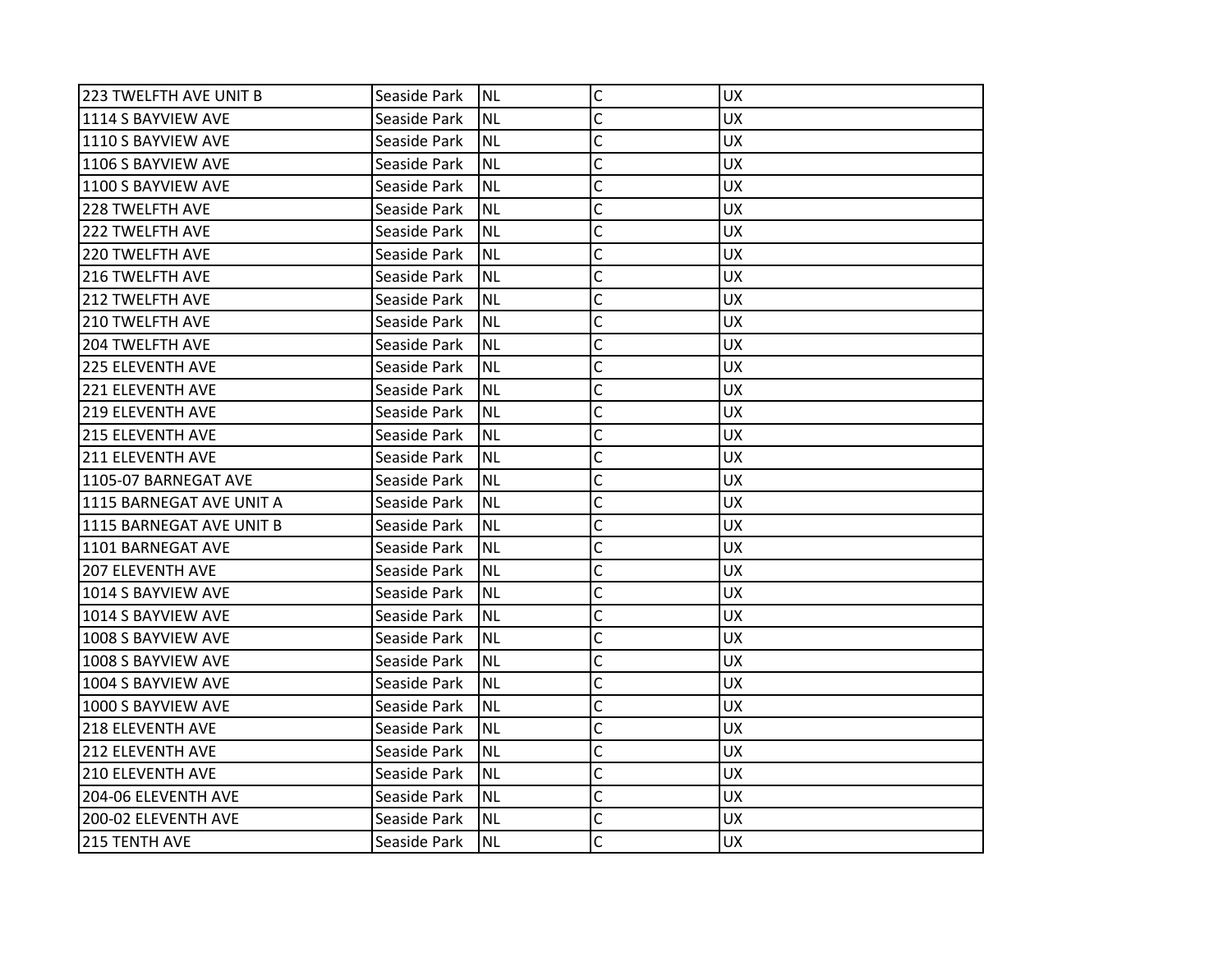| 223 TWELFTH AVE UNIT B    | Seaside Park | <b>NL</b> | C            | UX.       |
|---------------------------|--------------|-----------|--------------|-----------|
| 1114 S BAYVIEW AVE        | Seaside Park | <b>NL</b> | C            | <b>UX</b> |
| 1110 S BAYVIEW AVE        | Seaside Park | <b>NL</b> | C            | <b>UX</b> |
| 1106 S BAYVIEW AVE        | Seaside Park | <b>NL</b> | Ċ            | <b>UX</b> |
| 1100 S BAYVIEW AVE        | Seaside Park | <b>NL</b> | C            | <b>UX</b> |
| 1228 TWELFTH AVE          | Seaside Park | <b>NL</b> | C            | UX        |
| 222 TWELFTH AVE           | Seaside Park | <b>NL</b> | Ċ            | <b>UX</b> |
| <b>220 TWELFTH AVE</b>    | Seaside Park | <b>NL</b> | C            | <b>UX</b> |
| 216 TWELFTH AVE           | Seaside Park | <b>NL</b> | C            | <b>UX</b> |
| <b>212 TWELFTH AVE</b>    | Seaside Park | <b>NL</b> | C            | <b>UX</b> |
| 1210 TWELFTH AVE          | Seaside Park | <b>NL</b> | Ċ            | UX        |
| <b>204 TWELFTH AVE</b>    | Seaside Park | <b>NL</b> | C            | <b>UX</b> |
| <b>225 ELEVENTH AVE</b>   | Seaside Park | <b>NL</b> | C            | <b>UX</b> |
| <b>221 ELEVENTH AVE</b>   | Seaside Park | <b>NL</b> | C            | <b>UX</b> |
| 219 ELEVENTH AVE          | Seaside Park | <b>NL</b> | C            | <b>UX</b> |
| 1215 ELEVENTH AVE         | Seaside Park | NL        | Ċ            | <b>UX</b> |
| 211 ELEVENTH AVE          | Seaside Park | <b>NL</b> | C            | <b>UX</b> |
| 1105-07 BARNEGAT AVE      | Seaside Park | <b>NL</b> | Ċ            | <b>UX</b> |
| l1115 BARNEGAT AVE UNIT A | Seaside Park | <b>NL</b> | C            | <b>UX</b> |
| 1115 BARNEGAT AVE UNIT B  | Seaside Park | <b>NL</b> | C            | <b>UX</b> |
| 1101 BARNEGAT AVE         | Seaside Park | <b>NL</b> | C            | <b>UX</b> |
| <b>207 ELEVENTH AVE</b>   | Seaside Park | <b>NL</b> | C            | <b>UX</b> |
| 1014 S BAYVIEW AVE        | Seaside Park | <b>NL</b> | C            | <b>UX</b> |
| 1014 S BAYVIEW AVE        | Seaside Park | <b>NL</b> | C            | <b>UX</b> |
| 1008 S BAYVIEW AVE        | Seaside Park | <b>NL</b> | C            | <b>UX</b> |
| 1008 S BAYVIEW AVE        | Seaside Park | <b>NL</b> | C            | <b>UX</b> |
| 1004 S BAYVIEW AVE        | Seaside Park | <b>NL</b> | C            | <b>UX</b> |
| 1000 S BAYVIEW AVE        | Seaside Park | <b>NL</b> | C            | <b>UX</b> |
| <b>218 ELEVENTH AVE</b>   | Seaside Park | <b>NL</b> | C            | <b>UX</b> |
| 1212 ELEVENTH AVE         | Seaside Park | <b>NL</b> | $\mathsf{C}$ | <b>UX</b> |
| <b>210 ELEVENTH AVE</b>   | Seaside Park | <b>NL</b> | $\mathsf{C}$ | <b>UX</b> |
| 204-06 ELEVENTH AVE       | Seaside Park | <b>NL</b> | Ċ            | UX        |
| 200-02 ELEVENTH AVE       | Seaside Park | <b>NL</b> | C            | <b>UX</b> |
| 215 TENTH AVE             | Seaside Park | <b>NL</b> | Ċ            | <b>UX</b> |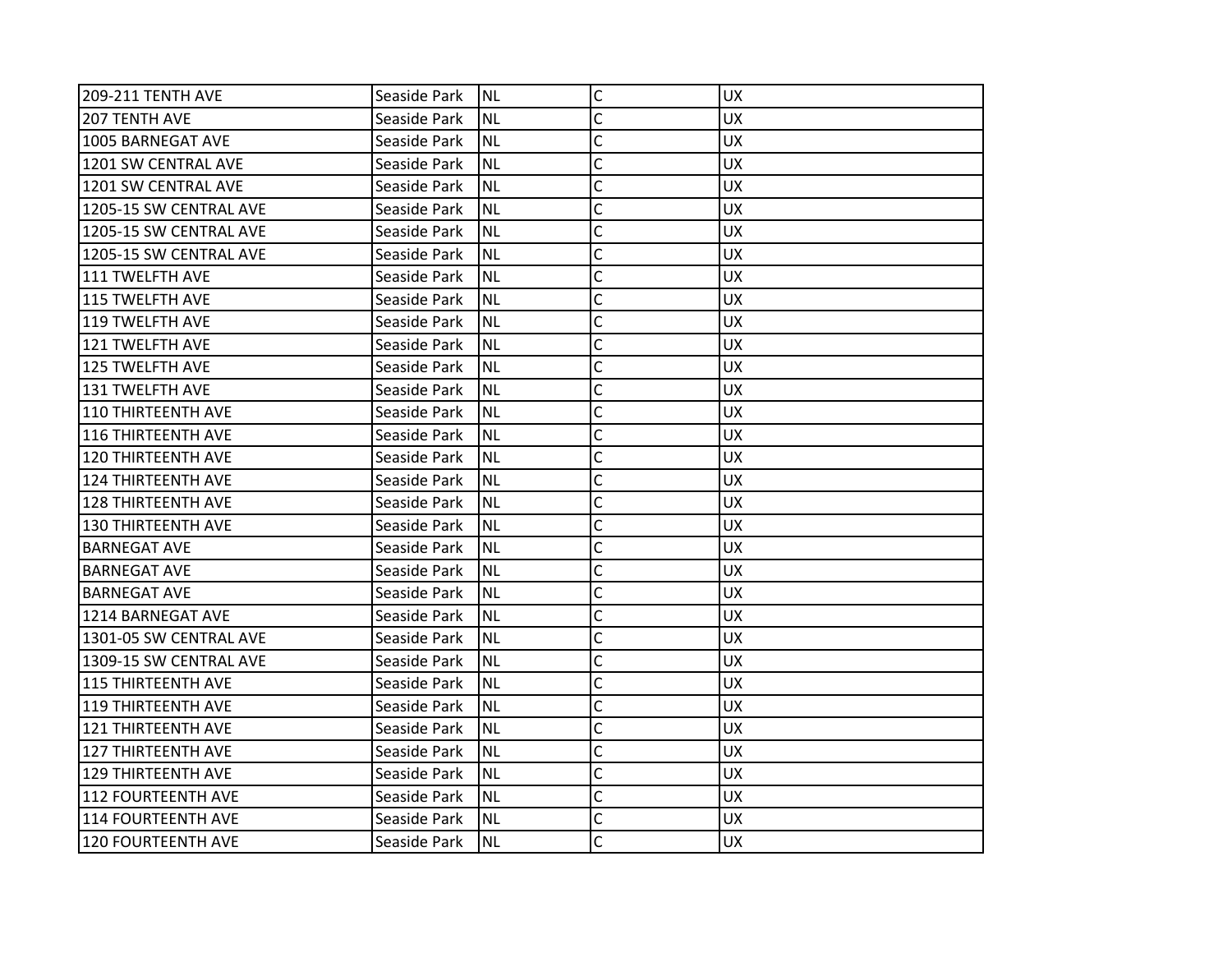| <b>209-211 TENTH AVE</b>  | Seaside Park | <b>NL</b> | $\mathsf{C}$   | <b>UX</b> |
|---------------------------|--------------|-----------|----------------|-----------|
| <b>207 TENTH AVE</b>      | Seaside Park | <b>NL</b> | C              | <b>UX</b> |
| 1005 BARNEGAT AVE         | Seaside Park | <b>NL</b> | C              | <b>UX</b> |
| 1201 SW CENTRAL AVE       | Seaside Park | <b>NL</b> | C              | <b>UX</b> |
| 1201 SW CENTRAL AVE       | Seaside Park | <b>NL</b> | $\mathsf{C}$   | <b>UX</b> |
| 1205-15 SW CENTRAL AVE    | Seaside Park | <b>NL</b> | $\overline{C}$ | UX        |
| 1205-15 SW CENTRAL AVE    | Seaside Park | <b>NL</b> | C              | <b>UX</b> |
| 1205-15 SW CENTRAL AVE    | Seaside Park | <b>NL</b> | C              | <b>UX</b> |
| 111 TWELFTH AVE           | Seaside Park | <b>NL</b> | C              | <b>UX</b> |
| 115 TWELFTH AVE           | Seaside Park | <b>NL</b> | $\overline{C}$ | <b>UX</b> |
| 119 TWELFTH AVE           | Seaside Park | <b>NL</b> | C              | <b>UX</b> |
| 121 TWELFTH AVE           | Seaside Park | <b>NL</b> | C              | <b>UX</b> |
| 125 TWELFTH AVE           | Seaside Park | <b>NL</b> | C              | <b>UX</b> |
| 131 TWELFTH AVE           | Seaside Park | <b>NL</b> | C              | <b>UX</b> |
| 110 THIRTEENTH AVE        | Seaside Park | <b>NL</b> | C              | <b>UX</b> |
| 116 THIRTEENTH AVE        | Seaside Park | <b>NL</b> | C              | <b>UX</b> |
| 120 THIRTEENTH AVE        | Seaside Park | <b>NL</b> | Ċ              | <b>UX</b> |
| 124 THIRTEENTH AVE        | Seaside Park | <b>NL</b> | C              | <b>UX</b> |
| 128 THIRTEENTH AVE        | Seaside Park | <b>NL</b> | C              | <b>UX</b> |
| <b>130 THIRTEENTH AVE</b> | Seaside Park | <b>NL</b> | C              | <b>UX</b> |
| <b>BARNEGAT AVE</b>       | Seaside Park | <b>NL</b> | $\overline{C}$ | <b>UX</b> |
| <b>BARNEGAT AVE</b>       | Seaside Park | <b>NL</b> | C              | <b>UX</b> |
| <b>BARNEGAT AVE</b>       | Seaside Park | <b>NL</b> | C              | <b>UX</b> |
| 1214 BARNEGAT AVE         | Seaside Park | <b>NL</b> | C              | <b>UX</b> |
| 1301-05 SW CENTRAL AVE    | Seaside Park | <b>NL</b> | C              | <b>UX</b> |
| 1309-15 SW CENTRAL AVE    | Seaside Park | <b>NL</b> | C              | <b>UX</b> |
| <b>115 THIRTEENTH AVE</b> | Seaside Park | <b>NL</b> | C              | <b>UX</b> |
| 119 THIRTEENTH AVE        | Seaside Park | <b>NL</b> | C              | <b>UX</b> |
| 121 THIRTEENTH AVE        | Seaside Park | <b>NL</b> | $\overline{C}$ | <b>UX</b> |
| 127 THIRTEENTH AVE        | Seaside Park | <b>NL</b> | $\mathsf{C}$   | <b>UX</b> |
| <b>129 THIRTEENTH AVE</b> | Seaside Park | <b>NL</b> | $\mathsf{C}$   | <b>UX</b> |
| 112 FOURTEENTH AVE        | Seaside Park | <b>NL</b> | Ċ              | <b>UX</b> |
| 114 FOURTEENTH AVE        | Seaside Park | <b>NL</b> | C              | <b>UX</b> |
| 120 FOURTEENTH AVE        | Seaside Park | <b>NL</b> | Ċ              | <b>UX</b> |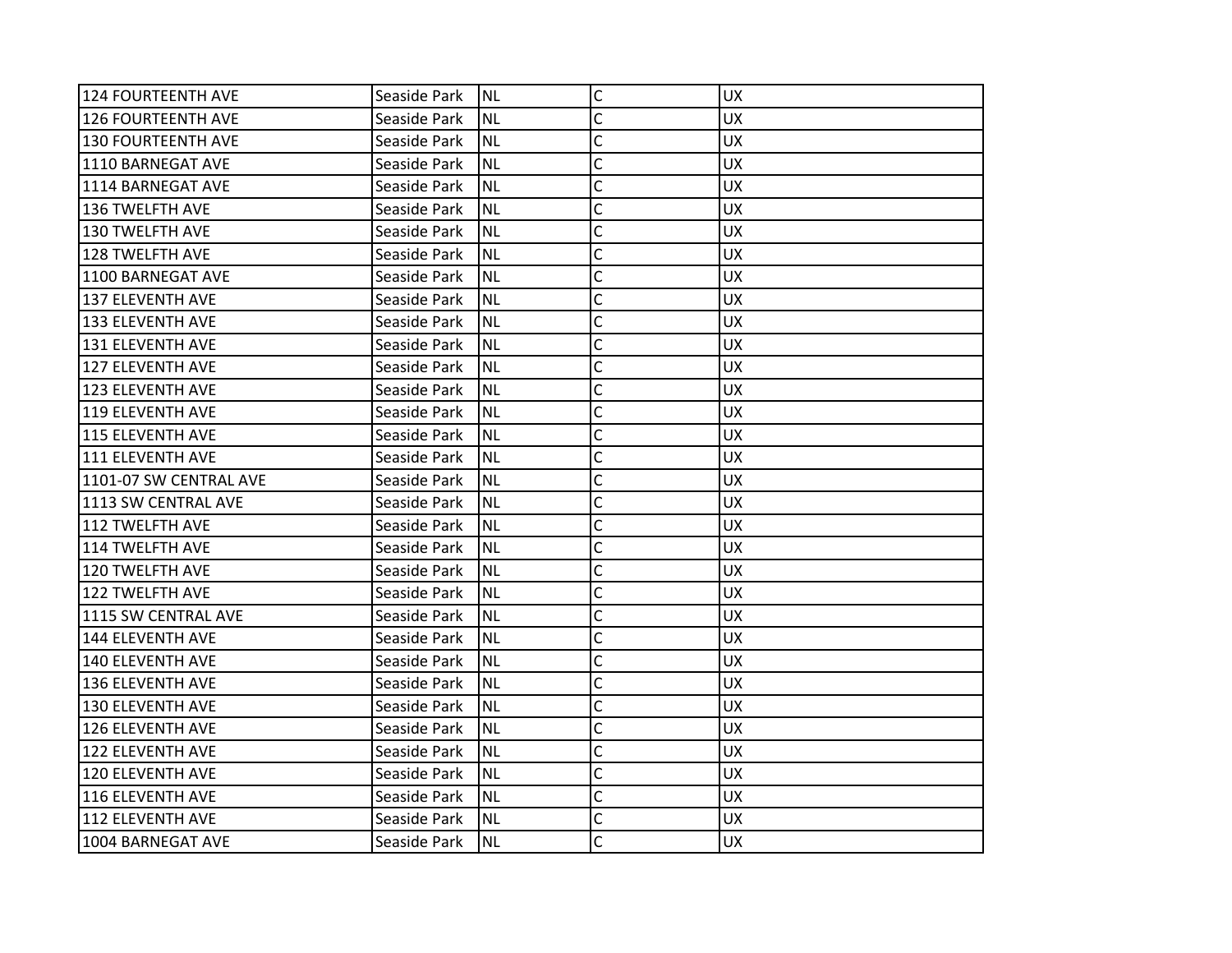| 124 FOURTEENTH AVE     | Seaside Park | <b>NL</b> | C              | <b>UX</b> |
|------------------------|--------------|-----------|----------------|-----------|
| 126 FOURTEENTH AVE     | Seaside Park | <b>NL</b> | C              | <b>UX</b> |
| 130 FOURTEENTH AVE     | Seaside Park | ΝL        | C              | <b>UX</b> |
| 1110 BARNEGAT AVE      | Seaside Park | <b>NL</b> | C              | <b>UX</b> |
| 1114 BARNEGAT AVE      | Seaside Park | <b>NL</b> | C              | <b>UX</b> |
| 136 TWELFTH AVE        | Seaside Park | ΝL        | C              | <b>UX</b> |
| 130 TWELFTH AVE        | Seaside Park | <b>NL</b> | C              | <b>UX</b> |
| 128 TWELFTH AVE        | Seaside Park | ΝL        | Ċ              | <b>UX</b> |
| 1100 BARNEGAT AVE      | Seaside Park | <b>NL</b> | C              | <b>UX</b> |
| 137 ELEVENTH AVE       | Seaside Park | <b>NL</b> | $\overline{C}$ | <b>UX</b> |
| 133 ELEVENTH AVE       | Seaside Park | NL        | C              | <b>UX</b> |
| 131 ELEVENTH AVE       | Seaside Park | NL        | C              | <b>UX</b> |
| 127 ELEVENTH AVE       | Seaside Park | ΝL        | C              | <b>UX</b> |
| 123 ELEVENTH AVE       | Seaside Park | <b>NL</b> | C              | <b>UX</b> |
| 119 ELEVENTH AVE       | Seaside Park | <b>NL</b> | C              | <b>UX</b> |
| 115 ELEVENTH AVE       | Seaside Park | ΝL        | C              | UX.       |
| 1111 ELEVENTH AVE      | Seaside Park | NL        | Ċ              | <b>UX</b> |
| 1101-07 SW CENTRAL AVE | Seaside Park | ΝL        | C              | <b>UX</b> |
| 1113 SW CENTRAL AVE    | Seaside Park | ΝL        | C              | <b>UX</b> |
| 112 TWELFTH AVE        | Seaside Park | <b>NL</b> | $\overline{C}$ | <b>UX</b> |
| 114 TWELFTH AVE        | Seaside Park | ΝL        | C              | UX.       |
| 120 TWELFTH AVE        | Seaside Park | <b>NL</b> | C              | <b>UX</b> |
| 122 TWELFTH AVE        | Seaside Park | ΝL        | C              | <b>UX</b> |
| 1115 SW CENTRAL AVE    | Seaside Park | ΝL        | C              | <b>UX</b> |
| 144 ELEVENTH AVE       | Seaside Park | <b>NL</b> | C              | <b>UX</b> |
| 140 ELEVENTH AVE       | Seaside Park | ΝL        | C              | <b>UX</b> |
| 136 ELEVENTH AVE       | Seaside Park | NL        | C              | <b>UX</b> |
| 130 ELEVENTH AVE       | Seaside Park | <b>NL</b> | C              | <b>UX</b> |
| 126 ELEVENTH AVE       | Seaside Park | <b>NL</b> | C              | <b>UX</b> |
| l122 ELEVENTH AVE      | Seaside Park | <b>NL</b> | C              | <b>UX</b> |
| 120 ELEVENTH AVE       | Seaside Park | NL        | C              | UX.       |
| 116 ELEVENTH AVE       | Seaside Park | <b>NL</b> | C              | <b>UX</b> |
| 112 ELEVENTH AVE       | Seaside Park | <b>NL</b> | C              | <b>UX</b> |
| 1004 BARNEGAT AVE      | Seaside Park | <b>NL</b> | Ċ              | <b>UX</b> |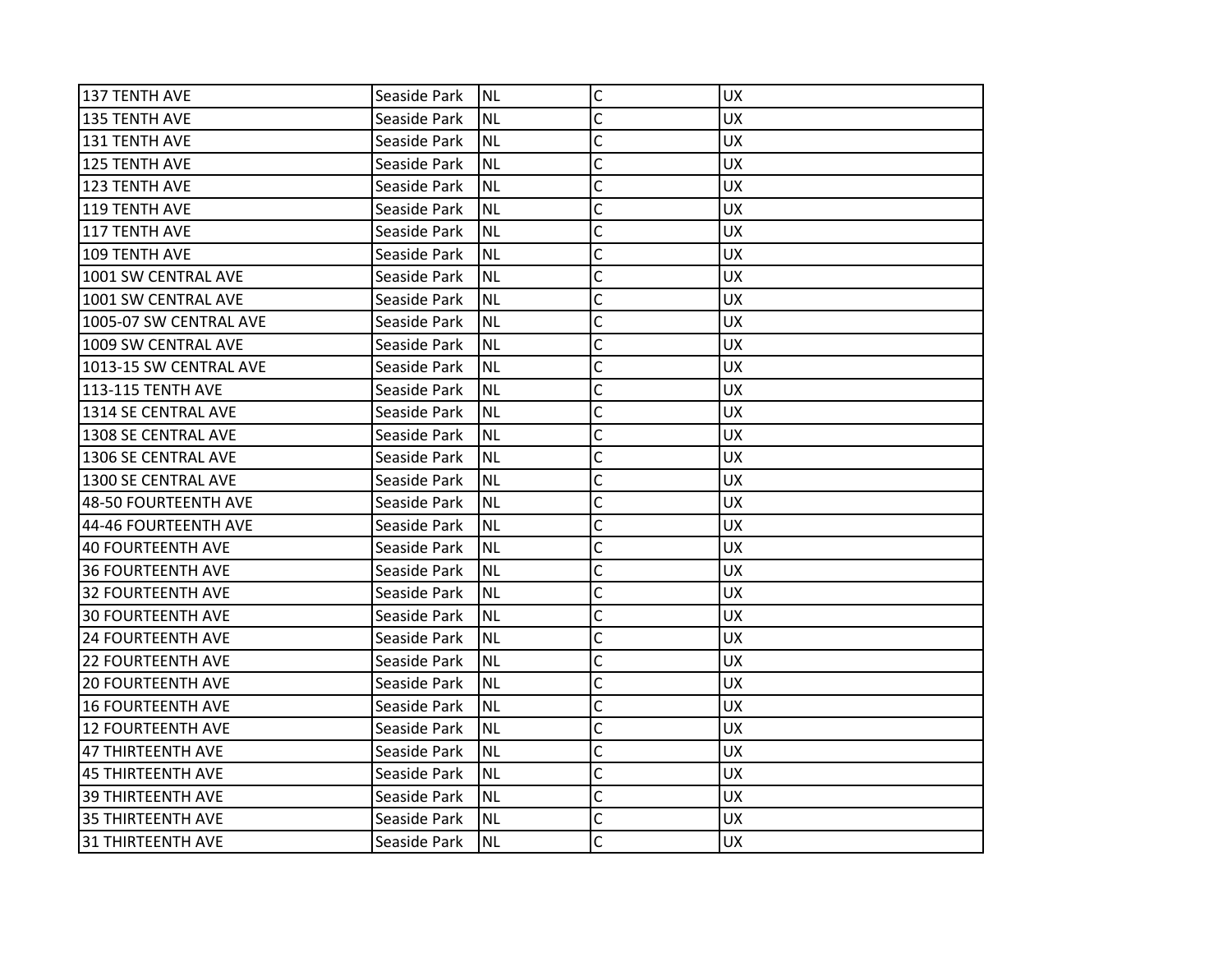| 137 TENTH AVE            | Seaside Park | INL       | $\mathsf C$  | <b>UX</b> |
|--------------------------|--------------|-----------|--------------|-----------|
| 135 TENTH AVE            | Seaside Park | <b>NL</b> | C            | <b>UX</b> |
| 131 TENTH AVE            | Seaside Park | <b>NL</b> | C            | <b>UX</b> |
| 125 TENTH AVE            | Seaside Park | <b>NL</b> | C            | <b>UX</b> |
| 123 TENTH AVE            | Seaside Park | <b>NL</b> | Ċ            | <b>UX</b> |
| 119 TENTH AVE            | Seaside Park | <b>NL</b> | C            | UX        |
| 117 TENTH AVE            | Seaside Park | <b>NL</b> | Ċ            | <b>UX</b> |
| 109 TENTH AVE            | Seaside Park | <b>NL</b> | C            | <b>UX</b> |
| 1001 SW CENTRAL AVE      | Seaside Park | <b>NL</b> | C            | <b>UX</b> |
| 1001 SW CENTRAL AVE      | Seaside Park | <b>NL</b> | Ċ            | <b>UX</b> |
| 1005-07 SW CENTRAL AVE   | Seaside Park | <b>NL</b> | C            | <b>UX</b> |
| 1009 SW CENTRAL AVE      | Seaside Park | <b>NL</b> | Ċ            | <b>UX</b> |
| 1013-15 SW CENTRAL AVE   | Seaside Park | <b>NL</b> | C            | <b>UX</b> |
| <b>113-115 TENTH AVE</b> | Seaside Park | <b>NL</b> | Ċ            | <b>UX</b> |
| 1314 SE CENTRAL AVE      | Seaside Park | <b>NL</b> | Ċ            | <b>UX</b> |
| 1308 SE CENTRAL AVE      | Seaside Park | <b>NL</b> | C            | <b>UX</b> |
| 1306 SE CENTRAL AVE      | Seaside Park | <b>NL</b> | C            | <b>UX</b> |
| 1300 SE CENTRAL AVE      | Seaside Park | <b>NL</b> | C            | <b>UX</b> |
| 48-50 FOURTEENTH AVE     | Seaside Park | <b>NL</b> | C            | <b>UX</b> |
| 44-46 FOURTEENTH AVE     | Seaside Park | <b>NL</b> | C            | <b>UX</b> |
| 40 FOURTEENTH AVE        | Seaside Park | <b>NL</b> | C            | <b>UX</b> |
| <b>36 FOURTEENTH AVE</b> | Seaside Park | <b>NL</b> | C            | <b>UX</b> |
| <b>32 FOURTEENTH AVE</b> | Seaside Park | <b>NL</b> | Ċ            | <b>UX</b> |
| <b>30 FOURTEENTH AVE</b> | Seaside Park | <b>NL</b> | C            | <b>UX</b> |
| <b>24 FOURTEENTH AVE</b> | Seaside Park | <b>NL</b> | C            | UX        |
| <b>22 FOURTEENTH AVE</b> | Seaside Park | <b>NL</b> | C            | <b>UX</b> |
| <b>20 FOURTEENTH AVE</b> | Seaside Park | <b>NL</b> | C            | <b>UX</b> |
| <b>16 FOURTEENTH AVE</b> | Seaside Park | <b>NL</b> | C            | <b>UX</b> |
| <b>12 FOURTEENTH AVE</b> | Seaside Park | <b>NL</b> | C            | <b>UX</b> |
| 47 THIRTEENTH AVE        | Seaside Park | <b>NL</b> | C            | <b>UX</b> |
| 45 THIRTEENTH AVE        | Seaside Park | <b>NL</b> | C            | <b>UX</b> |
| <b>39 THIRTEENTH AVE</b> | Seaside Park | <b>NL</b> | $\mathsf{C}$ | <b>UX</b> |
| <b>35 THIRTEENTH AVE</b> | Seaside Park | <b>NL</b> | C            | <b>UX</b> |
| 31 THIRTEENTH AVE        | Seaside Park | INL       | Ċ            | <b>UX</b> |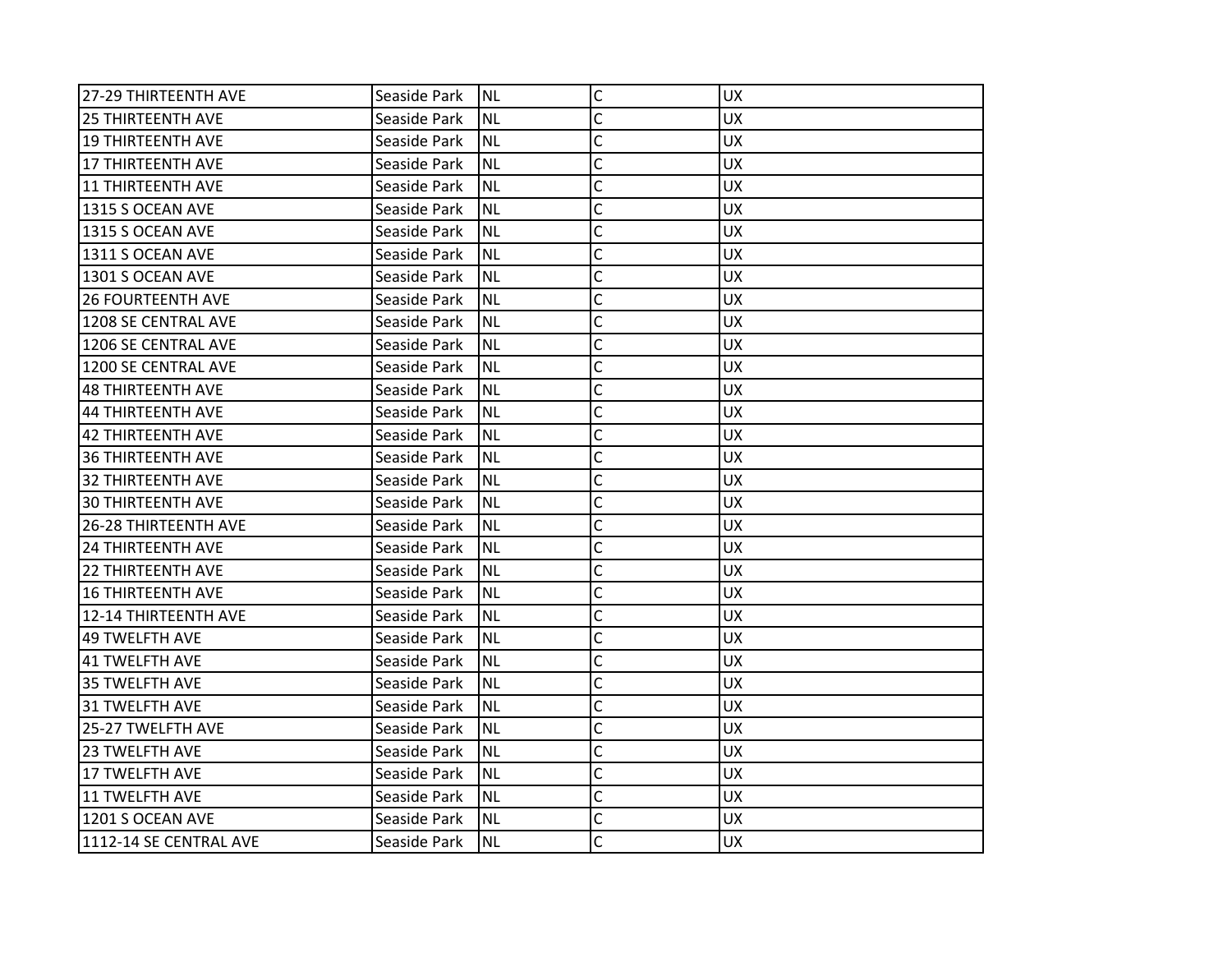| 27-29 THIRTEENTH AVE     | Seaside Park | <b>NL</b> | C | <b>UX</b> |
|--------------------------|--------------|-----------|---|-----------|
| <b>25 THIRTEENTH AVE</b> | Seaside Park | <b>NL</b> | C | <b>UX</b> |
| 19 THIRTEENTH AVE        | Seaside Park | <b>NL</b> | C | <b>UX</b> |
| 117 THIRTEENTH AVE       | Seaside Park | <b>NL</b> | C | <b>UX</b> |
| 11 THIRTEENTH AVE        | Seaside Park | <b>NL</b> | C | <b>UX</b> |
| 1315 S OCEAN AVE         | Seaside Park | ΝL        | C | <b>UX</b> |
| 1315 S OCEAN AVE         | Seaside Park | <b>NL</b> | Ċ | <b>UX</b> |
| 1311 S OCEAN AVE         | Seaside Park | ΝL        | C | <b>UX</b> |
| 1301 S OCEAN AVE         | Seaside Park | <b>NL</b> | Ċ | <b>UX</b> |
| <b>26 FOURTEENTH AVE</b> | Seaside Park | <b>NL</b> | C | <b>UX</b> |
| 1208 SE CENTRAL AVE      | Seaside Park | NL        | C | <b>UX</b> |
| 1206 SE CENTRAL AVE      | Seaside Park | <b>NL</b> | C | <b>UX</b> |
| 1200 SE CENTRAL AVE      | Seaside Park | <b>NL</b> | C | <b>UX</b> |
| 48 THIRTEENTH AVE        | Seaside Park | <b>NL</b> | Ċ | <b>UX</b> |
| 44 THIRTEENTH AVE        | Seaside Park | <b>NL</b> | C | <b>UX</b> |
| 42 THIRTEENTH AVE        | Seaside Park | NL        | Ċ | <b>UX</b> |
| 36 THIRTEENTH AVE        | Seaside Park | <b>NL</b> | Ċ | <b>UX</b> |
| 32 THIRTEENTH AVE        | Seaside Park | <b>NL</b> | C | <b>UX</b> |
| 30 THIRTEENTH AVE        | Seaside Park | <b>NL</b> | C | <b>UX</b> |
| 26-28 THIRTEENTH AVE     | Seaside Park | ΝL        | C | <b>UX</b> |
| <b>24 THIRTEENTH AVE</b> | Seaside Park | NL        | Ċ | <b>UX</b> |
| <b>22 THIRTEENTH AVE</b> | Seaside Park | <b>NL</b> | C | <b>UX</b> |
| 16 THIRTEENTH AVE        | Seaside Park | <b>NL</b> | C | <b>UX</b> |
| 12-14 THIRTEENTH AVE     | Seaside Park | <b>NL</b> | C | <b>UX</b> |
| 49 TWELFTH AVE           | Seaside Park | NL        | C | <b>UX</b> |
| l41 TWELFTH AVE          | Seaside Park | ΝL        | C | <b>UX</b> |
| 35 TWELFTH AVE           | Seaside Park | ΝL        | C | <b>UX</b> |
| 31 TWELFTH AVE           | Seaside Park | <b>NL</b> | C | <b>UX</b> |
| 25-27 TWELFTH AVE        | Seaside Park | <b>NL</b> | C | <b>UX</b> |
| <b>23 TWELFTH AVE</b>    | Seaside Park | NL        | Ċ | <b>UX</b> |
| 17 TWELFTH AVE           | Seaside Park | ΝL        | C | <b>UX</b> |
| 11 TWELFTH AVE           | Seaside Park | NL        | C | <b>UX</b> |
| 1201 S OCEAN AVE         | Seaside Park | <b>NL</b> | C | <b>UX</b> |
| 1112-14 SE CENTRAL AVE   | Seaside Park | <b>NL</b> | Ċ | <b>UX</b> |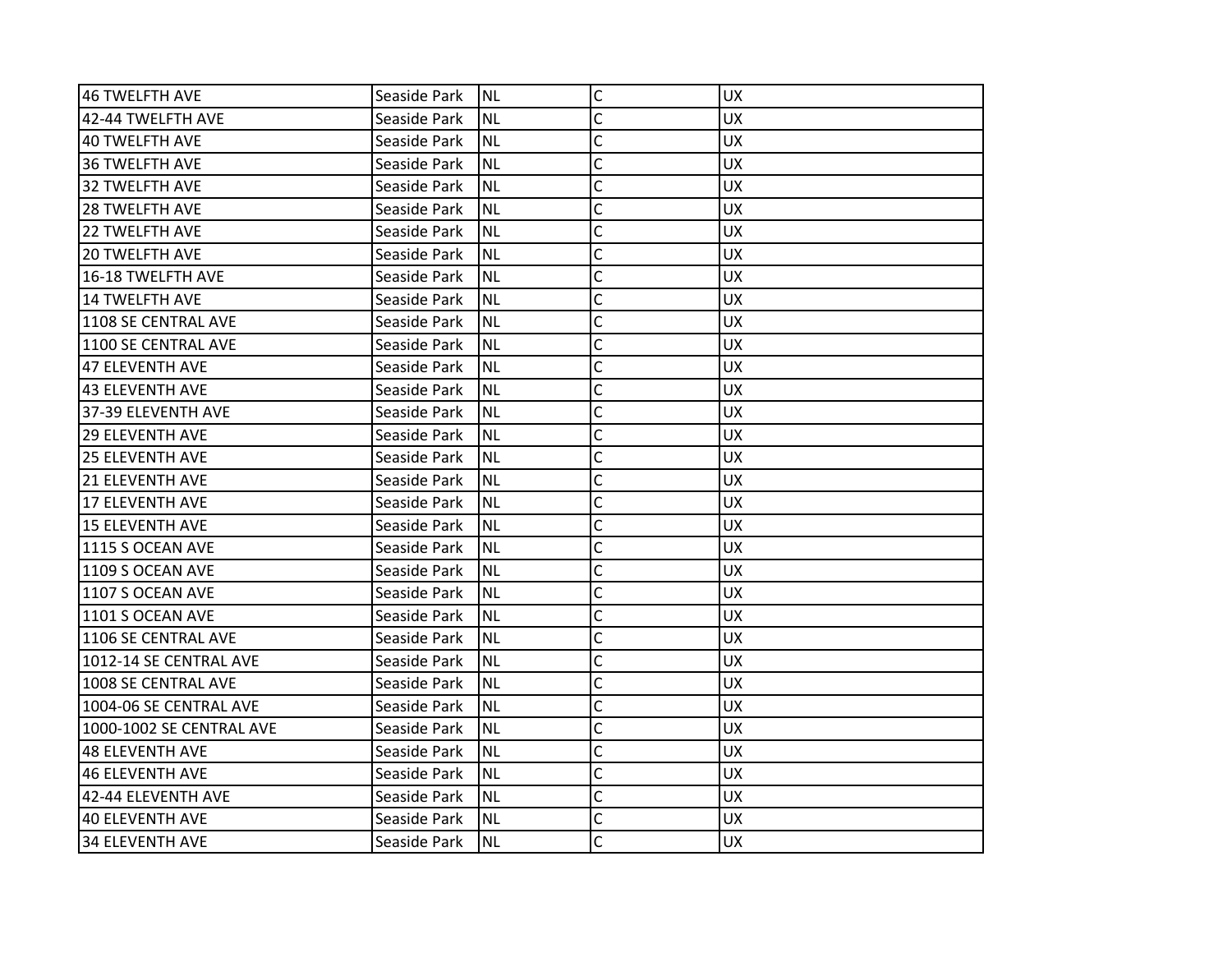| 46 TWELFTH AVE           | Seaside Park | <b>NL</b> | C | <b>UX</b> |
|--------------------------|--------------|-----------|---|-----------|
| 42-44 TWELFTH AVE        | Seaside Park | NL        | C | <b>UX</b> |
| 40 TWELFTH AVE           | Seaside Park | <b>NL</b> | C | <b>UX</b> |
| 136 TWELFTH AVE          | Seaside Park | <b>NL</b> | C | <b>UX</b> |
| 32 TWELFTH AVE           | Seaside Park | <b>NL</b> | C | <b>UX</b> |
| <b>28 TWELFTH AVE</b>    | Seaside Park | ΝL        | C | <b>UX</b> |
| <b>22 TWELFTH AVE</b>    | Seaside Park | NL        | Ċ | <b>UX</b> |
| <b>20 TWELFTH AVE</b>    | Seaside Park | ΝL        | C | <b>UX</b> |
| 16-18 TWELFTH AVE        | Seaside Park | NL        | C | <b>UX</b> |
| 14 TWELFTH AVE           | Seaside Park | <b>NL</b> | C | <b>UX</b> |
| 1108 SE CENTRAL AVE      | Seaside Park | ΝL        | C | <b>UX</b> |
| 1100 SE CENTRAL AVE      | Seaside Park | <b>NL</b> | C | <b>UX</b> |
| 47 ELEVENTH AVE          | Seaside Park | <b>NL</b> | C | <b>UX</b> |
| 43 ELEVENTH AVE          | Seaside Park | ΝL        | C | <b>UX</b> |
| l37-39 ELEVENTH AVE      | Seaside Park | <b>NL</b> | C | <b>UX</b> |
| l29 ELEVENTH AVE         | Seaside Park | ΝL        | C | UX.       |
| <b>25 ELEVENTH AVE</b>   | Seaside Park | <b>NL</b> | Ċ | <b>UX</b> |
| <b>21 ELEVENTH AVE</b>   | Seaside Park | <b>NL</b> | C | <b>UX</b> |
| 17 ELEVENTH AVE          | Seaside Park | NL        | C | <b>UX</b> |
| 15 ELEVENTH AVE          | Seaside Park | <b>NL</b> | C | <b>UX</b> |
| 1115 S OCEAN AVE         | Seaside Park | ΝL        | C | UX.       |
| 1109 S OCEAN AVE         | Seaside Park | <b>NL</b> | C | <b>UX</b> |
| 1107 S OCEAN AVE         | Seaside Park | <b>NL</b> | Ċ | <b>UX</b> |
| 1101 S OCEAN AVE         | Seaside Park | NL        | C | <b>UX</b> |
| 1106 SE CENTRAL AVE      | Seaside Park | <b>NL</b> | Ċ | <b>UX</b> |
| 1012-14 SE CENTRAL AVE   | Seaside Park | ΝL        | C | <b>UX</b> |
| 1008 SE CENTRAL AVE      | Seaside Park | <b>NL</b> | Ċ | <b>UX</b> |
| 1004-06 SE CENTRAL AVE   | Seaside Park | <b>NL</b> | C | <b>UX</b> |
| 1000-1002 SE CENTRAL AVE | Seaside Park | NL        | C | <b>UX</b> |
| 148 ELEVENTH AVE         | Seaside Park | <b>NL</b> | C | <b>UX</b> |
| 46 ELEVENTH AVE          | Seaside Park | NL        | C | <b>UX</b> |
| 42-44 ELEVENTH AVE       | Seaside Park | <b>NL</b> | Ċ | <b>UX</b> |
| 40 ELEVENTH AVE          | Seaside Park | <b>NL</b> | C | <b>UX</b> |
| 34 ELEVENTH AVE          | Seaside Park | NL        | Ċ | <b>UX</b> |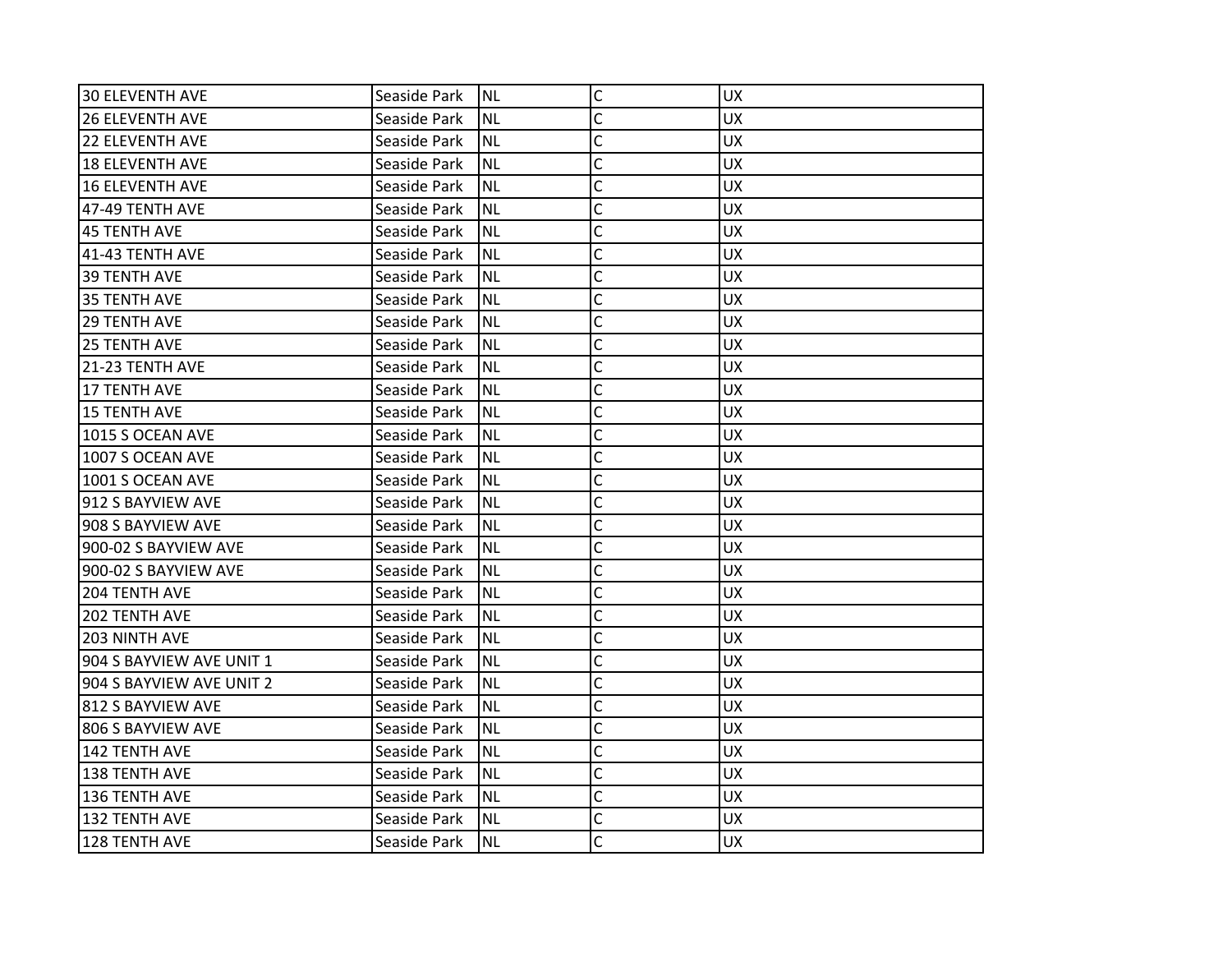| 30 ELEVENTH AVE          | Seaside Park | INL       | $\mathsf C$  | <b>UX</b> |
|--------------------------|--------------|-----------|--------------|-----------|
| <b>26 ELEVENTH AVE</b>   | Seaside Park | <b>NL</b> | C            | <b>UX</b> |
| <b>22 ELEVENTH AVE</b>   | Seaside Park | <b>NL</b> | C            | <b>UX</b> |
| 18 ELEVENTH AVE          | Seaside Park | <b>NL</b> | C            | <b>UX</b> |
| <b>16 ELEVENTH AVE</b>   | Seaside Park | <b>NL</b> | Ċ            | <b>UX</b> |
| 47-49 TENTH AVE          | Seaside Park | <b>NL</b> | C            | UX        |
| <b>45 TENTH AVE</b>      | Seaside Park | <b>NL</b> | Ċ            | <b>UX</b> |
| 41-43 TENTH AVE          | Seaside Park | <b>NL</b> | C            | <b>UX</b> |
| <b>39 TENTH AVE</b>      | Seaside Park | <b>NL</b> | C            | <b>UX</b> |
| 35 TENTH AVE             | Seaside Park | <b>NL</b> | C            | <b>UX</b> |
| <b>29 TENTH AVE</b>      | Seaside Park | <b>NL</b> | C            | <b>UX</b> |
| <b>25 TENTH AVE</b>      | Seaside Park | <b>NL</b> | C            | <b>UX</b> |
| 21-23 TENTH AVE          | Seaside Park | <b>NL</b> | C            | <b>UX</b> |
| <b>17 TENTH AVE</b>      | Seaside Park | <b>NL</b> | C            | <b>UX</b> |
| 15 TENTH AVE             | Seaside Park | <b>NL</b> | C            | <b>UX</b> |
| 1015 S OCEAN AVE         | Seaside Park | <b>NL</b> | C            | <b>UX</b> |
| 1007 S OCEAN AVE         | Seaside Park | <b>NL</b> | Ċ            | <b>UX</b> |
| 1001 S OCEAN AVE         | Seaside Park | <b>NL</b> | C            | <b>UX</b> |
| 912 S BAYVIEW AVE        | Seaside Park | <b>NL</b> | C            | <b>UX</b> |
| 908 S BAYVIEW AVE        | Seaside Park | <b>NL</b> | C            | <b>UX</b> |
| 900-02 S BAYVIEW AVE     | Seaside Park | <b>NL</b> | C            | <b>UX</b> |
| 900-02 S BAYVIEW AVE     | Seaside Park | <b>NL</b> | C            | <b>UX</b> |
| 204 TENTH AVE            | Seaside Park | <b>NL</b> | C            | <b>UX</b> |
| 202 TENTH AVE            | Seaside Park | <b>NL</b> | C            | <b>UX</b> |
| <b>203 NINTH AVE</b>     | Seaside Park | <b>NL</b> | Ċ            | <b>UX</b> |
| 904 S BAYVIEW AVE UNIT 1 | Seaside Park | <b>NL</b> | C            | <b>UX</b> |
| 904 S BAYVIEW AVE UNIT 2 | Seaside Park | <b>NL</b> | C            | <b>UX</b> |
| 812 S BAYVIEW AVE        | Seaside Park | <b>NL</b> | C            | <b>UX</b> |
| 806 S BAYVIEW AVE        | Seaside Park | <b>NL</b> | C            | <b>UX</b> |
| 142 TENTH AVE            | Seaside Park | <b>NL</b> | $\mathsf{C}$ | <b>UX</b> |
| <b>138 TENTH AVE</b>     | Seaside Park | <b>NL</b> | $\mathsf{C}$ | <b>UX</b> |
| 136 TENTH AVE            | Seaside Park | <b>NL</b> | C            | <b>UX</b> |
| 132 TENTH AVE            | Seaside Park | <b>NL</b> | C            | <b>UX</b> |
| 128 TENTH AVE            | Seaside Park | <b>NL</b> | Ċ            | <b>UX</b> |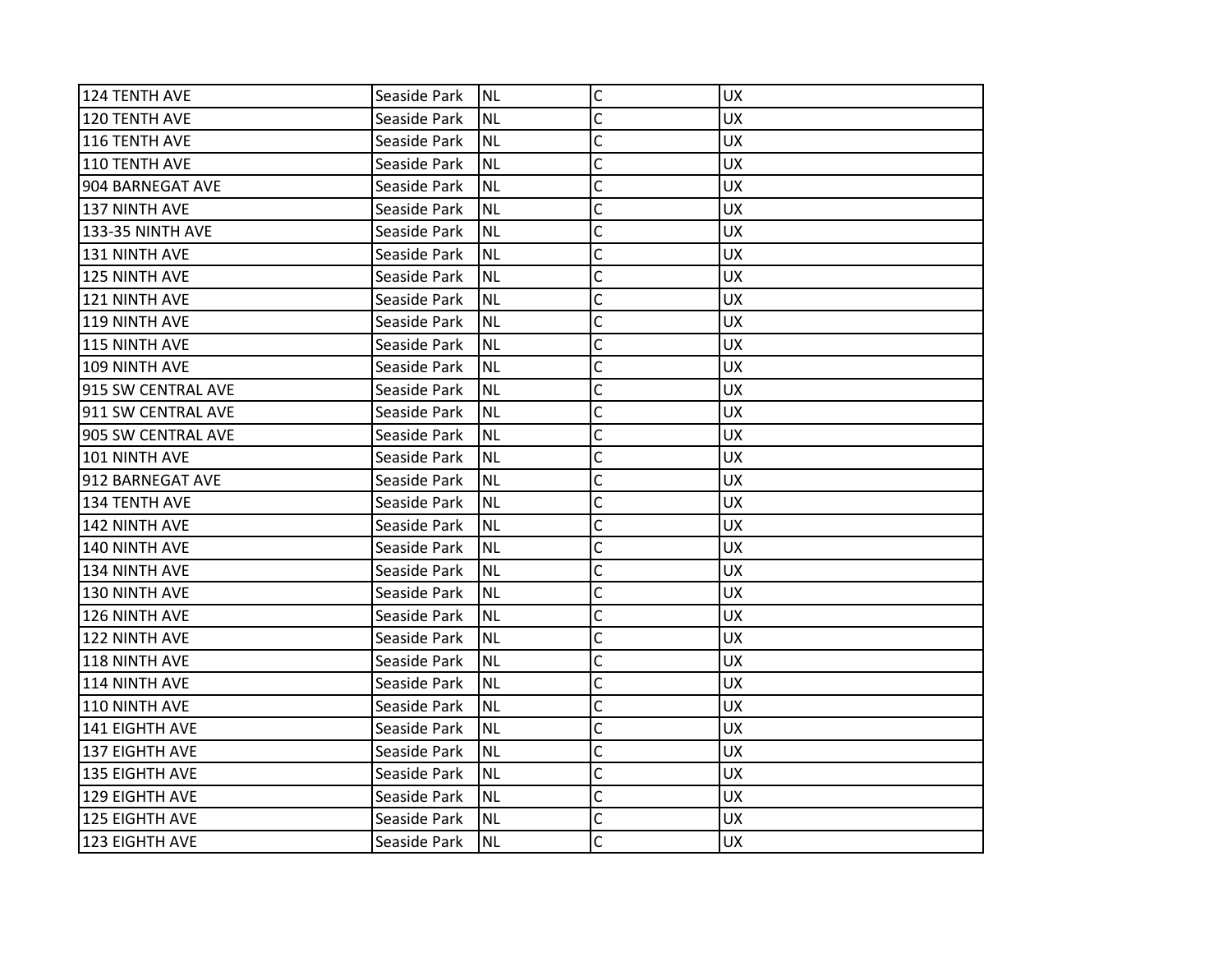| 124 TENTH AVE           | Seaside Park | Inl       | $\mathsf{C}$   | <b>UX</b> |
|-------------------------|--------------|-----------|----------------|-----------|
| 120 TENTH AVE           | Seaside Park | <b>NL</b> | C              | <b>UX</b> |
| 116 TENTH AVE           | Seaside Park | <b>NL</b> | C              | <b>UX</b> |
| 110 TENTH AVE           | Seaside Park | <b>NL</b> | C              | <b>UX</b> |
| 904 BARNEGAT AVE        | Seaside Park | <b>NL</b> | C              | <b>UX</b> |
| 137 NINTH AVE           | Seaside Park | <b>NL</b> | C              | <b>UX</b> |
| <b>133-35 NINTH AVE</b> | Seaside Park | <b>NL</b> | C              | <b>UX</b> |
| 131 NINTH AVE           | Seaside Park | <b>NL</b> | C              | <b>UX</b> |
| 125 NINTH AVE           | Seaside Park | <b>NL</b> | $\mathsf{C}$   | <b>UX</b> |
| 121 NINTH AVE           | Seaside Park | <b>NL</b> | $\overline{C}$ | <b>UX</b> |
| 119 NINTH AVE           | Seaside Park | <b>NL</b> | C              | <b>UX</b> |
| 115 NINTH AVE           | Seaside Park | <b>NL</b> | C              | <b>UX</b> |
| 109 NINTH AVE           | Seaside Park | <b>NL</b> | C              | <b>UX</b> |
| 915 SW CENTRAL AVE      | Seaside Park | <b>NL</b> | $\mathsf{C}$   | <b>UX</b> |
| 911 SW CENTRAL AVE      | Seaside Park | <b>NL</b> | $\overline{C}$ | <b>UX</b> |
| 905 SW CENTRAL AVE      | Seaside Park | <b>NL</b> | C              | <b>UX</b> |
| 101 NINTH AVE           | Seaside Park | <b>NL</b> | Ċ              | <b>UX</b> |
| 912 BARNEGAT AVE        | Seaside Park | <b>NL</b> | C              | <b>UX</b> |
| 134 TENTH AVE           | Seaside Park | <b>NL</b> | C              | <b>UX</b> |
| 142 NINTH AVE           | Seaside Park | <b>NL</b> | $\mathsf{C}$   | <b>UX</b> |
| 140 NINTH AVE           | Seaside Park | <b>NL</b> | C              | <b>UX</b> |
| 134 NINTH AVE           | Seaside Park | <b>NL</b> | C              | <b>UX</b> |
| 130 NINTH AVE           | Seaside Park | <b>NL</b> | C              | <b>UX</b> |
| 126 NINTH AVE           | Seaside Park | <b>NL</b> | C              | <b>UX</b> |
| 122 NINTH AVE           | Seaside Park | <b>NL</b> | $\overline{C}$ | <b>UX</b> |
| 118 NINTH AVE           | Seaside Park | <b>NL</b> | C              | <b>UX</b> |
| 114 NINTH AVE           | Seaside Park | <b>NL</b> | C              | <b>UX</b> |
| 110 NINTH AVE           | Seaside Park | <b>NL</b> | C              | <b>UX</b> |
| 141 EIGHTH AVE          | Seaside Park | <b>NL</b> | $\overline{C}$ | <b>UX</b> |
| 137 EIGHTH AVE          | Seaside Park | <b>NL</b> | $\mathsf{C}$   | <b>UX</b> |
| 135 EIGHTH AVE          | Seaside Park | <b>NL</b> | C              | <b>UX</b> |
| 129 EIGHTH AVE          | Seaside Park | <b>NL</b> | $\mathsf{C}$   | <b>UX</b> |
| 125 EIGHTH AVE          | Seaside Park | <b>NL</b> | C              | <b>UX</b> |
| 123 EIGHTH AVE          | Seaside Park | <b>NL</b> | C              | <b>UX</b> |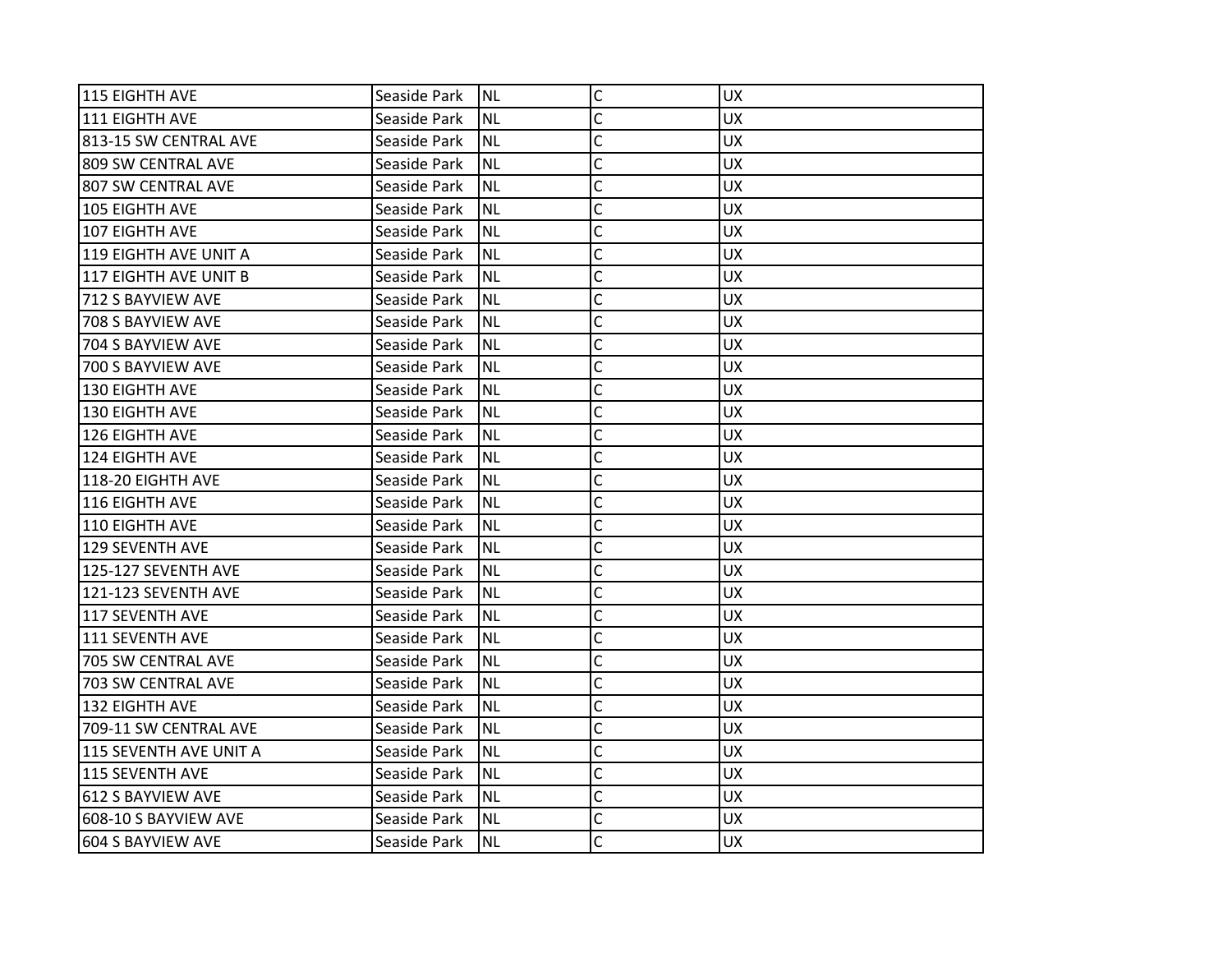| 115 EIGHTH AVE         | Seaside Park | <b>NL</b> | $\mathsf{C}$   | <b>UX</b> |
|------------------------|--------------|-----------|----------------|-----------|
| 111 EIGHTH AVE         | Seaside Park | <b>NL</b> | C              | <b>UX</b> |
| 813-15 SW CENTRAL AVE  | Seaside Park | <b>NL</b> | C              | <b>UX</b> |
| 1809 SW CENTRAL AVE    | Seaside Park | <b>NL</b> | C              | <b>UX</b> |
| 807 SW CENTRAL AVE     | Seaside Park | <b>NL</b> | C              | <b>UX</b> |
| 105 EIGHTH AVE         | Seaside Park | <b>NL</b> | C              | <b>UX</b> |
| 107 EIGHTH AVE         | Seaside Park | <b>NL</b> | C              | <b>UX</b> |
| 119 EIGHTH AVE UNIT A  | Seaside Park | <b>NL</b> | C              | <b>UX</b> |
| 117 EIGHTH AVE UNIT B  | Seaside Park | <b>NL</b> | $\mathsf{C}$   | <b>UX</b> |
| 712 S BAYVIEW AVE      | Seaside Park | <b>NL</b> | $\mathsf{C}$   | <b>UX</b> |
| 708 S BAYVIEW AVE      | Seaside Park | <b>NL</b> | C              | <b>UX</b> |
| 704 S BAYVIEW AVE      | Seaside Park | <b>NL</b> | C              | <b>UX</b> |
| 700 S BAYVIEW AVE      | Seaside Park | <b>NL</b> | C              | <b>UX</b> |
| 130 EIGHTH AVE         | Seaside Park | <b>NL</b> | C              | <b>UX</b> |
| 130 EIGHTH AVE         | Seaside Park | <b>NL</b> | $\mathsf{C}$   | <b>UX</b> |
| 126 EIGHTH AVE         | Seaside Park | <b>NL</b> | C              | <b>UX</b> |
| 124 EIGHTH AVE         | Seaside Park | <b>NL</b> | C              | <b>UX</b> |
| 118-20 EIGHTH AVE      | Seaside Park | <b>NL</b> | C              | <b>UX</b> |
| <b>116 EIGHTH AVE</b>  | Seaside Park | <b>NL</b> | C              | <b>UX</b> |
| 110 EIGHTH AVE         | Seaside Park | <b>NL</b> | $\mathsf C$    | <b>UX</b> |
| 129 SEVENTH AVE        | Seaside Park | <b>NL</b> | $\overline{C}$ | <b>UX</b> |
| 125-127 SEVENTH AVE    | Seaside Park | <b>NL</b> | C              | <b>UX</b> |
| 121-123 SEVENTH AVE    | Seaside Park | <b>NL</b> | C              | <b>UX</b> |
| 117 SEVENTH AVE        | Seaside Park | <b>NL</b> | C              | <b>UX</b> |
| 111 SEVENTH AVE        | Seaside Park | <b>NL</b> | C              | <b>UX</b> |
| 705 SW CENTRAL AVE     | Seaside Park | <b>NL</b> | C              | <b>UX</b> |
| 703 SW CENTRAL AVE     | Seaside Park | <b>NL</b> | C              | <b>UX</b> |
| 132 EIGHTH AVE         | Seaside Park | <b>NL</b> | $\overline{C}$ | <b>UX</b> |
| 709-11 SW CENTRAL AVE  | Seaside Park | <b>NL</b> | C              | UX.       |
| 115 SEVENTH AVE UNIT A | Seaside Park | <b>NL</b> | $\mathsf{C}$   | <b>UX</b> |
| 115 SEVENTH AVE        | Seaside Park | <b>NL</b> | $\mathsf{C}$   | <b>UX</b> |
| 612 S BAYVIEW AVE      | Seaside Park | <b>NL</b> | $\overline{C}$ | <b>UX</b> |
| 608-10 S BAYVIEW AVE   | Seaside Park | <b>NL</b> | C              | <b>UX</b> |
| 604 S BAYVIEW AVE      | Seaside Park | <b>NL</b> | Ċ              | <b>UX</b> |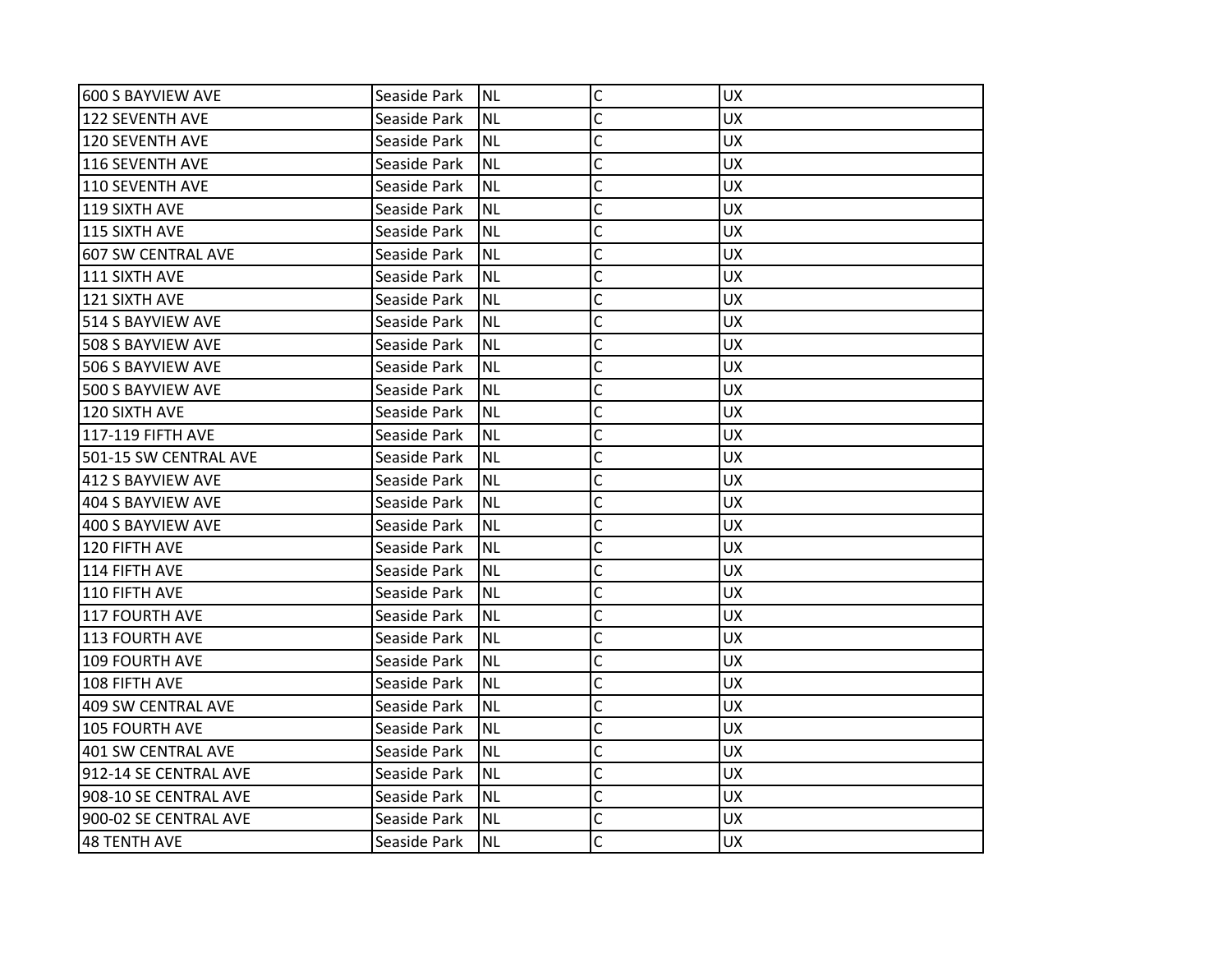| 600 S BAYVIEW AVE         | Seaside Park | <b>NL</b> | C              | <b>UX</b> |
|---------------------------|--------------|-----------|----------------|-----------|
| 122 SEVENTH AVE           | Seaside Park | <b>NL</b> | C              | <b>UX</b> |
| 120 SEVENTH AVE           | Seaside Park | <b>NL</b> | C              | <b>UX</b> |
| 116 SEVENTH AVE           | Seaside Park | <b>NL</b> | Ċ              | <b>UX</b> |
| 110 SEVENTH AVE           | Seaside Park | <b>NL</b> | C              | <b>UX</b> |
| 119 SIXTH AVE             | Seaside Park | <b>NL</b> | C              | UX        |
| 115 SIXTH AVE             | Seaside Park | <b>NL</b> | Ċ              | <b>UX</b> |
| <b>607 SW CENTRAL AVE</b> | Seaside Park | <b>NL</b> | C              | <b>UX</b> |
| 111 SIXTH AVE             | Seaside Park | <b>NL</b> | C              | <b>UX</b> |
| 121 SIXTH AVE             | Seaside Park | <b>NL</b> | C              | <b>UX</b> |
| 514 S BAYVIEW AVE         | Seaside Park | <b>NL</b> | $\overline{C}$ | UX.       |
| 508 S BAYVIEW AVE         | Seaside Park | <b>NL</b> | C              | <b>UX</b> |
| 506 S BAYVIEW AVE         | Seaside Park | <b>NL</b> | C              | <b>UX</b> |
| 500 S BAYVIEW AVE         | Seaside Park | <b>NL</b> | C              | <b>UX</b> |
| 120 SIXTH AVE             | Seaside Park | <b>NL</b> | C              | <b>UX</b> |
| <b>117-119 FIFTH AVE</b>  | Seaside Park | <b>NL</b> | C              | <b>UX</b> |
| 501-15 SW CENTRAL AVE     | Seaside Park | <b>NL</b> | C              | <b>UX</b> |
| 412 S BAYVIEW AVE         | Seaside Park | <b>NL</b> | C              | <b>UX</b> |
| 404 S BAYVIEW AVE         | Seaside Park | <b>NL</b> | C              | <b>UX</b> |
| 400 S BAYVIEW AVE         | Seaside Park | <b>NL</b> | C              | <b>UX</b> |
| 120 FIFTH AVE             | Seaside Park | <b>NL</b> | C              | <b>UX</b> |
| 114 FIFTH AVE             | Seaside Park | <b>NL</b> | $\overline{C}$ | <b>UX</b> |
| 110 FIFTH AVE             | Seaside Park | <b>NL</b> | C              | <b>UX</b> |
| 117 FOURTH AVE            | Seaside Park | <b>NL</b> | C              | <b>UX</b> |
| 113 FOURTH AVE            | Seaside Park | <b>NL</b> | C              | <b>UX</b> |
| 109 FOURTH AVE            | Seaside Park | <b>NL</b> | C              | <b>UX</b> |
| 108 FIFTH AVE             | Seaside Park | <b>NL</b> | C              | <b>UX</b> |
| 409 SW CENTRAL AVE        | Seaside Park | <b>NL</b> | C              | <b>UX</b> |
| <b>105 FOURTH AVE</b>     | Seaside Park | <b>NL</b> | $\overline{C}$ | <b>UX</b> |
| 401 SW CENTRAL AVE        | Seaside Park | <b>NL</b> | $\mathsf{C}$   | <b>UX</b> |
| 912-14 SE CENTRAL AVE     | Seaside Park | <b>NL</b> | $\mathsf{C}$   | <b>UX</b> |
| 908-10 SE CENTRAL AVE     | Seaside Park | <b>NL</b> | Ċ              | <b>UX</b> |
| 900-02 SE CENTRAL AVE     | Seaside Park | <b>NL</b> | C              | <b>UX</b> |
| <b>48 TENTH AVE</b>       | Seaside Park | <b>NL</b> | Ċ              | <b>UX</b> |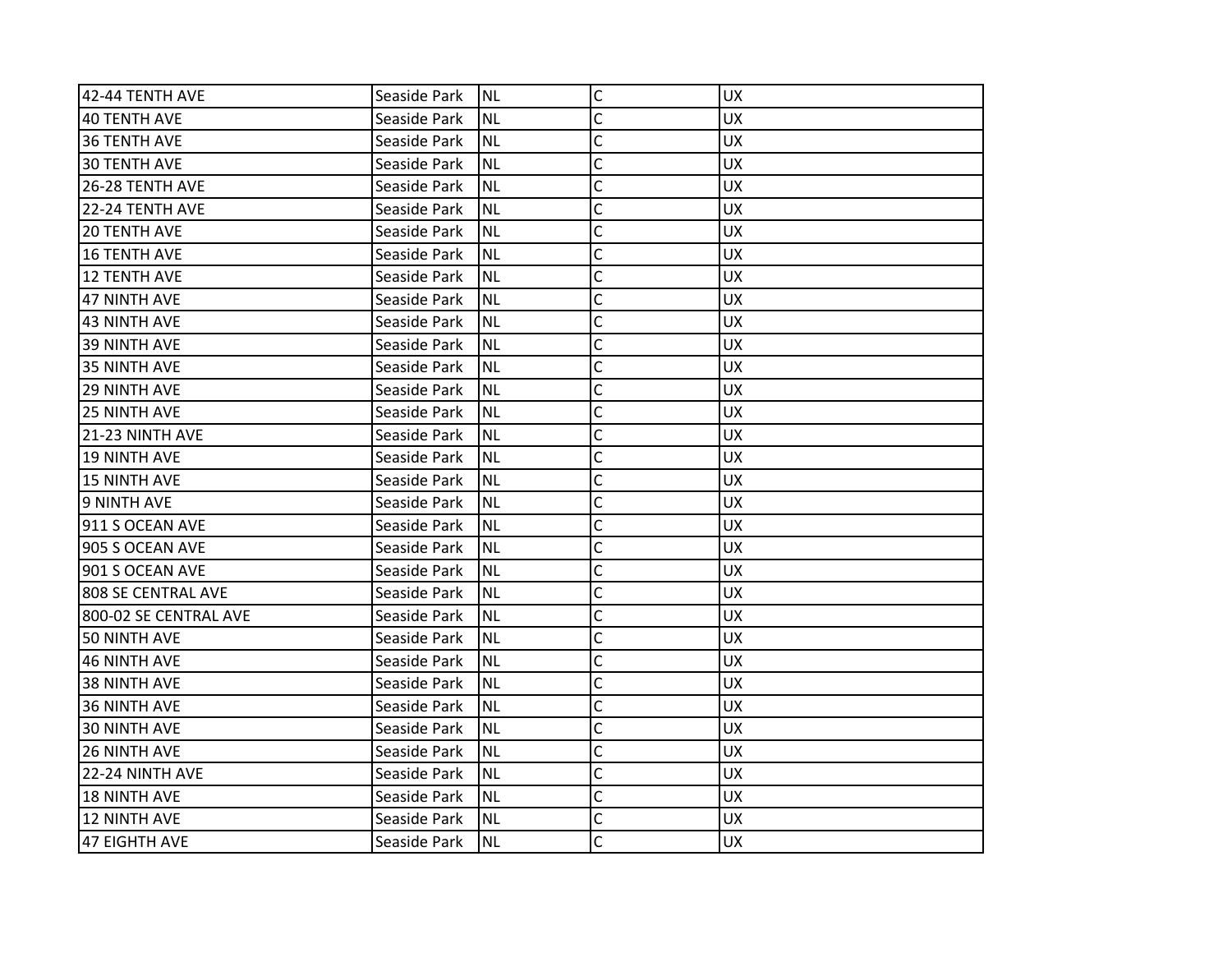| 42-44 TENTH AVE       | Seaside Park | <b>NL</b> | $\mathsf C$    | <b>UX</b> |
|-----------------------|--------------|-----------|----------------|-----------|
| <b>40 TENTH AVE</b>   | Seaside Park | <b>NL</b> | C              | <b>UX</b> |
| 36 TENTH AVE          | Seaside Park | <b>NL</b> | C              | <b>UX</b> |
| <b>30 TENTH AVE</b>   | Seaside Park | <b>NL</b> | C              | <b>UX</b> |
| 26-28 TENTH AVE       | Seaside Park | <b>NL</b> | C              | <b>UX</b> |
| 22-24 TENTH AVE       | Seaside Park | <b>NL</b> | C              | <b>UX</b> |
| <b>20 TENTH AVE</b>   | Seaside Park | <b>NL</b> | C              | <b>UX</b> |
| <b>16 TENTH AVE</b>   | Seaside Park | <b>NL</b> | C              | <b>UX</b> |
| 12 TENTH AVE          | Seaside Park | <b>NL</b> | C              | <b>UX</b> |
| <b>47 NINTH AVE</b>   | Seaside Park | <b>NL</b> | C              | <b>UX</b> |
| <b>43 NINTH AVE</b>   | Seaside Park | <b>NL</b> | C              | <b>UX</b> |
| 39 NINTH AVE          | Seaside Park | <b>NL</b> | C              | <b>UX</b> |
| 35 NINTH AVE          | Seaside Park | <b>NL</b> | C              | <b>UX</b> |
| <b>29 NINTH AVE</b>   | Seaside Park | <b>NL</b> | Ċ              | <b>UX</b> |
| <b>25 NINTH AVE</b>   | Seaside Park | <b>NL</b> | C              | <b>UX</b> |
| 21-23 NINTH AVE       | Seaside Park | <b>NL</b> | C              | <b>UX</b> |
| <b>19 NINTH AVE</b>   | Seaside Park | <b>NL</b> | C              | <b>UX</b> |
| <b>15 NINTH AVE</b>   | Seaside Park | <b>NL</b> | C              | <b>UX</b> |
| 9 NINTH AVE           | Seaside Park | <b>NL</b> | C              | <b>UX</b> |
| 911 S OCEAN AVE       | Seaside Park | <b>NL</b> | $\mathsf{C}$   | <b>UX</b> |
| 905 S OCEAN AVE       | Seaside Park | <b>NL</b> | C              | <b>UX</b> |
| 901 S OCEAN AVE       | Seaside Park | <b>NL</b> | C              | <b>UX</b> |
| 808 SE CENTRAL AVE    | Seaside Park | <b>NL</b> | C              | <b>UX</b> |
| 800-02 SE CENTRAL AVE | Seaside Park | <b>NL</b> | C              | <b>UX</b> |
| 50 NINTH AVE          | Seaside Park | <b>NL</b> | C              | <b>UX</b> |
| <b>46 NINTH AVE</b>   | Seaside Park | <b>NL</b> | $\overline{C}$ | <b>UX</b> |
| <b>38 NINTH AVE</b>   | Seaside Park | <b>NL</b> | C              | <b>UX</b> |
| <b>36 NINTH AVE</b>   | Seaside Park | <b>NL</b> | C              | <b>UX</b> |
| <b>30 NINTH AVE</b>   | Seaside Park | <b>NL</b> | C              | <b>UX</b> |
| <b>26 NINTH AVE</b>   | Seaside Park | <b>NL</b> | $\mathsf{C}$   | <b>UX</b> |
| 22-24 NINTH AVE       | Seaside Park | <b>NL</b> | C              | <b>UX</b> |
| <b>18 NINTH AVE</b>   | Seaside Park | <b>NL</b> | $\mathsf{C}$   | <b>UX</b> |
| <b>12 NINTH AVE</b>   | Seaside Park | <b>NL</b> | C              | <b>UX</b> |
| <b>47 EIGHTH AVE</b>  | Seaside Park | <b>NL</b> | C              | <b>UX</b> |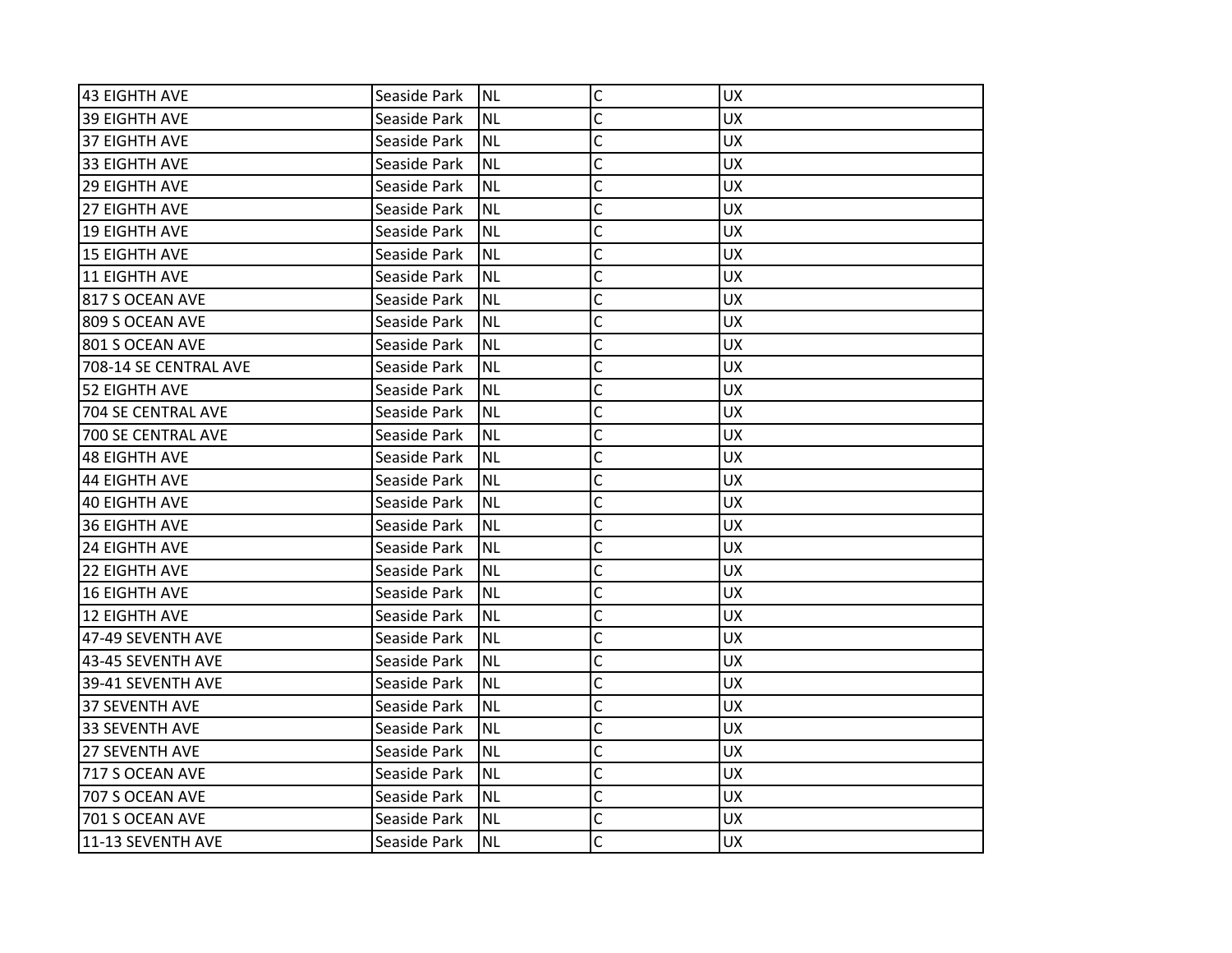| 43 EIGHTH AVE             | Seaside Park | <b>NL</b> | $\mathsf{C}$   | <b>UX</b> |
|---------------------------|--------------|-----------|----------------|-----------|
| <b>39 EIGHTH AVE</b>      | Seaside Park | <b>NL</b> | C              | <b>UX</b> |
| 37 EIGHTH AVE             | Seaside Park | <b>NL</b> | C              | <b>UX</b> |
| 33 EIGHTH AVE             | Seaside Park | <b>NL</b> | C              | <b>UX</b> |
| <b>29 EIGHTH AVE</b>      | Seaside Park | <b>NL</b> | C              | <b>UX</b> |
| <b>27 EIGHTH AVE</b>      | Seaside Park | <b>NL</b> | C              | <b>UX</b> |
| <b>19 EIGHTH AVE</b>      | Seaside Park | <b>NL</b> | C              | <b>UX</b> |
| <b>15 EIGHTH AVE</b>      | Seaside Park | <b>NL</b> | C              | <b>UX</b> |
| <b>11 EIGHTH AVE</b>      | Seaside Park | <b>NL</b> | $\mathsf{C}$   | <b>UX</b> |
| 817 S OCEAN AVE           | Seaside Park | <b>NL</b> | $\overline{C}$ | <b>UX</b> |
| 809 S OCEAN AVE           | Seaside Park | <b>NL</b> | C              | <b>UX</b> |
| 801 S OCEAN AVE           | Seaside Park | <b>NL</b> | C              | <b>UX</b> |
| 708-14 SE CENTRAL AVE     | Seaside Park | <b>NL</b> | C              | <b>UX</b> |
| <b>52 EIGHTH AVE</b>      | Seaside Park | <b>NL</b> | C              | <b>UX</b> |
| <b>704 SE CENTRAL AVE</b> | Seaside Park | <b>NL</b> | $\overline{C}$ | <b>UX</b> |
| 700 SE CENTRAL AVE        | Seaside Park | <b>NL</b> | C              | UX        |
| <b>48 EIGHTH AVE</b>      | Seaside Park | <b>NL</b> | Ċ              | <b>UX</b> |
| <b>44 EIGHTH AVE</b>      | Seaside Park | <b>NL</b> | C              | <b>UX</b> |
| <b>40 EIGHTH AVE</b>      | Seaside Park | <b>NL</b> | C              | <b>UX</b> |
| <b>36 EIGHTH AVE</b>      | Seaside Park | <b>NL</b> | $\mathsf{C}$   | <b>UX</b> |
| <b>24 EIGHTH AVE</b>      | Seaside Park | <b>NL</b> | C              | <b>UX</b> |
| 22 EIGHTH AVE             | Seaside Park | <b>NL</b> | C              | <b>UX</b> |
| <b>16 EIGHTH AVE</b>      | Seaside Park | <b>NL</b> | C              | <b>UX</b> |
| <b>12 EIGHTH AVE</b>      | Seaside Park | <b>NL</b> | C              | <b>UX</b> |
| 47-49 SEVENTH AVE         | Seaside Park | <b>NL</b> | $\overline{C}$ | <b>UX</b> |
| 43-45 SEVENTH AVE         | Seaside Park | <b>NL</b> | C              | <b>UX</b> |
| 39-41 SEVENTH AVE         | Seaside Park | <b>NL</b> | C              | <b>UX</b> |
| <b>37 SEVENTH AVE</b>     | Seaside Park | <b>NL</b> | C              | <b>UX</b> |
| <b>33 SEVENTH AVE</b>     | Seaside Park | <b>NL</b> | $\overline{C}$ | <b>UX</b> |
| <b>27 SEVENTH AVE</b>     | Seaside Park | <b>NL</b> | $\mathsf{C}$   | <b>UX</b> |
| 717 S OCEAN AVE           | Seaside Park | <b>NL</b> | C              | <b>UX</b> |
| 707 S OCEAN AVE           | Seaside Park | <b>NL</b> | $\mathsf{C}$   | <b>UX</b> |
| 701 S OCEAN AVE           | Seaside Park | <b>NL</b> | $\mathsf{C}$   | <b>UX</b> |
| 11-13 SEVENTH AVE         | Seaside Park | <b>NL</b> | C              | <b>UX</b> |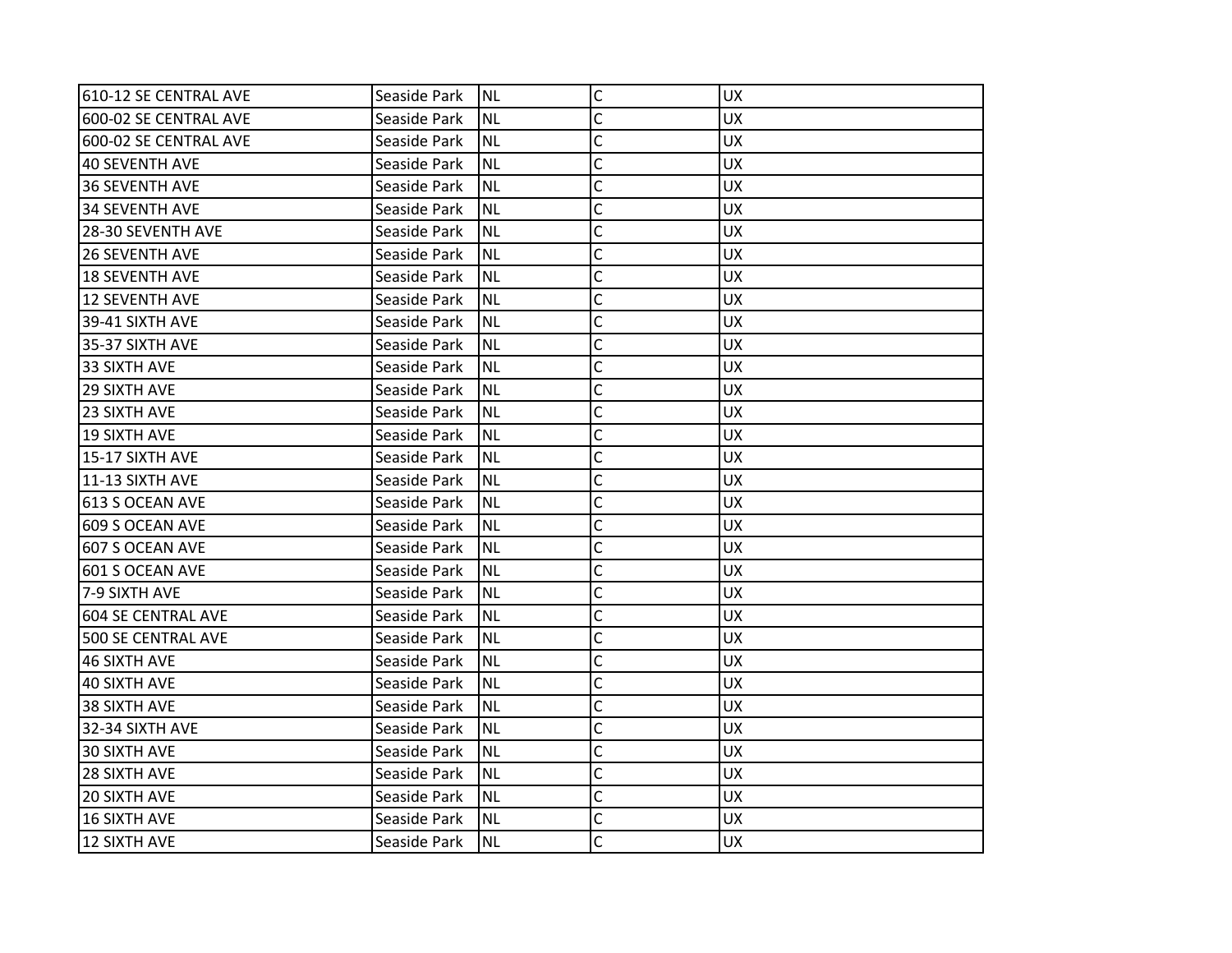| 610-12 SE CENTRAL AVE     | Seaside Park | <b>NL</b> | C              | <b>UX</b> |
|---------------------------|--------------|-----------|----------------|-----------|
| 600-02 SE CENTRAL AVE     | Seaside Park | <b>NL</b> | C              | <b>UX</b> |
| 600-02 SE CENTRAL AVE     | Seaside Park | <b>NL</b> | C              | <b>UX</b> |
| 40 SEVENTH AVE            | Seaside Park | <b>NL</b> | C              | <b>UX</b> |
| 36 SEVENTH AVE            | Seaside Park | <b>NL</b> | C              | <b>UX</b> |
| 34 SEVENTH AVE            | Seaside Park | NL        | C              | <b>UX</b> |
| 28-30 SEVENTH AVE         | Seaside Park | <b>NL</b> | Ċ              | <b>UX</b> |
| <b>26 SEVENTH AVE</b>     | Seaside Park | <b>NL</b> | C              | <b>UX</b> |
| l18 SEVENTH AVE           | Seaside Park | <b>NL</b> | C              | <b>UX</b> |
| 12 SEVENTH AVE            | Seaside Park | <b>NL</b> | $\overline{C}$ | <b>UX</b> |
| 39-41 SIXTH AVE           | Seaside Park | <b>NL</b> | C              | <b>UX</b> |
| 35-37 SIXTH AVE           | Seaside Park | <b>NL</b> | C              | <b>UX</b> |
| 33 SIXTH AVE              | Seaside Park | <b>NL</b> | C              | <b>UX</b> |
| <b>29 SIXTH AVE</b>       | Seaside Park | <b>NL</b> | C              | <b>UX</b> |
| 23 SIXTH AVE              | Seaside Park | NL        | $\overline{C}$ | <b>UX</b> |
| <b>19 SIXTH AVE</b>       | Seaside Park | ΝL        | C              | <b>UX</b> |
| 15-17 SIXTH AVE           | Seaside Park | NL        | Ċ              | <b>UX</b> |
| 11-13 SIXTH AVE           | Seaside Park | <b>NL</b> | C              | <b>UX</b> |
| 613 S OCEAN AVE           | Seaside Park | <b>NL</b> | C              | <b>UX</b> |
| 609 S OCEAN AVE           | Seaside Park | <b>NL</b> | $\overline{C}$ | <b>UX</b> |
| 607 S OCEAN AVE           | Seaside Park | ΝL        | C              | <b>UX</b> |
| 601 S OCEAN AVE           | Seaside Park | <b>NL</b> | C              | <b>UX</b> |
| 7-9 SIXTH AVE             | Seaside Park | <b>NL</b> | C              | <b>UX</b> |
| 604 SE CENTRAL AVE        | Seaside Park | <b>NL</b> | Ċ              | <b>UX</b> |
| <b>500 SE CENTRAL AVE</b> | Seaside Park | <b>NL</b> | C              | <b>UX</b> |
| 46 SIXTH AVE              | Seaside Park | NL        | Ċ              | <b>UX</b> |
| 40 SIXTH AVE              | Seaside Park | <b>NL</b> | Ċ              | <b>UX</b> |
| 38 SIXTH AVE              | Seaside Park | <b>NL</b> | C              | <b>UX</b> |
| 32-34 SIXTH AVE           | Seaside Park | <b>NL</b> | C              | <b>UX</b> |
| 30 SIXTH AVE              | Seaside Park | <b>NL</b> | C              | <b>UX</b> |
| <b>28 SIXTH AVE</b>       | Seaside Park | ΝL        | Ċ              | <b>UX</b> |
| 20 SIXTH AVE              | Seaside Park | <b>NL</b> | C              | <b>UX</b> |
| 16 SIXTH AVE              | Seaside Park | <b>NL</b> | C              | <b>UX</b> |
| 12 SIXTH AVE              | Seaside Park | <b>NL</b> | Ċ              | <b>UX</b> |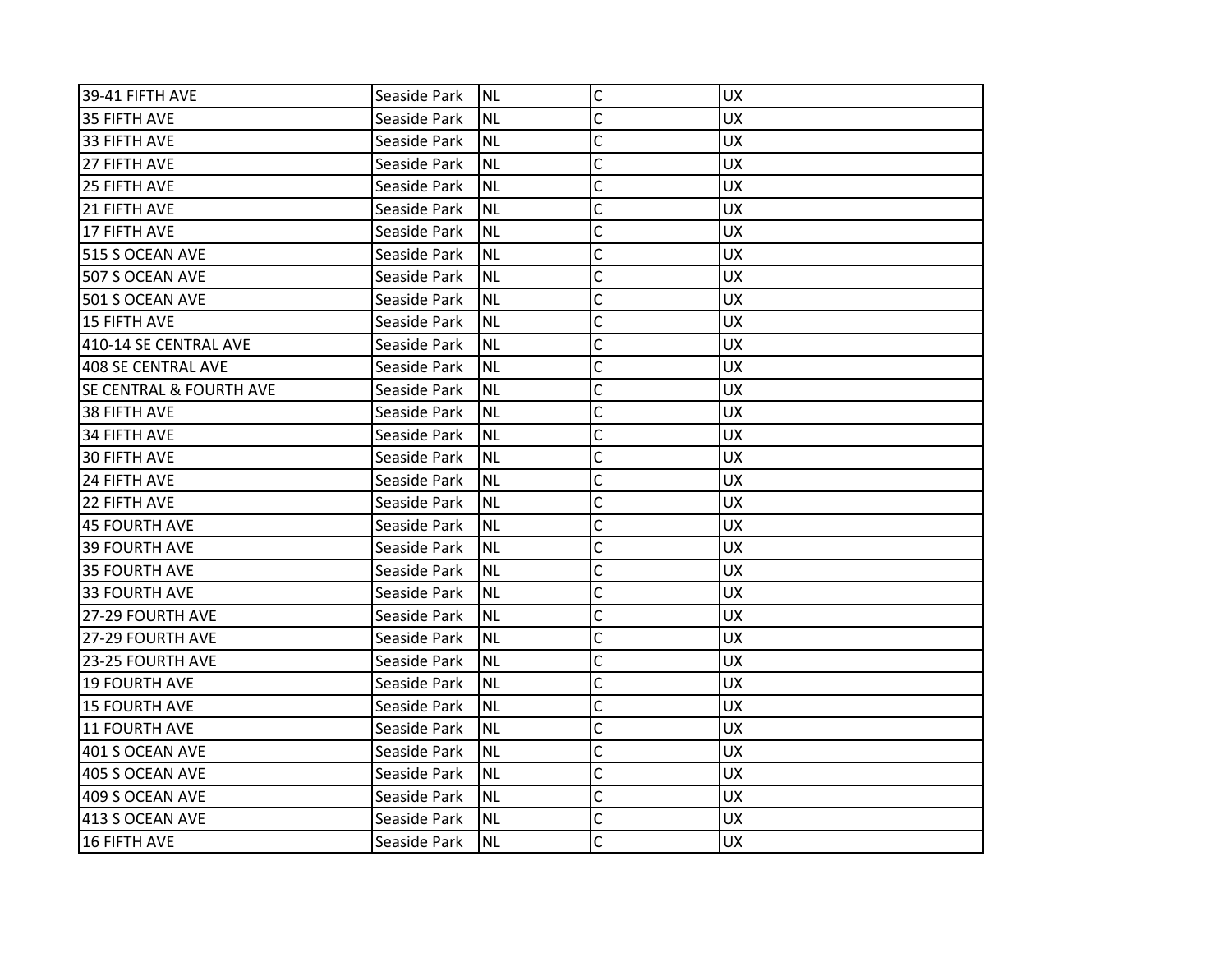| 39-41 FIFTH AVE                    | Seaside Park | INL       | $\mathsf C$  | <b>UX</b> |
|------------------------------------|--------------|-----------|--------------|-----------|
| 35 FIFTH AVE                       | Seaside Park | <b>NL</b> | C            | <b>UX</b> |
| 33 FIFTH AVE                       | Seaside Park | <b>NL</b> | C            | <b>UX</b> |
| 27 FIFTH AVE                       | Seaside Park | <b>NL</b> | C            | <b>UX</b> |
| 25 FIFTH AVE                       | Seaside Park | <b>NL</b> | Ċ            | <b>UX</b> |
| 21 FIFTH AVE                       | Seaside Park | <b>NL</b> | C            | UX        |
| 17 FIFTH AVE                       | Seaside Park | <b>NL</b> | Ċ            | <b>UX</b> |
| 515 S OCEAN AVE                    | Seaside Park | <b>NL</b> | C            | <b>UX</b> |
| 507 S OCEAN AVE                    | Seaside Park | <b>NL</b> | C            | <b>UX</b> |
| 501 S OCEAN AVE                    | Seaside Park | <b>NL</b> | C            | <b>UX</b> |
| <b>15 FIFTH AVE</b>                | Seaside Park | <b>NL</b> | C            | <b>UX</b> |
| 410-14 SE CENTRAL AVE              | Seaside Park | <b>NL</b> | Ċ            | <b>UX</b> |
| 408 SE CENTRAL AVE                 | Seaside Park | <b>NL</b> | C            | <b>UX</b> |
| <b>SE CENTRAL &amp; FOURTH AVE</b> | Seaside Park | <b>NL</b> | Ċ            | <b>UX</b> |
| 38 FIFTH AVE                       | Seaside Park | <b>NL</b> | Ċ            | <b>UX</b> |
| 134 FIFTH AVE                      | Seaside Park | <b>NL</b> | C            | <b>UX</b> |
| <b>30 FIFTH AVE</b>                | Seaside Park | <b>NL</b> | C            | <b>UX</b> |
| 24 FIFTH AVE                       | Seaside Park | <b>NL</b> | C            | <b>UX</b> |
| 22 FIFTH AVE                       | Seaside Park | <b>NL</b> | C            | <b>UX</b> |
| <b>45 FOURTH AVE</b>               | Seaside Park | <b>NL</b> | C            | <b>UX</b> |
| 39 FOURTH AVE                      | Seaside Park | <b>NL</b> | C            | <b>UX</b> |
| 35 FOURTH AVE                      | Seaside Park | <b>NL</b> | C            | <b>UX</b> |
| <b>33 FOURTH AVE</b>               | Seaside Park | <b>NL</b> | Ċ            | <b>UX</b> |
| 27-29 FOURTH AVE                   | Seaside Park | <b>NL</b> | C            | <b>UX</b> |
| 27-29 FOURTH AVE                   | Seaside Park | <b>NL</b> | C            | <b>UX</b> |
| 23-25 FOURTH AVE                   | Seaside Park | <b>NL</b> | C            | <b>UX</b> |
| <b>19 FOURTH AVE</b>               | Seaside Park | <b>NL</b> | C            | <b>UX</b> |
| <b>15 FOURTH AVE</b>               | Seaside Park | <b>NL</b> | C            | <b>UX</b> |
| <b>11 FOURTH AVE</b>               | Seaside Park | <b>NL</b> | C            | <b>UX</b> |
| 401 S OCEAN AVE                    | Seaside Park | <b>NL</b> | C            | <b>UX</b> |
| 405 S OCEAN AVE                    | Seaside Park | <b>NL</b> | C            | <b>UX</b> |
| 409 S OCEAN AVE                    | Seaside Park | <b>NL</b> | $\mathsf{C}$ | <b>UX</b> |
| 413 S OCEAN AVE                    | Seaside Park | <b>NL</b> | C            | <b>UX</b> |
| <b>16 FIFTH AVE</b>                | Seaside Park | Inl       | C            | <b>UX</b> |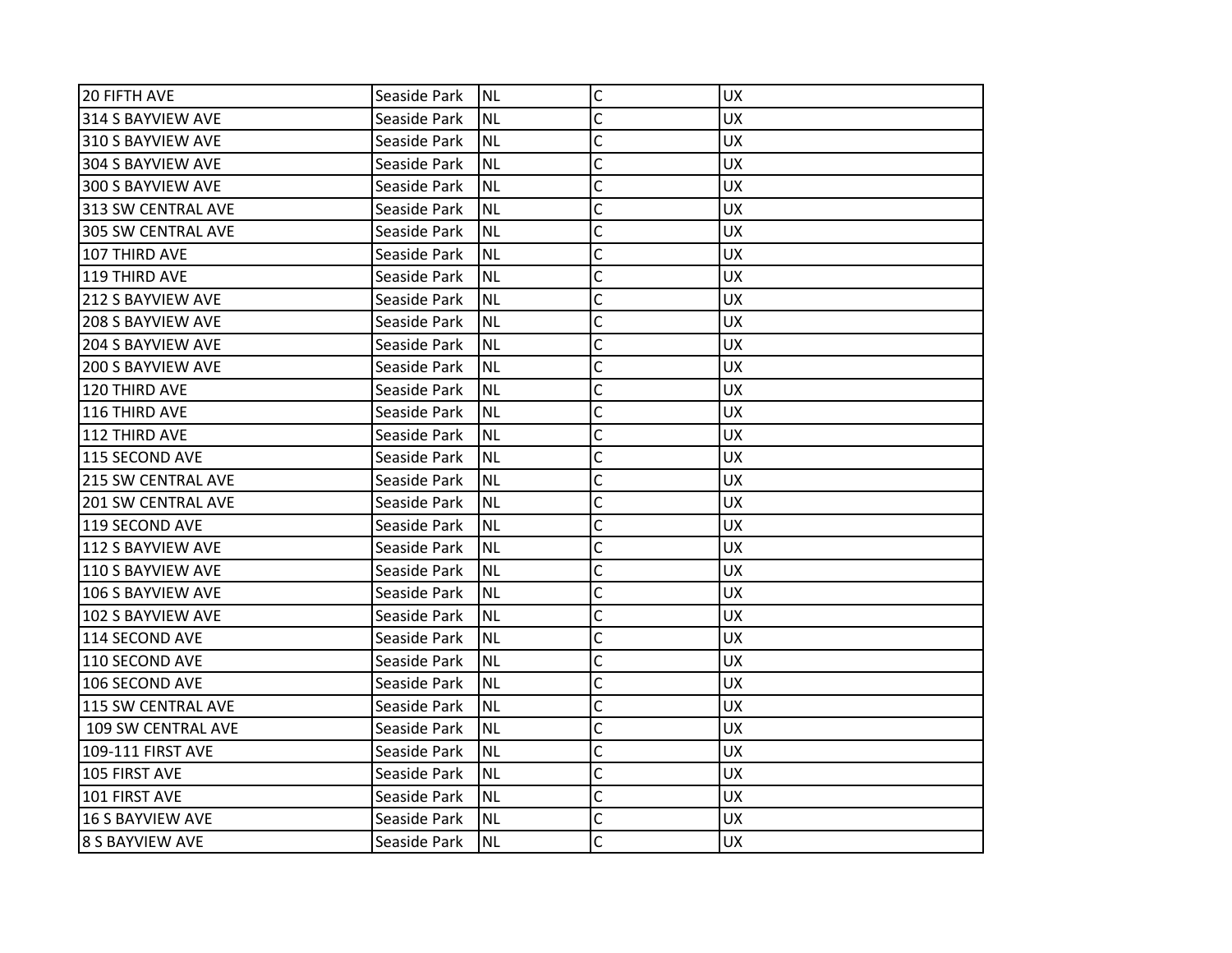| 20 FIFTH AVE              | Seaside Park | <b>NL</b> | $\mathsf{C}$   | <b>UX</b> |
|---------------------------|--------------|-----------|----------------|-----------|
| 314 S BAYVIEW AVE         | Seaside Park | <b>NL</b> | C              | <b>UX</b> |
| 310 S BAYVIEW AVE         | Seaside Park | <b>NL</b> | C              | <b>UX</b> |
| 304 S BAYVIEW AVE         | Seaside Park | <b>NL</b> | C              | <b>UX</b> |
| 300 S BAYVIEW AVE         | Seaside Park | <b>NL</b> | C              | <b>UX</b> |
| 313 SW CENTRAL AVE        | Seaside Park | <b>NL</b> | C              | <b>UX</b> |
| 305 SW CENTRAL AVE        | Seaside Park | <b>NL</b> | C              | <b>UX</b> |
| 107 THIRD AVE             | Seaside Park | <b>NL</b> | C              | <b>UX</b> |
| 119 THIRD AVE             | Seaside Park | <b>NL</b> | $\mathsf{C}$   | <b>UX</b> |
| 212 S BAYVIEW AVE         | Seaside Park | <b>NL</b> | $\overline{C}$ | <b>UX</b> |
| 208 S BAYVIEW AVE         | Seaside Park | <b>NL</b> | C              | <b>UX</b> |
| <b>204 S BAYVIEW AVE</b>  | Seaside Park | <b>NL</b> | C              | <b>UX</b> |
| 200 S BAYVIEW AVE         | Seaside Park | <b>NL</b> | C              | <b>UX</b> |
| 120 THIRD AVE             | Seaside Park | <b>NL</b> | C              | <b>UX</b> |
| 116 THIRD AVE             | Seaside Park | <b>NL</b> | $\overline{C}$ | <b>UX</b> |
| 112 THIRD AVE             | Seaside Park | <b>NL</b> | C              | UX.       |
| 115 SECOND AVE            | Seaside Park | <b>NL</b> | C              | <b>UX</b> |
| <b>215 SW CENTRAL AVE</b> | Seaside Park | <b>NL</b> | C              | <b>UX</b> |
| <b>201 SW CENTRAL AVE</b> | Seaside Park | <b>NL</b> | C              | <b>UX</b> |
| 119 SECOND AVE            | Seaside Park | <b>NL</b> | $\mathsf{C}$   | <b>UX</b> |
| 112 S BAYVIEW AVE         | Seaside Park | <b>NL</b> | C              | UX.       |
| 110 S BAYVIEW AVE         | Seaside Park | <b>NL</b> | C              | <b>UX</b> |
| 106 S BAYVIEW AVE         | Seaside Park | <b>NL</b> | C              | <b>UX</b> |
| 102 S BAYVIEW AVE         | Seaside Park | <b>NL</b> | C              | <b>UX</b> |
| 114 SECOND AVE            | Seaside Park | <b>NL</b> | $\overline{C}$ | <b>UX</b> |
| 110 SECOND AVE            | Seaside Park | <b>NL</b> | C              | <b>UX</b> |
| 106 SECOND AVE            | Seaside Park | <b>NL</b> | C              | <b>UX</b> |
| 115 SW CENTRAL AVE        | Seaside Park | <b>NL</b> | C              | <b>UX</b> |
| 109 SW CENTRAL AVE        | Seaside Park | <b>NL</b> | $\overline{C}$ | <b>UX</b> |
| 109-111 FIRST AVE         | Seaside Park | <b>NL</b> | $\mathsf{C}$   | <b>UX</b> |
| 105 FIRST AVE             | Seaside Park | NL        | C              | UX.       |
| 101 FIRST AVE             | Seaside Park | <b>NL</b> | $\mathsf{C}$   | <b>UX</b> |
| <b>16 S BAYVIEW AVE</b>   | Seaside Park | <b>NL</b> | $\mathsf{C}$   | <b>UX</b> |
| <b>8 S BAYVIEW AVE</b>    | Seaside Park | <b>NL</b> | C              | <b>UX</b> |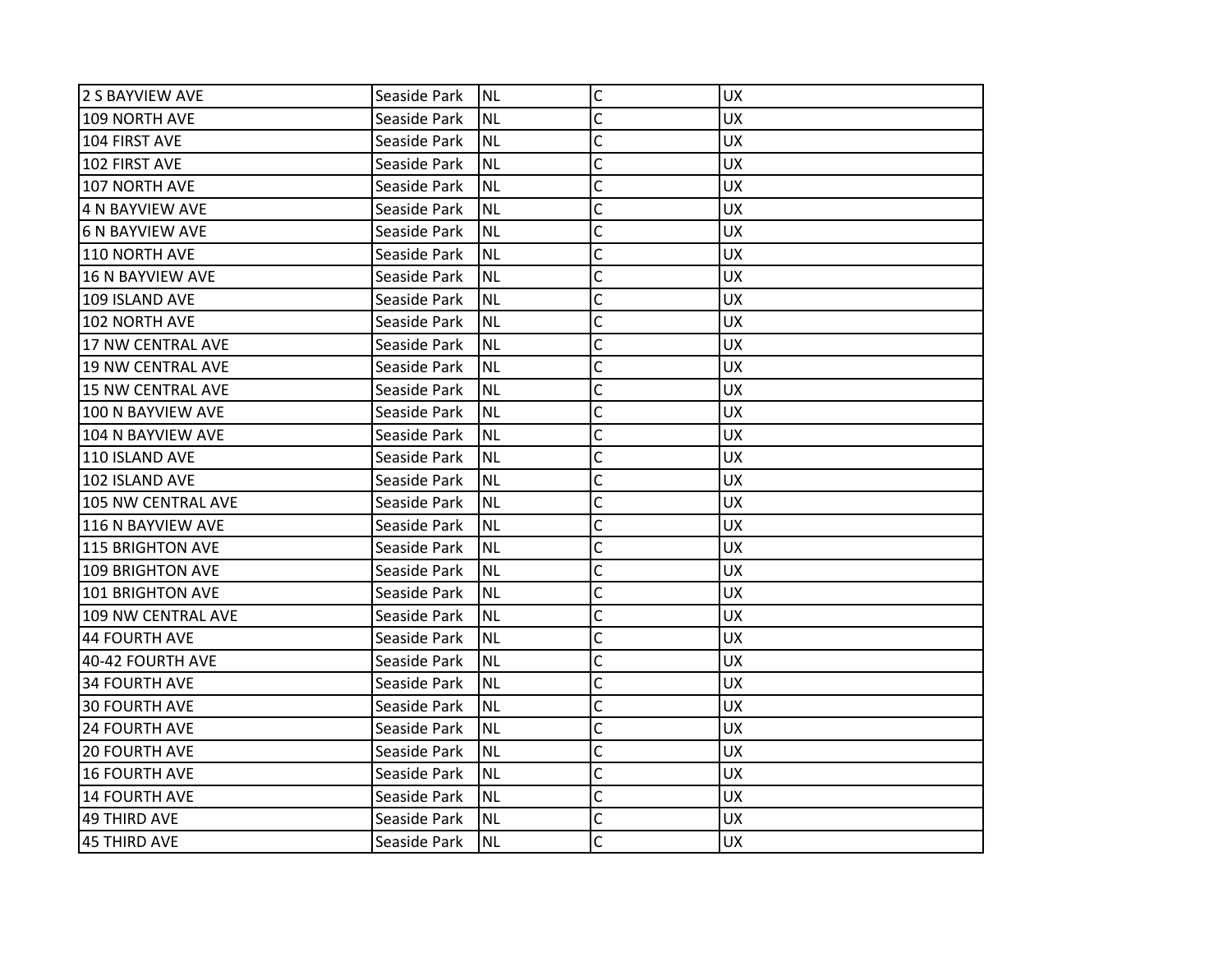| 2 S BAYVIEW AVE          | Seaside Park | <b>NL</b> | $\mathsf C$    | <b>UX</b> |
|--------------------------|--------------|-----------|----------------|-----------|
| 109 NORTH AVE            | Seaside Park | <b>NL</b> | C              | <b>UX</b> |
| 104 FIRST AVE            | Seaside Park | <b>NL</b> | C              | <b>UX</b> |
| 102 FIRST AVE            | Seaside Park | <b>NL</b> | C              | <b>UX</b> |
| 107 NORTH AVE            | Seaside Park | <b>NL</b> | $\mathsf{C}$   | <b>UX</b> |
| 4 N BAYVIEW AVE          | Seaside Park | <b>NL</b> | $\overline{C}$ | UX        |
| <b>6 N BAYVIEW AVE</b>   | Seaside Park | <b>NL</b> | C              | <b>UX</b> |
| 110 NORTH AVE            | Seaside Park | <b>NL</b> | C              | <b>UX</b> |
| 16 N BAYVIEW AVE         | Seaside Park | <b>NL</b> | C              | <b>UX</b> |
| 109 ISLAND AVE           | Seaside Park | <b>NL</b> | $\overline{C}$ | <b>UX</b> |
| 102 NORTH AVE            | Seaside Park | <b>NL</b> | C              | UX        |
| 17 NW CENTRAL AVE        | Seaside Park | <b>NL</b> | C              | <b>UX</b> |
| <b>19 NW CENTRAL AVE</b> | Seaside Park | <b>NL</b> | C              | <b>UX</b> |
| 15 NW CENTRAL AVE        | Seaside Park | <b>NL</b> | C              | <b>UX</b> |
| 100 N BAYVIEW AVE        | Seaside Park | <b>NL</b> | C              | <b>UX</b> |
| 104 N BAYVIEW AVE        | Seaside Park | <b>NL</b> | C              | <b>UX</b> |
| 110 ISLAND AVE           | Seaside Park | <b>NL</b> | Ċ              | <b>UX</b> |
| 102 ISLAND AVE           | Seaside Park | <b>NL</b> | C              | <b>UX</b> |
| 105 NW CENTRAL AVE       | Seaside Park | <b>NL</b> | C              | <b>UX</b> |
| 116 N BAYVIEW AVE        | Seaside Park | <b>NL</b> | C              | <b>UX</b> |
| 115 BRIGHTON AVE         | Seaside Park | <b>NL</b> | $\overline{C}$ | <b>UX</b> |
| <b>109 BRIGHTON AVE</b>  | Seaside Park | <b>NL</b> | C              | <b>UX</b> |
| 101 BRIGHTON AVE         | Seaside Park | <b>NL</b> | C              | <b>UX</b> |
| 109 NW CENTRAL AVE       | Seaside Park | <b>NL</b> | C              | <b>UX</b> |
| <b>44 FOURTH AVE</b>     | Seaside Park | <b>NL</b> | C              | <b>UX</b> |
| 40-42 FOURTH AVE         | Seaside Park | <b>NL</b> | C              | <b>UX</b> |
| <b>34 FOURTH AVE</b>     | Seaside Park | <b>NL</b> | C              | <b>UX</b> |
| <b>30 FOURTH AVE</b>     | Seaside Park | <b>NL</b> | C              | <b>UX</b> |
| <b>24 FOURTH AVE</b>     | Seaside Park | <b>NL</b> | C              | <b>UX</b> |
| <b>20 FOURTH AVE</b>     | Seaside Park | <b>NL</b> | $\mathsf{C}$   | <b>UX</b> |
| <b>16 FOURTH AVE</b>     | Seaside Park | <b>NL</b> | $\mathsf{C}$   | <b>UX</b> |
| <b>14 FOURTH AVE</b>     | Seaside Park | <b>NL</b> | C              | <b>UX</b> |
| <b>49 THIRD AVE</b>      | Seaside Park | <b>NL</b> | C              | <b>UX</b> |
| <b>45 THIRD AVE</b>      | Seaside Park | <b>NL</b> | Ċ              | <b>UX</b> |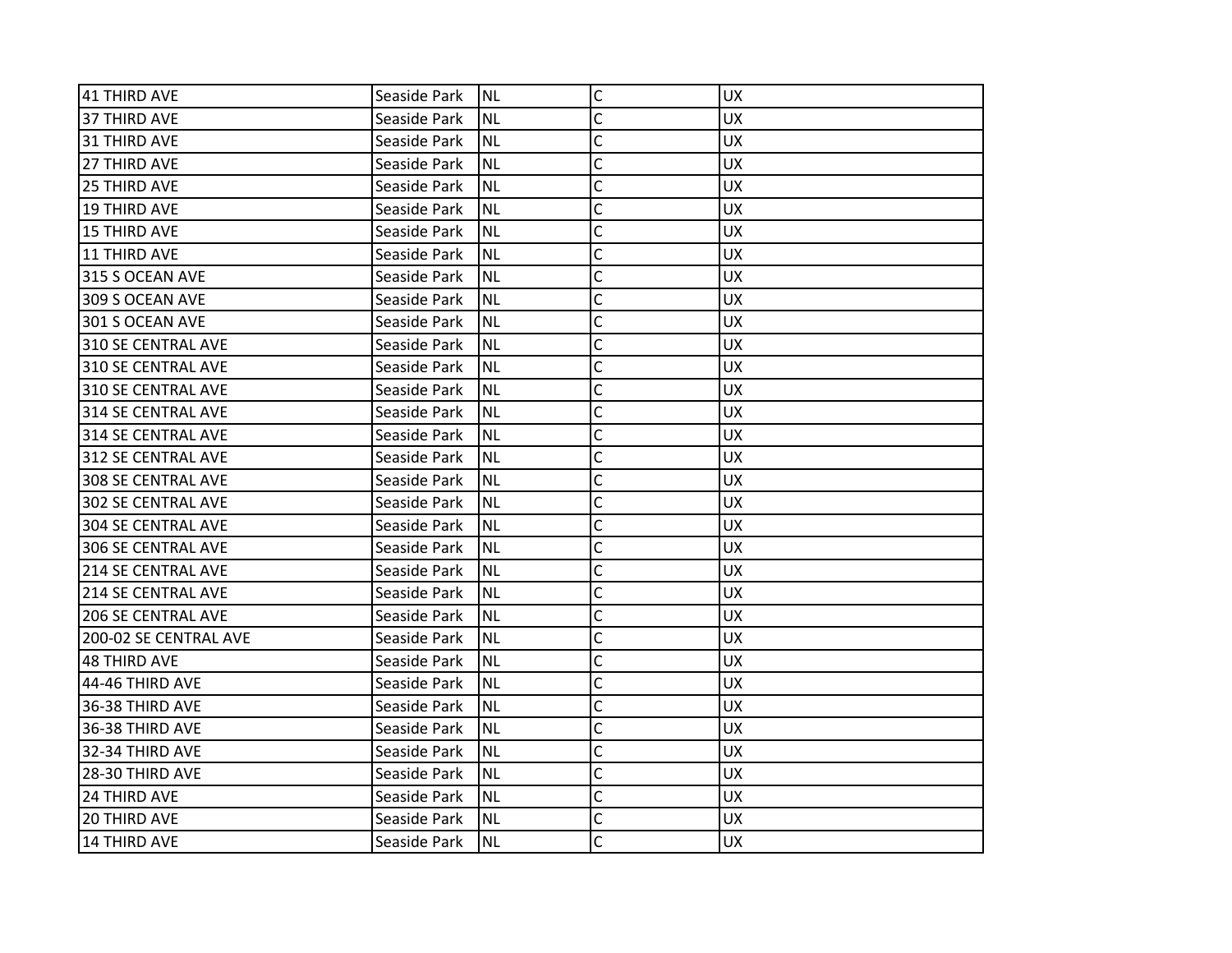| 41 THIRD AVE              | Seaside Park | INL       | C            | <b>UX</b> |
|---------------------------|--------------|-----------|--------------|-----------|
| 37 THIRD AVE              | Seaside Park | <b>NL</b> | C            | <b>UX</b> |
| 31 THIRD AVE              | Seaside Park | NL        | C            | <b>UX</b> |
| 27 THIRD AVE              | Seaside Park | Inl       | C            | <b>UX</b> |
| 25 THIRD AVE              | Seaside Park | INL       | $\mathsf{C}$ | <b>UX</b> |
| <b>19 THIRD AVE</b>       | Seaside Park | <b>NL</b> | Ċ            | UX        |
| 15 THIRD AVE              | Seaside Park | Inl       | Ċ            | <b>UX</b> |
| 11 THIRD AVE              | Seaside Park | NL        | C            | <b>UX</b> |
| 315 S OCEAN AVE           | Seaside Park | Inl       | C            | <b>UX</b> |
| 309 S OCEAN AVE           | Seaside Park | INL       | $\mathsf{C}$ | <b>UX</b> |
| 301 S OCEAN AVE           | Seaside Park | <b>NL</b> | C            | UX.       |
| 310 SE CENTRAL AVE        | Seaside Park | INL       | C            | <b>UX</b> |
| 310 SE CENTRAL AVE        | Seaside Park | Inl       | C            | <b>UX</b> |
| 310 SE CENTRAL AVE        | Seaside Park | Inl       | C            | <b>UX</b> |
| 314 SE CENTRAL AVE        | Seaside Park | <b>NL</b> | C            | <b>UX</b> |
| 314 SE CENTRAL AVE        | Seaside Park | <b>NL</b> | C            | UX.       |
| 312 SE CENTRAL AVE        | Seaside Park | Inl       | Ċ            | <b>UX</b> |
| <b>308 SE CENTRAL AVE</b> | Seaside Park | Inl       | C            | <b>UX</b> |
| <b>302 SE CENTRAL AVE</b> | Seaside Park | NL)       | C            | <b>UX</b> |
| <b>304 SE CENTRAL AVE</b> | Seaside Park | <b>NL</b> | C            | <b>UX</b> |
| <b>306 SE CENTRAL AVE</b> | Seaside Park | <b>NL</b> | C            | UX        |
| 214 SE CENTRAL AVE        | Seaside Park | INL       | C            | <b>UX</b> |
| <b>214 SE CENTRAL AVE</b> | Seaside Park | INL       | C            | <b>UX</b> |
| <b>206 SE CENTRAL AVE</b> | Seaside Park | NL        | C            | UX        |
| 200-02 SE CENTRAL AVE     | Seaside Park | <b>NL</b> | C            | <b>UX</b> |
| 48 THIRD AVE              | Seaside Park | <b>NL</b> | C            | <b>UX</b> |
| 44-46 THIRD AVE           | Seaside Park | <b>NL</b> | C            | <b>UX</b> |
| 36-38 THIRD AVE           | Seaside Park | INL       | C            | <b>UX</b> |
| 36-38 THIRD AVE           | Seaside Park | NL)       | C            | UX        |
| 32-34 THIRD AVE           | Seaside Park | INL       | C            | <b>UX</b> |
| 28-30 THIRD AVE           | Seaside Park | <b>NL</b> | C            | <b>UX</b> |
| 24 THIRD AVE              | Seaside Park | <b>NL</b> | Ċ            | <b>UX</b> |
| <b>20 THIRD AVE</b>       | Seaside Park | NL        | C            | <b>UX</b> |
| 14 THIRD AVE              | Seaside Park | <b>NL</b> | Ċ            | UX        |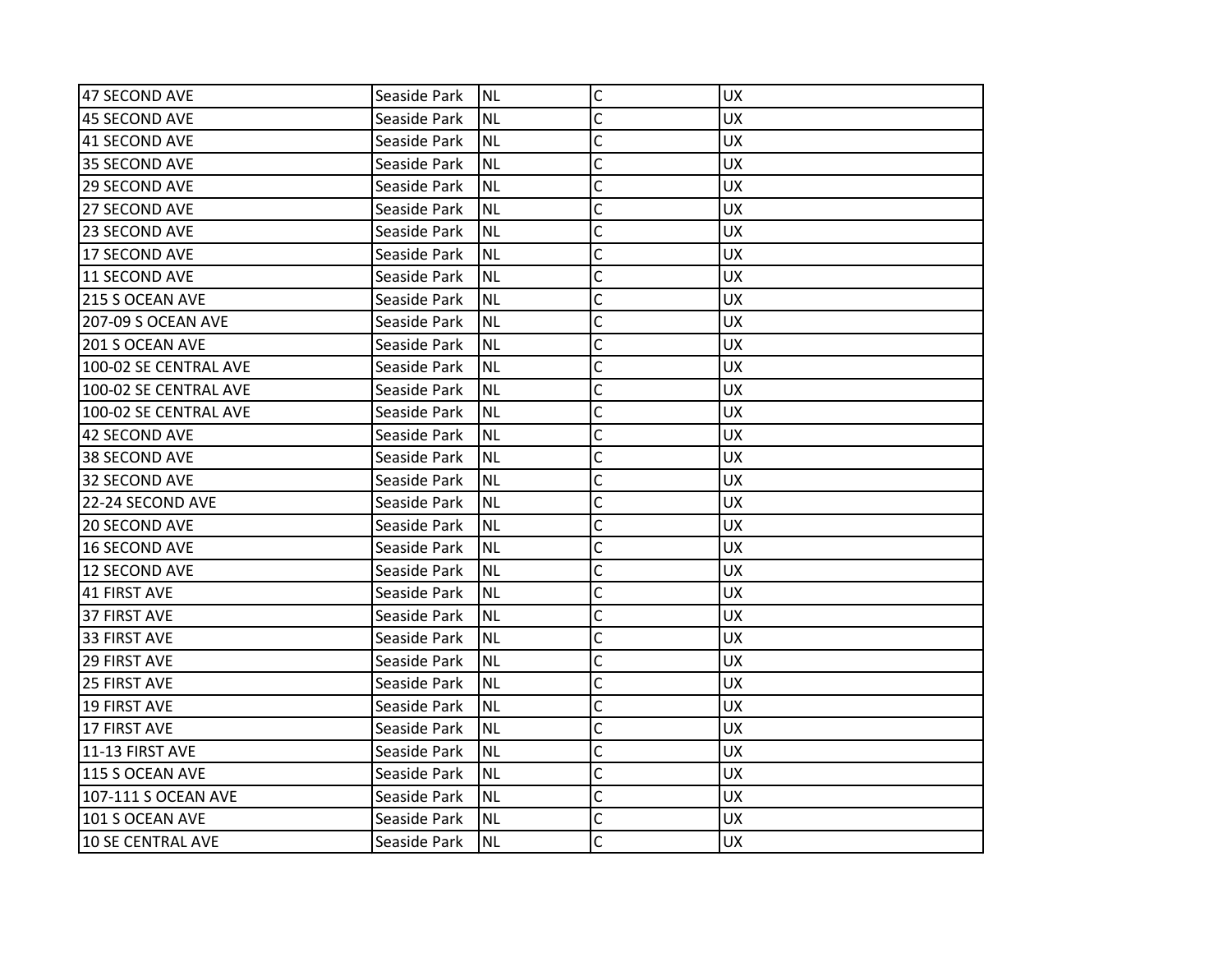| 47 SECOND AVE            | Seaside Park | <b>NL</b> | $\mathsf C$    | <b>UX</b> |
|--------------------------|--------------|-----------|----------------|-----------|
| 45 SECOND AVE            | Seaside Park | <b>NL</b> | C              | <b>UX</b> |
| 41 SECOND AVE            | Seaside Park | <b>NL</b> | C              | <b>UX</b> |
| 35 SECOND AVE            | Seaside Park | <b>NL</b> | Ċ              | <b>UX</b> |
| 29 SECOND AVE            | Seaside Park | <b>NL</b> | $\mathsf{C}$   | <b>UX</b> |
| 27 SECOND AVE            | Seaside Park | <b>NL</b> | C              | UX        |
| 23 SECOND AVE            | Seaside Park | <b>NL</b> | C              | <b>UX</b> |
| 17 SECOND AVE            | Seaside Park | <b>NL</b> | C              | <b>UX</b> |
| 11 SECOND AVE            | Seaside Park | <b>NL</b> | C              | <b>UX</b> |
| 215 S OCEAN AVE          | Seaside Park | <b>NL</b> | $\overline{C}$ | <b>UX</b> |
| 207-09 S OCEAN AVE       | Seaside Park | <b>NL</b> | C              | <b>UX</b> |
| 201 S OCEAN AVE          | Seaside Park | <b>NL</b> | C              | <b>UX</b> |
| 100-02 SE CENTRAL AVE    | Seaside Park | <b>NL</b> | C              | <b>UX</b> |
| 100-02 SE CENTRAL AVE    | Seaside Park | <b>NL</b> | C              | <b>UX</b> |
| 100-02 SE CENTRAL AVE    | Seaside Park | <b>NL</b> | $\mathsf{C}$   | <b>UX</b> |
| 42 SECOND AVE            | Seaside Park | <b>NL</b> | C              | <b>UX</b> |
| 38 SECOND AVE            | Seaside Park | <b>NL</b> | Ċ              | <b>UX</b> |
| 32 SECOND AVE            | Seaside Park | <b>NL</b> | C              | <b>UX</b> |
| 22-24 SECOND AVE         | Seaside Park | <b>NL</b> | C              | <b>UX</b> |
| 20 SECOND AVE            | Seaside Park | <b>NL</b> | $\mathsf{C}$   | <b>UX</b> |
| <b>16 SECOND AVE</b>     | Seaside Park | <b>NL</b> | C              | UX        |
| 12 SECOND AVE            | Seaside Park | <b>NL</b> | C              | <b>UX</b> |
| 41 FIRST AVE             | Seaside Park | <b>NL</b> | C              | <b>UX</b> |
| 37 FIRST AVE             | Seaside Park | <b>NL</b> | Ċ              | <b>UX</b> |
| 33 FIRST AVE             | Seaside Park | <b>NL</b> | C              | UX        |
| <b>29 FIRST AVE</b>      | Seaside Park | <b>NL</b> | C              | <b>UX</b> |
| <b>25 FIRST AVE</b>      | Seaside Park | <b>NL</b> | C              | <b>UX</b> |
| <b>19 FIRST AVE</b>      | Seaside Park | <b>NL</b> | C              | <b>UX</b> |
| <b>17 FIRST AVE</b>      | Seaside Park | <b>NL</b> | $\mathsf{C}$   | <b>UX</b> |
| 11-13 FIRST AVE          | Seaside Park | <b>NL</b> | $\mathsf{C}$   | <b>UX</b> |
| 115 S OCEAN AVE          | Seaside Park | <b>NL</b> | $\overline{C}$ | <b>UX</b> |
| 107-111 S OCEAN AVE      | Seaside Park | <b>NL</b> | $\mathsf{C}$   | <b>UX</b> |
| 101 S OCEAN AVE          | Seaside Park | <b>NL</b> | C              | <b>UX</b> |
| <b>10 SE CENTRAL AVE</b> | Seaside Park | <b>NL</b> | C              | <b>UX</b> |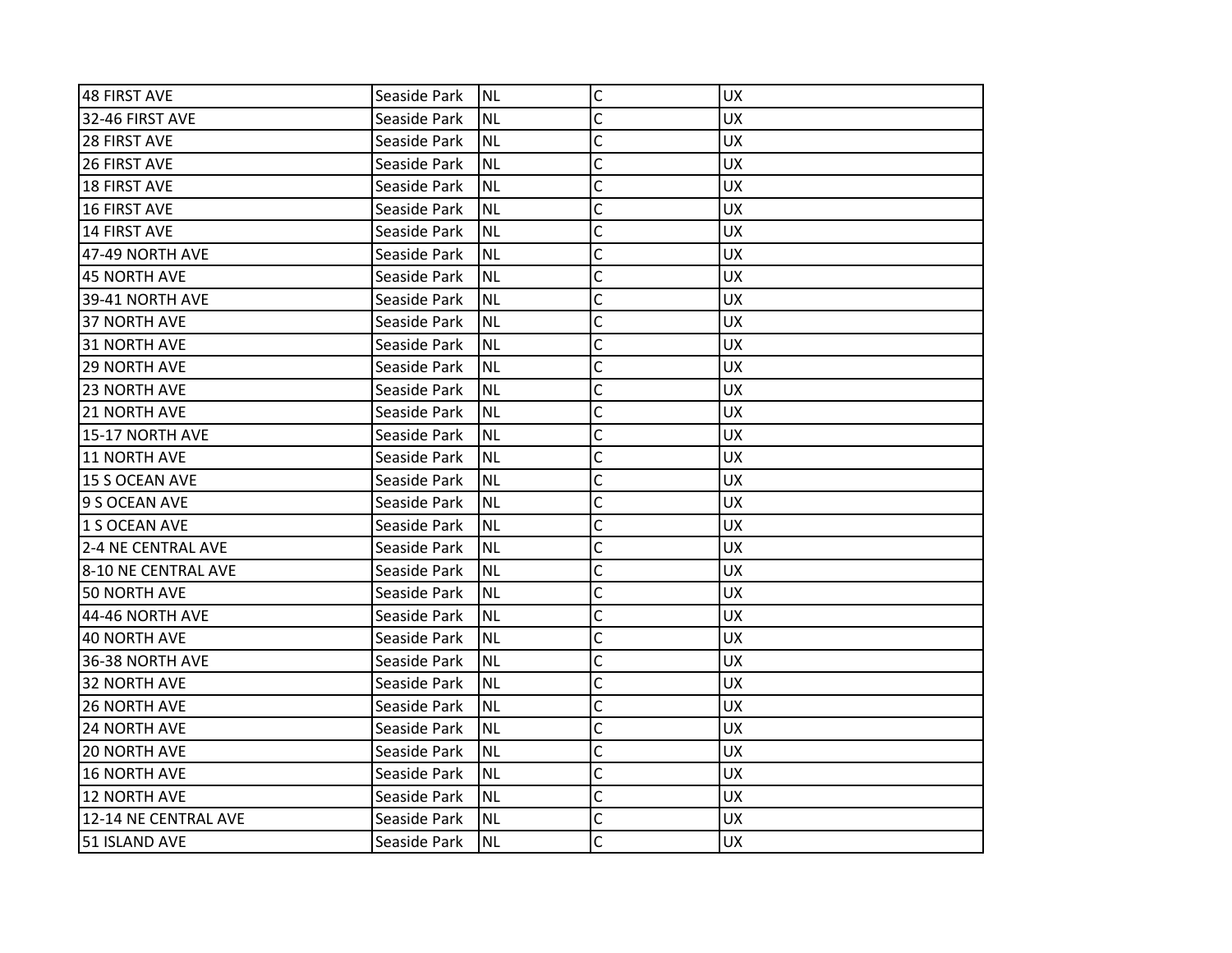| 48 FIRST AVE         | Seaside Park | <b>NL</b> | $\mathsf{C}$   | <b>UX</b> |
|----------------------|--------------|-----------|----------------|-----------|
| 32-46 FIRST AVE      | Seaside Park | <b>NL</b> | C              | <b>UX</b> |
| 28 FIRST AVE         | Seaside Park | <b>NL</b> | C              | <b>UX</b> |
| 26 FIRST AVE         | Seaside Park | <b>NL</b> | C              | <b>UX</b> |
| <b>18 FIRST AVE</b>  | Seaside Park | <b>NL</b> | C              | <b>UX</b> |
| <b>16 FIRST AVE</b>  | Seaside Park | <b>NL</b> | C              | <b>UX</b> |
| <b>14 FIRST AVE</b>  | Seaside Park | <b>NL</b> | C              | <b>UX</b> |
| 47-49 NORTH AVE      | Seaside Park | <b>NL</b> | Ċ              | <b>UX</b> |
| 45 NORTH AVE         | Seaside Park | <b>NL</b> | $\mathsf{C}$   | <b>UX</b> |
| 39-41 NORTH AVE      | Seaside Park | <b>NL</b> | $\overline{C}$ | <b>UX</b> |
| <b>37 NORTH AVE</b>  | Seaside Park | <b>NL</b> | C              | <b>UX</b> |
| 31 NORTH AVE         | Seaside Park | <b>NL</b> | C              | <b>UX</b> |
| 29 NORTH AVE         | Seaside Park | <b>NL</b> | C              | <b>UX</b> |
| 23 NORTH AVE         | Seaside Park | <b>NL</b> | C              | <b>UX</b> |
| <b>21 NORTH AVE</b>  | Seaside Park | <b>NL</b> | $\mathsf{C}$   | <b>UX</b> |
| 15-17 NORTH AVE      | Seaside Park | <b>NL</b> | C              | <b>UX</b> |
| 11 NORTH AVE         | Seaside Park | <b>NL</b> | C              | <b>UX</b> |
| 15 S OCEAN AVE       | Seaside Park | <b>NL</b> | C              | <b>UX</b> |
| 9 S OCEAN AVE        | Seaside Park | <b>NL</b> | C              | <b>UX</b> |
| 1 S OCEAN AVE        | Seaside Park | <b>NL</b> | $\mathsf C$    | <b>UX</b> |
| 2-4 NE CENTRAL AVE   | Seaside Park | <b>NL</b> | Ċ              | <b>UX</b> |
| 8-10 NE CENTRAL AVE  | Seaside Park | <b>NL</b> | C              | <b>UX</b> |
| 50 NORTH AVE         | Seaside Park | <b>NL</b> | C              | <b>UX</b> |
| 44-46 NORTH AVE      | Seaside Park | <b>NL</b> | C              | <b>UX</b> |
| <b>40 NORTH AVE</b>  | Seaside Park | <b>NL</b> | C              | <b>UX</b> |
| 36-38 NORTH AVE      | Seaside Park | <b>NL</b> | C              | <b>UX</b> |
| <b>32 NORTH AVE</b>  | Seaside Park | <b>NL</b> | C              | <b>UX</b> |
| <b>26 NORTH AVE</b>  | Seaside Park | <b>NL</b> | $\overline{C}$ | <b>UX</b> |
| <b>24 NORTH AVE</b>  | Seaside Park | <b>NL</b> | C              | <b>UX</b> |
| <b>20 NORTH AVE</b>  | Seaside Park | <b>NL</b> | $\mathsf{C}$   | <b>UX</b> |
| <b>16 NORTH AVE</b>  | Seaside Park | <b>NL</b> | $\mathsf{C}$   | <b>UX</b> |
| <b>12 NORTH AVE</b>  | Seaside Park | <b>NL</b> | $\mathsf{C}$   | <b>UX</b> |
| 12-14 NE CENTRAL AVE | Seaside Park | <b>NL</b> | C              | <b>UX</b> |
| 51 ISLAND AVE        | Seaside Park | <b>NL</b> | Ċ              | <b>UX</b> |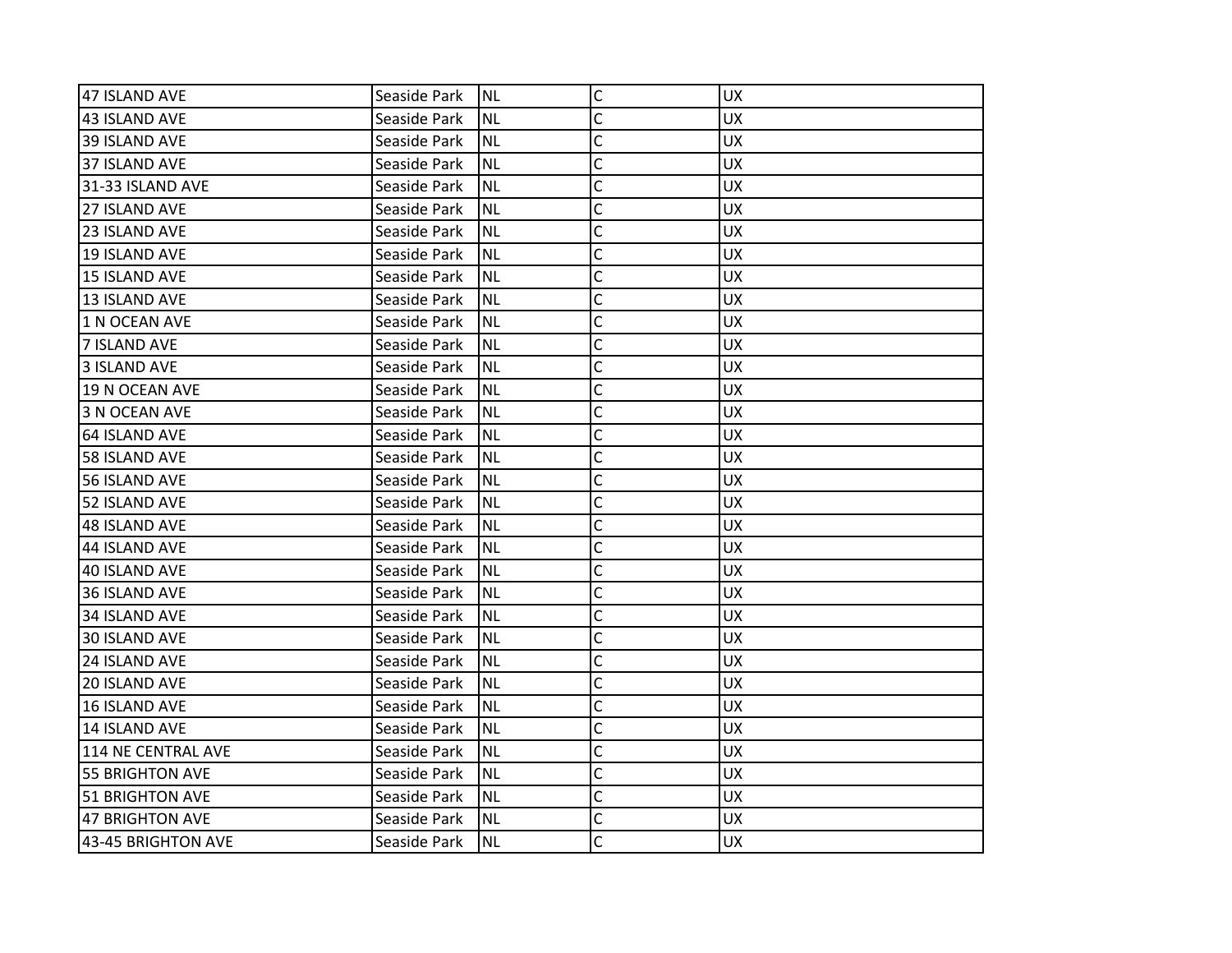| 47 ISLAND AVE          | Seaside Park | <b>NL</b> | $\mathsf C$  | <b>UX</b> |
|------------------------|--------------|-----------|--------------|-----------|
| 43 ISLAND AVE          | Seaside Park | INL       | C            | <b>UX</b> |
| 39 ISLAND AVE          | Seaside Park | NL        | C            | UX.       |
| 37 ISLAND AVE          | Seaside Park | Inl       | C            | <b>UX</b> |
| 31-33 ISLAND AVE       | Seaside Park | <b>NL</b> | C            | <b>UX</b> |
| 27 ISLAND AVE          | Seaside Park | <b>NL</b> | C            | <b>UX</b> |
| 23 ISLAND AVE          | Seaside Park | <b>NL</b> | C            | UX        |
| 19 ISLAND AVE          | Seaside Park | NL)       | C            | <b>UX</b> |
| 15 ISLAND AVE          | Seaside Park | NL        | C            | <b>UX</b> |
| 13 ISLAND AVE          | Seaside Park | <b>NL</b> | C            | <b>UX</b> |
| 1 N OCEAN AVE          | Seaside Park | <b>NL</b> | C            | <b>UX</b> |
| 7 ISLAND AVE           | Seaside Park | INL       | Ċ            | <b>UX</b> |
| 3 ISLAND AVE           | Seaside Park | NL        | C            | <b>UX</b> |
| 19 N OCEAN AVE         | Seaside Park | NL        | C            | <b>UX</b> |
| 3 N OCEAN AVE          | Seaside Park | INL       | $\mathsf{C}$ | <b>UX</b> |
| 64 ISLAND AVE          | Seaside Park | <b>NL</b> | C            | UX.       |
| <b>58 ISLAND AVE</b>   | Seaside Park | INL       | Ċ            | <b>UX</b> |
| 56 ISLAND AVE          | Seaside Park | NL        | C            | <b>UX</b> |
| 52 ISLAND AVE          | Seaside Park | INL       | C            | <b>UX</b> |
| 48 ISLAND AVE          | Seaside Park | INL       | C            | <b>UX</b> |
| 44 ISLAND AVE          | Seaside Park | <b>NL</b> | C            | UX.       |
| 40 ISLAND AVE          | Seaside Park | NL        | C            | <b>UX</b> |
| 36 ISLAND AVE          | Seaside Park | NL        | C            | <b>UX</b> |
| 34 ISLAND AVE          | Seaside Park | NL        | C            | <b>UX</b> |
| 30 ISLAND AVE          | Seaside Park | INL       | C            | <b>UX</b> |
| 24 ISLAND AVE          | Seaside Park | <b>NL</b> | C            | UX        |
| 20 ISLAND AVE          | Seaside Park | INL       | C            | <b>UX</b> |
| 16 ISLAND AVE          | Seaside Park | NL        | C            | <b>UX</b> |
| 14 ISLAND AVE          | Seaside Park | NL        | C            | <b>UX</b> |
| 114 NE CENTRAL AVE     | Seaside Park | <b>NL</b> | C            | <b>UX</b> |
| <b>55 BRIGHTON AVE</b> | Seaside Park | <b>NL</b> | C            | UX.       |
| 51 BRIGHTON AVE        | Seaside Park | NL)       | C            | <b>UX</b> |
| 47 BRIGHTON AVE        | Seaside Park | NL        | C            | <b>UX</b> |
| 43-45 BRIGHTON AVE     | Seaside Park | <b>NL</b> | C            | <b>UX</b> |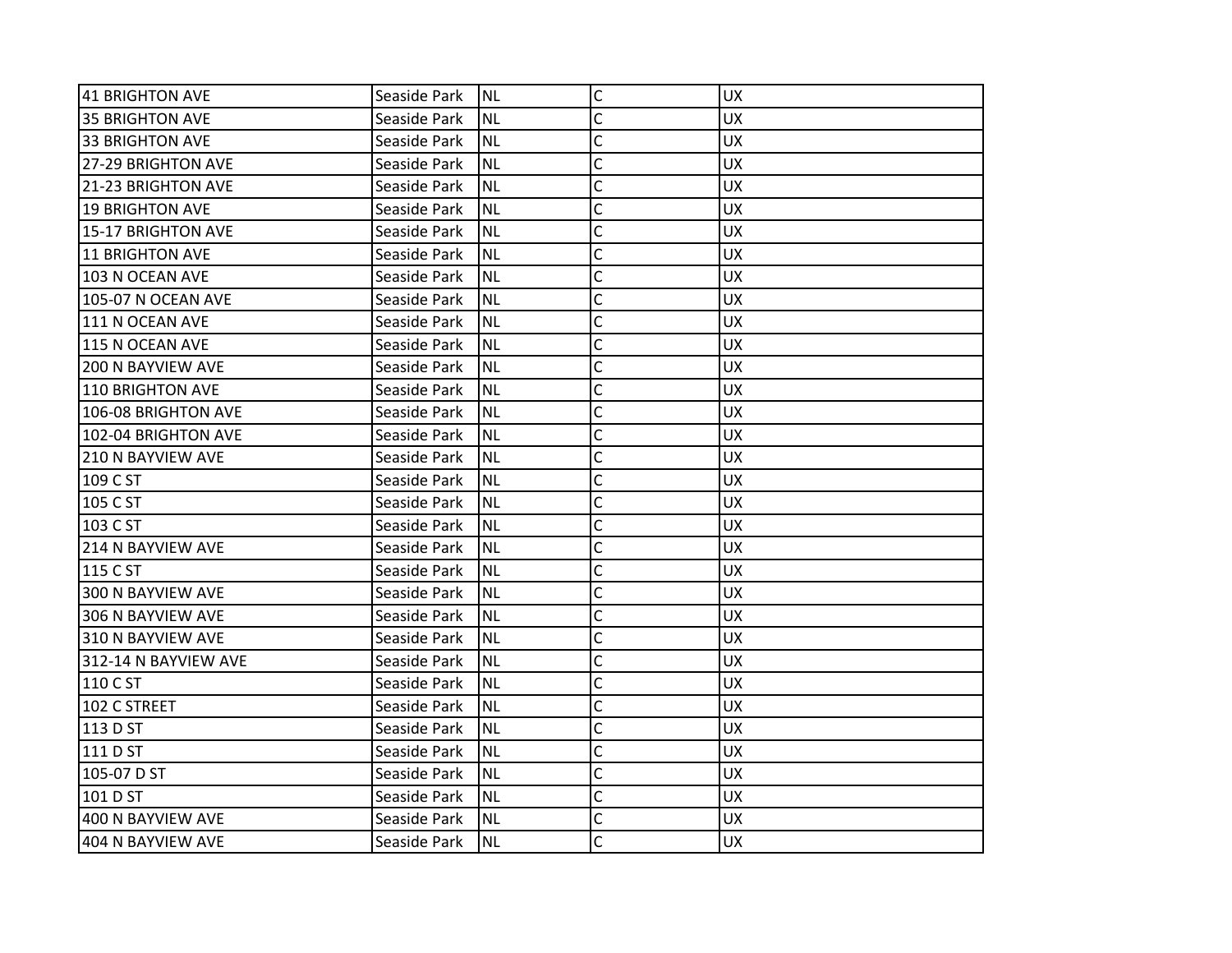| 41 BRIGHTON AVE           | Seaside Park | INL       | $\mathsf C$  | <b>UX</b> |
|---------------------------|--------------|-----------|--------------|-----------|
| <b>35 BRIGHTON AVE</b>    | Seaside Park | <b>NL</b> | C            | <b>UX</b> |
| 33 BRIGHTON AVE           | Seaside Park | <b>NL</b> | C            | <b>UX</b> |
| 27-29 BRIGHTON AVE        | Seaside Park | <b>NL</b> | C            | <b>UX</b> |
| 21-23 BRIGHTON AVE        | Seaside Park | <b>NL</b> | Ċ            | <b>UX</b> |
| <b>19 BRIGHTON AVE</b>    | Seaside Park | <b>NL</b> | C            | UX        |
| 15-17 BRIGHTON AVE        | Seaside Park | <b>NL</b> | Ċ            | <b>UX</b> |
| 11 BRIGHTON AVE           | Seaside Park | <b>NL</b> | C            | <b>UX</b> |
| 103 N OCEAN AVE           | Seaside Park | <b>NL</b> | C            | <b>UX</b> |
| <b>105-07 N OCEAN AVE</b> | Seaside Park | <b>NL</b> | C            | <b>UX</b> |
| 111 N OCEAN AVE           | Seaside Park | <b>NL</b> | C            | <b>UX</b> |
| 115 N OCEAN AVE           | Seaside Park | <b>NL</b> | C            | <b>UX</b> |
| 200 N BAYVIEW AVE         | Seaside Park | <b>NL</b> | C            | <b>UX</b> |
| 110 BRIGHTON AVE          | Seaside Park | <b>NL</b> | C            | <b>UX</b> |
| 106-08 BRIGHTON AVE       | Seaside Park | <b>NL</b> | C            | <b>UX</b> |
| 102-04 BRIGHTON AVE       | Seaside Park | <b>NL</b> | C            | <b>UX</b> |
| <b>210 N BAYVIEW AVE</b>  | Seaside Park | <b>NL</b> | Ċ            | <b>UX</b> |
| 109 C ST                  | Seaside Park | <b>NL</b> | C            | <b>UX</b> |
| 105 C ST                  | Seaside Park | <b>NL</b> | C            | <b>UX</b> |
| 103 C ST                  | Seaside Park | <b>NL</b> | C            | <b>UX</b> |
| <b>214 N BAYVIEW AVE</b>  | Seaside Park | <b>NL</b> | C            | <b>UX</b> |
| 115 C ST                  | Seaside Park | <b>NL</b> | C            | <b>UX</b> |
| 300 N BAYVIEW AVE         | Seaside Park | <b>NL</b> | C            | <b>UX</b> |
| 306 N BAYVIEW AVE         | Seaside Park | <b>NL</b> | C            | <b>UX</b> |
| 310 N BAYVIEW AVE         | Seaside Park | <b>NL</b> | C            | <b>UX</b> |
| 312-14 N BAYVIEW AVE      | Seaside Park | <b>NL</b> | C            | <b>UX</b> |
| 110 C ST                  | Seaside Park | <b>NL</b> | C            | <b>UX</b> |
| 102 C STREET              | Seaside Park | <b>NL</b> | C            | <b>UX</b> |
| 113 D ST                  | Seaside Park | <b>NL</b> | C            | <b>UX</b> |
| 111 D ST                  | Seaside Park | <b>NL</b> | $\mathsf{C}$ | <b>UX</b> |
| 105-07 D ST               | Seaside Park | <b>NL</b> | $\mathsf{C}$ | <b>UX</b> |
| 101 D ST                  | Seaside Park | <b>NL</b> | C            | <b>UX</b> |
| 400 N BAYVIEW AVE         | Seaside Park | <b>NL</b> | C            | <b>UX</b> |
| 404 N BAYVIEW AVE         | Seaside Park | <b>NL</b> | Ċ            | <b>UX</b> |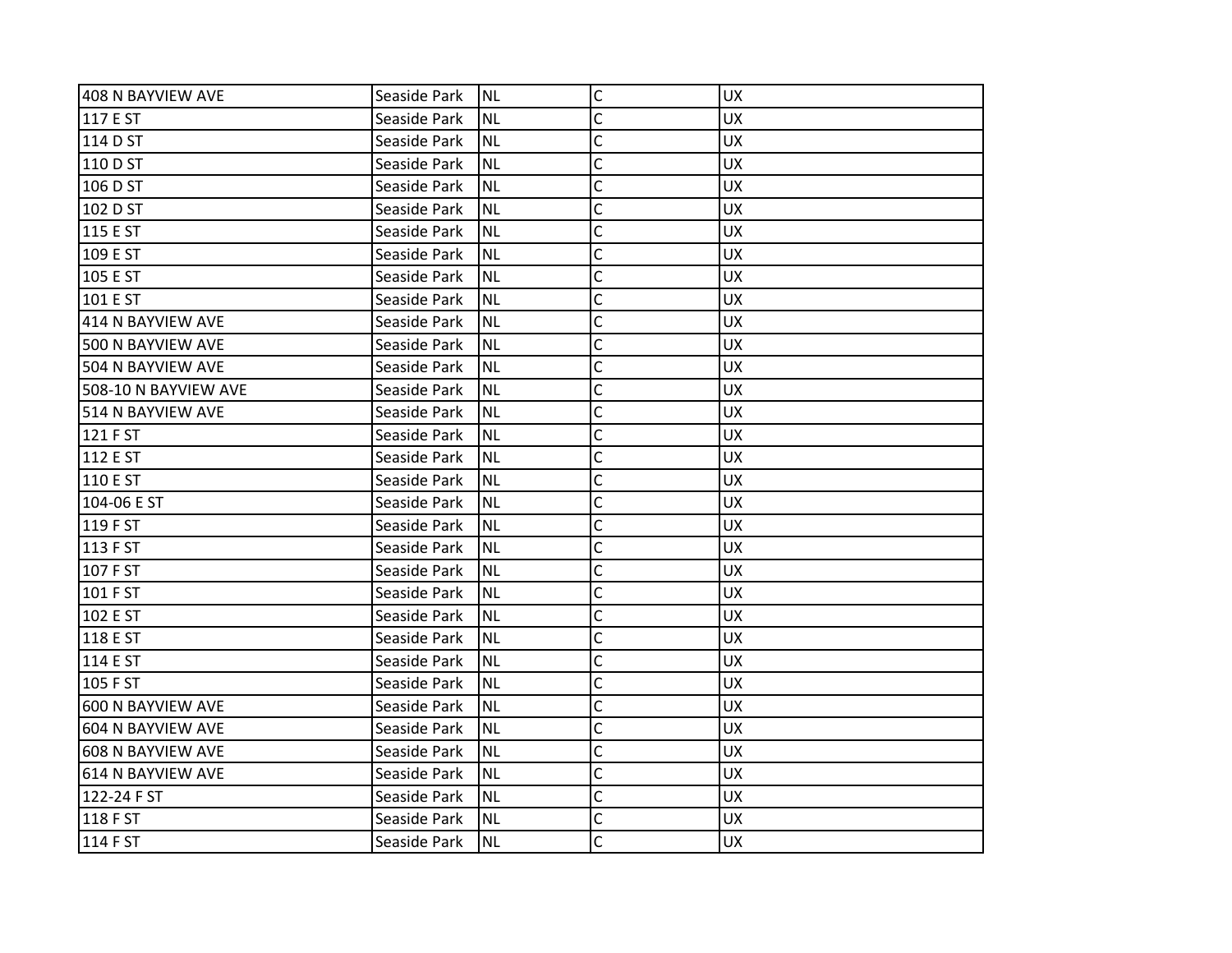| 408 N BAYVIEW AVE        | Seaside Park | <b>NL</b> | $\mathsf C$  | <b>UX</b> |
|--------------------------|--------------|-----------|--------------|-----------|
| 117 E ST                 | Seaside Park | <b>NL</b> | C            | <b>UX</b> |
| 114 D ST                 | Seaside Park | <b>NL</b> | C            | <b>UX</b> |
| 110 D ST                 | Seaside Park | <b>NL</b> | Ċ            | <b>UX</b> |
| 106 D ST                 | Seaside Park | <b>NL</b> | C            | <b>UX</b> |
| 102 D ST                 | Seaside Park | <b>NL</b> | C            | <b>UX</b> |
| 115 E ST                 | Seaside Park | <b>NL</b> | C            | <b>UX</b> |
| 109 E ST                 | Seaside Park | <b>NL</b> | C            | <b>UX</b> |
| 105 E ST                 | Seaside Park | <b>NL</b> | C            | <b>UX</b> |
| 101 E ST                 | Seaside Park | <b>NL</b> | C            | <b>UX</b> |
| 414 N BAYVIEW AVE        | Seaside Park | <b>NL</b> | C            | <b>UX</b> |
| 500 N BAYVIEW AVE        | Seaside Park | <b>NL</b> | C            | <b>UX</b> |
| 504 N BAYVIEW AVE        | Seaside Park | <b>NL</b> | C            | <b>UX</b> |
| 508-10 N BAYVIEW AVE     | Seaside Park | <b>NL</b> | Ċ            | <b>UX</b> |
| 514 N BAYVIEW AVE        | Seaside Park | <b>NL</b> | C            | <b>UX</b> |
| 121 F ST                 | Seaside Park | <b>NL</b> | C            | <b>UX</b> |
| 112 E ST                 | Seaside Park | <b>NL</b> | C            | <b>UX</b> |
| 110 E ST                 | Seaside Park | <b>NL</b> | C            | <b>UX</b> |
| 104-06 E ST              | Seaside Park | <b>NL</b> | C            | <b>UX</b> |
| 119 F ST                 | Seaside Park | <b>NL</b> | C            | <b>UX</b> |
| 113 F ST                 | Seaside Park | <b>NL</b> | C            | <b>UX</b> |
| 107 F ST                 | Seaside Park | <b>NL</b> | C            | <b>UX</b> |
| 101 F ST                 | Seaside Park | <b>NL</b> | C            | <b>UX</b> |
| 102 E ST                 | Seaside Park | <b>NL</b> | C            | <b>UX</b> |
| 118 E ST                 | Seaside Park | <b>NL</b> | C            | <b>UX</b> |
| 114 E ST                 | Seaside Park | <b>NL</b> | C            | <b>UX</b> |
| 105 F ST                 | Seaside Park | <b>NL</b> | C            | <b>UX</b> |
| 600 N BAYVIEW AVE        | Seaside Park | <b>NL</b> | C            | <b>UX</b> |
| 604 N BAYVIEW AVE        | Seaside Park | <b>NL</b> | C            | <b>UX</b> |
| <b>608 N BAYVIEW AVE</b> | Seaside Park | <b>NL</b> | $\mathsf{C}$ | <b>UX</b> |
| 614 N BAYVIEW AVE        | Seaside Park | <b>NL</b> | C            | <b>UX</b> |
| 122-24 F ST              | Seaside Park | <b>NL</b> | C            | <b>UX</b> |
| 118 F ST                 | Seaside Park | <b>NL</b> | C            | <b>UX</b> |
| 114 F ST                 | Seaside Park | Inl       | C            | <b>UX</b> |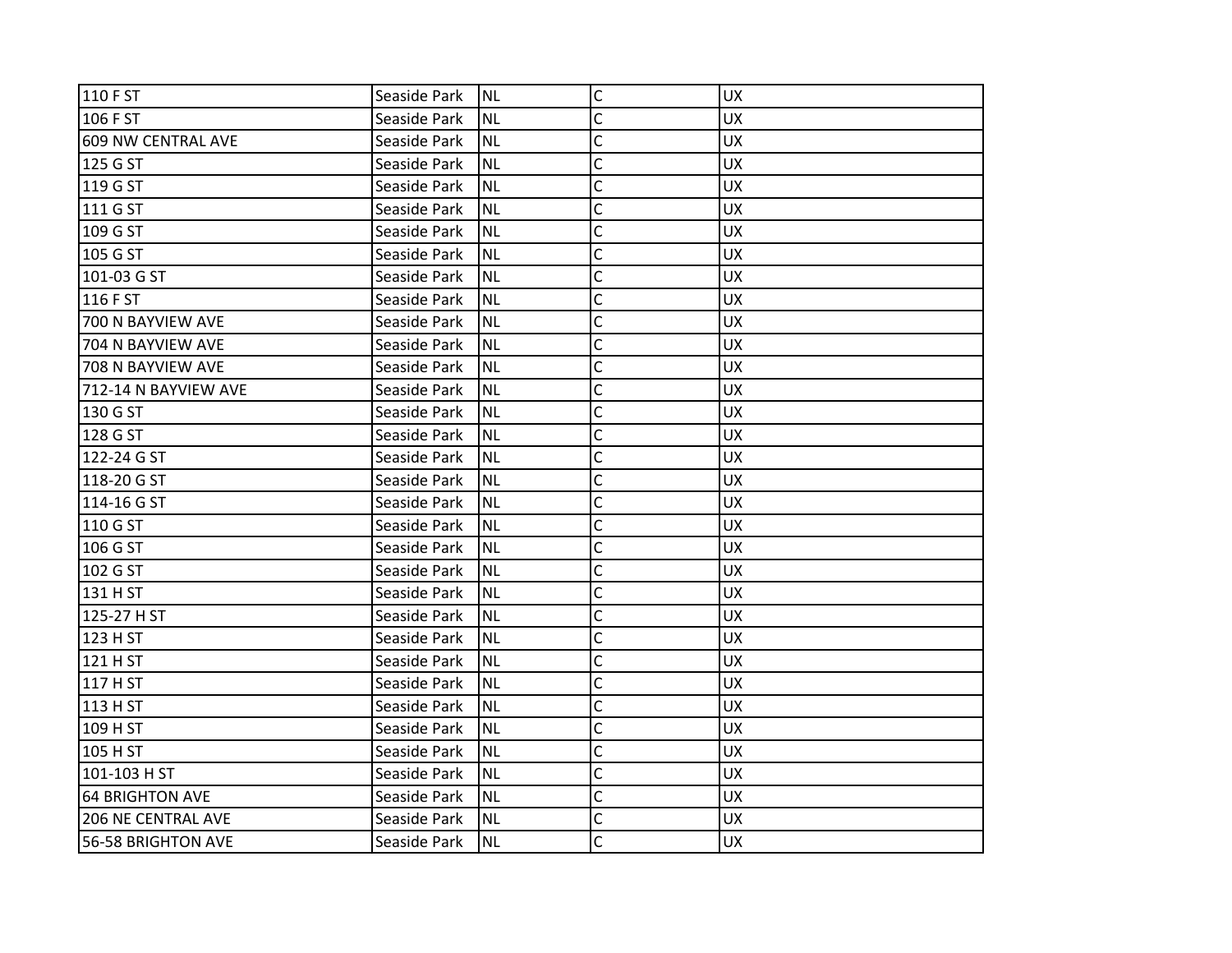| 110 F ST                  | Seaside Park | <b>NL</b> | $\mathsf C$    | <b>UX</b> |
|---------------------------|--------------|-----------|----------------|-----------|
| 106 F ST                  | Seaside Park | <b>NL</b> | C              | <b>UX</b> |
| 609 NW CENTRAL AVE        | Seaside Park | <b>NL</b> | C              | <b>UX</b> |
| 125 G ST                  | Seaside Park | <b>NL</b> | $\mathsf{C}$   | <b>UX</b> |
| 119 G ST                  | Seaside Park | <b>NL</b> | $\mathsf{C}$   | <b>UX</b> |
| 111 G ST                  | Seaside Park | <b>NL</b> | C              | UX        |
| 109 G ST                  | Seaside Park | <b>NL</b> | C              | <b>UX</b> |
| 105 G ST                  | Seaside Park | <b>NL</b> | C              | <b>UX</b> |
| 101-03 G ST               | Seaside Park | <b>NL</b> | C              | <b>UX</b> |
| 116 F ST                  | Seaside Park | <b>NL</b> | $\mathsf{C}$   | <b>UX</b> |
| 700 N BAYVIEW AVE         | Seaside Park | <b>NL</b> | C              | <b>UX</b> |
| 704 N BAYVIEW AVE         | Seaside Park | <b>NL</b> | C              | <b>UX</b> |
| 708 N BAYVIEW AVE         | Seaside Park | <b>NL</b> | C              | <b>UX</b> |
| 712-14 N BAYVIEW AVE      | Seaside Park | <b>NL</b> | $\mathsf{C}$   | <b>UX</b> |
| 130 G ST                  | Seaside Park | <b>NL</b> | $\mathsf{C}$   | <b>UX</b> |
| 128 G ST                  | Seaside Park | <b>NL</b> | C              | <b>UX</b> |
| 122-24 G ST               | Seaside Park | <b>NL</b> | Ċ              | <b>UX</b> |
| 118-20 G ST               | Seaside Park | <b>NL</b> | C              | <b>UX</b> |
| 114-16 G ST               | Seaside Park | <b>NL</b> | C              | <b>UX</b> |
| 110 G ST                  | Seaside Park | <b>NL</b> | $\mathsf{C}$   | <b>UX</b> |
| 106 G ST                  | Seaside Park | <b>NL</b> | C              | <b>UX</b> |
| 102 G ST                  | Seaside Park | <b>NL</b> | Ċ              | <b>UX</b> |
| 131 H ST                  | Seaside Park | <b>NL</b> | C              | <b>UX</b> |
| 125-27 H ST               | Seaside Park | <b>NL</b> | Ċ              | <b>UX</b> |
| 123 H ST                  | Seaside Park | <b>NL</b> | C              | UX        |
| 121 H ST                  | Seaside Park | <b>NL</b> | C              | <b>UX</b> |
| 117 H ST                  | Seaside Park | <b>NL</b> | C              | <b>UX</b> |
| 113 H ST                  | Seaside Park | <b>NL</b> | C              | <b>UX</b> |
| 109 H ST                  | Seaside Park | <b>NL</b> | $\overline{C}$ | <b>UX</b> |
| 105 H ST                  | Seaside Park | <b>NL</b> | $\mathsf{C}$   | <b>UX</b> |
| 101-103 H ST              | Seaside Park | <b>NL</b> | C              | <b>UX</b> |
| <b>64 BRIGHTON AVE</b>    | Seaside Park | <b>NL</b> | $\mathsf{C}$   | <b>UX</b> |
| <b>206 NE CENTRAL AVE</b> | Seaside Park | <b>NL</b> | C              | <b>UX</b> |
| 56-58 BRIGHTON AVE        | Seaside Park | <b>NL</b> | C              | <b>UX</b> |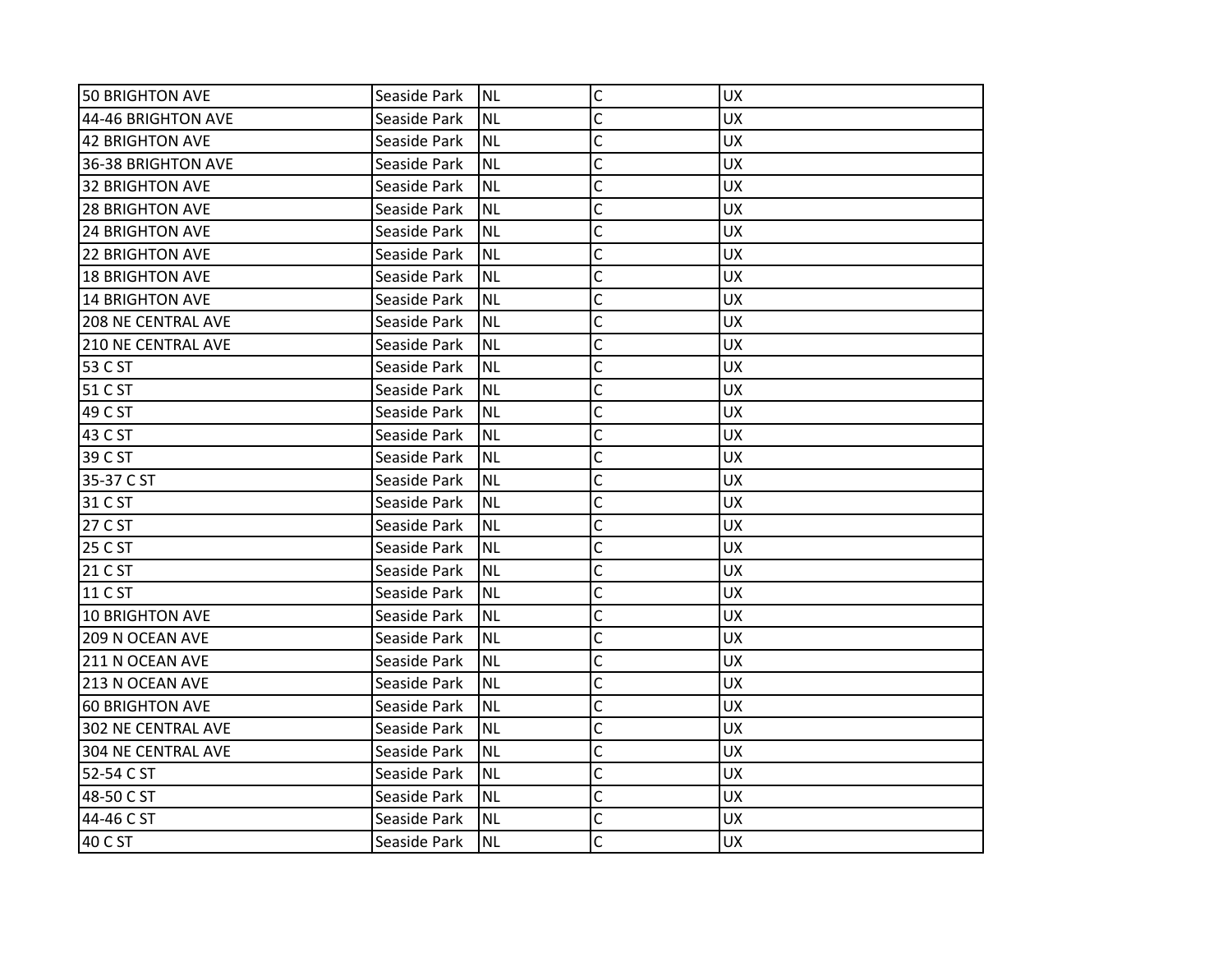| 50 BRIGHTON AVE           | Seaside Park | Inl       | $\mathsf{C}$   | <b>UX</b> |
|---------------------------|--------------|-----------|----------------|-----------|
| 44-46 BRIGHTON AVE        | Seaside Park | <b>NL</b> | C              | <b>UX</b> |
| 42 BRIGHTON AVE           | Seaside Park | <b>NL</b> | C              | <b>UX</b> |
| 36-38 BRIGHTON AVE        | Seaside Park | <b>NL</b> | C              | <b>UX</b> |
| 32 BRIGHTON AVE           | Seaside Park | <b>NL</b> | C              | <b>UX</b> |
| <b>28 BRIGHTON AVE</b>    | Seaside Park | <b>NL</b> | C              | <b>UX</b> |
| <b>24 BRIGHTON AVE</b>    | Seaside Park | <b>NL</b> | C              | <b>UX</b> |
| 22 BRIGHTON AVE           | Seaside Park | <b>NL</b> | C              | <b>UX</b> |
| 18 BRIGHTON AVE           | Seaside Park | <b>NL</b> | C              | <b>UX</b> |
| 14 BRIGHTON AVE           | Seaside Park | <b>NL</b> | Ċ              | <b>UX</b> |
| <b>208 NE CENTRAL AVE</b> | Seaside Park | <b>NL</b> | C              | <b>UX</b> |
| <b>210 NE CENTRAL AVE</b> | Seaside Park | <b>NL</b> | C              | <b>UX</b> |
| 53 C ST                   | Seaside Park | <b>NL</b> | C              | <b>UX</b> |
| 51 C ST                   | Seaside Park | <b>NL</b> | C              | <b>UX</b> |
| 49 C ST                   | Seaside Park | <b>NL</b> | $\overline{C}$ | <b>UX</b> |
| 43 C ST                   | Seaside Park | <b>NL</b> | C              | <b>UX</b> |
| 39 C ST                   | Seaside Park | <b>NL</b> | Ċ              | <b>UX</b> |
| 35-37 C ST                | Seaside Park | <b>NL</b> | C              | <b>UX</b> |
| 31 C ST                   | Seaside Park | <b>NL</b> | C              | <b>UX</b> |
| 27 C ST                   | Seaside Park | <b>NL</b> | C              | <b>UX</b> |
| 25 C ST                   | Seaside Park | <b>NL</b> | C              | <b>UX</b> |
| 21 C ST                   | Seaside Park | <b>NL</b> | Ċ              | <b>UX</b> |
| 11 C ST                   | Seaside Park | <b>NL</b> | C              | <b>UX</b> |
| 10 BRIGHTON AVE           | Seaside Park | <b>NL</b> | C              | <b>UX</b> |
| 209 N OCEAN AVE           | Seaside Park | <b>NL</b> | C              | <b>UX</b> |
| 211 N OCEAN AVE           | Seaside Park | ΝL        | C              | <b>UX</b> |
| 213 N OCEAN AVE           | Seaside Park | <b>NL</b> | C              | <b>UX</b> |
| 60 BRIGHTON AVE           | Seaside Park | <b>NL</b> | C              | <b>UX</b> |
| 302 NE CENTRAL AVE        | Seaside Park | <b>NL</b> | C              | <b>UX</b> |
| 304 NE CENTRAL AVE        | Seaside Park | <b>NL</b> | C              | <b>UX</b> |
| 52-54 C ST                | Seaside Park | NL        | C              | <b>UX</b> |
| 48-50 C ST                | Seaside Park | <b>NL</b> | C              | <b>UX</b> |
| 44-46 C ST                | Seaside Park | <b>NL</b> | C              | <b>UX</b> |
| 40 C ST                   | Seaside Park | INL       | Ċ              | <b>UX</b> |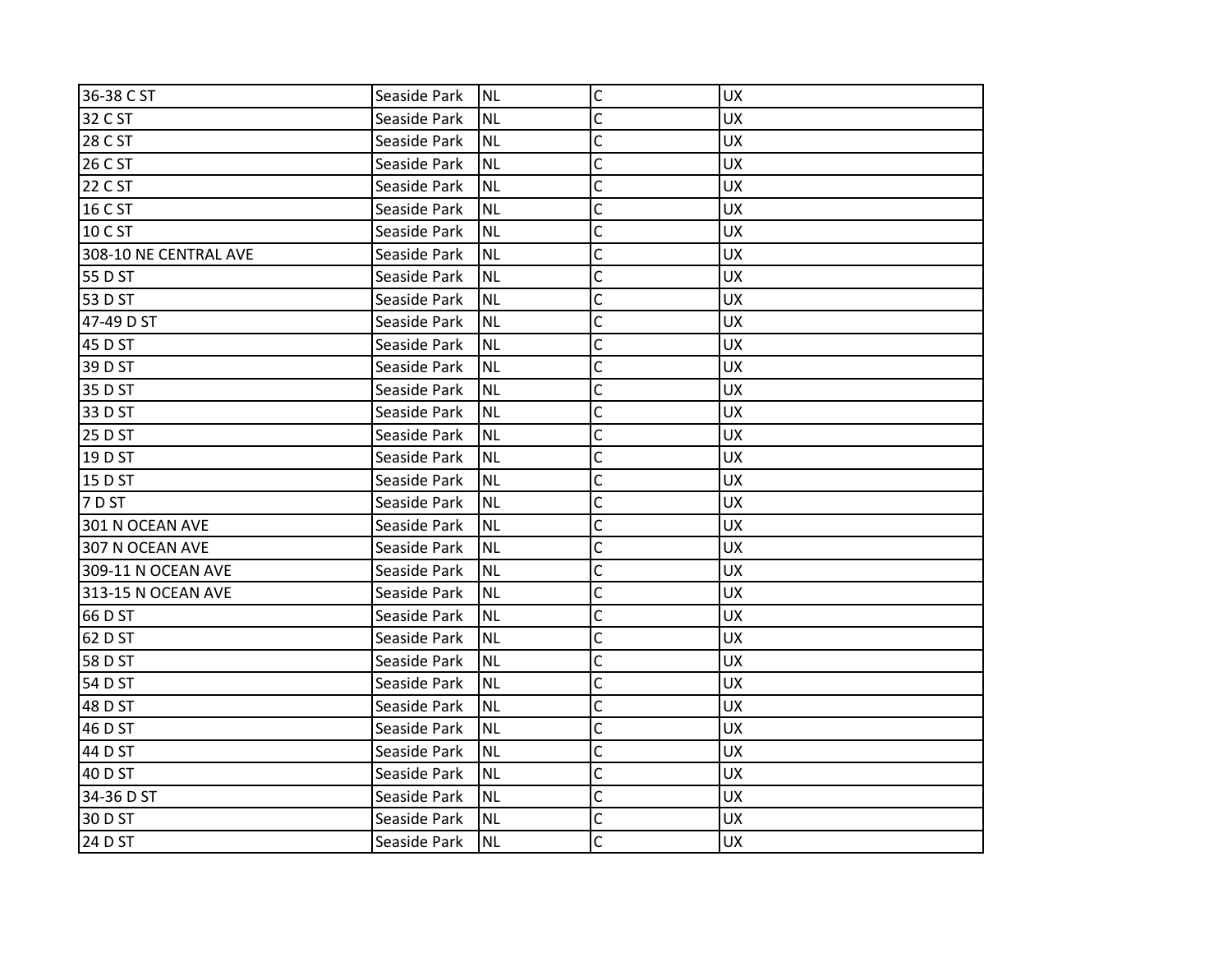| 36-38 C ST            | Seaside Park | <b>NL</b> | $\mathsf{C}$   | <b>UX</b> |
|-----------------------|--------------|-----------|----------------|-----------|
| 32 C ST               | Seaside Park | <b>NL</b> | C              | <b>UX</b> |
| 28 C ST               | Seaside Park | <b>NL</b> | C              | <b>UX</b> |
| 26 C ST               | Seaside Park | <b>NL</b> | $\overline{C}$ | UX        |
| 22 C ST               | Seaside Park | <b>NL</b> | $\mathsf{C}$   | <b>UX</b> |
| 16 C ST               | Seaside Park | <b>NL</b> | $\mathsf{C}$   | <b>UX</b> |
| 10 C ST               | Seaside Park | <b>NL</b> | $\mathsf{C}$   | <b>UX</b> |
| 308-10 NE CENTRAL AVE | Seaside Park | <b>NL</b> | C              | <b>UX</b> |
| 55 D ST               | Seaside Park | <b>NL</b> | $\mathsf{C}$   | <b>UX</b> |
| 53 D ST               | Seaside Park | <b>NL</b> | $\mathsf{C}$   | <b>UX</b> |
| 47-49 D ST            | Seaside Park | <b>NL</b> | $\mathsf{C}$   | <b>UX</b> |
| 45 D ST               | Seaside Park | <b>NL</b> | C              | <b>UX</b> |
| 39 D ST               | Seaside Park | <b>NL</b> | C              | <b>UX</b> |
| 35 D ST               | Seaside Park | <b>NL</b> | $\mathsf{C}$   | <b>UX</b> |
| 33 D ST               | Seaside Park | <b>NL</b> | $\mathsf{C}$   | UX        |
| 25 D ST               | Seaside Park | <b>NL</b> | $\mathsf{C}$   | <b>UX</b> |
| 19 D ST               | Seaside Park | <b>NL</b> | C              | <b>UX</b> |
| 15 D ST               | Seaside Park | <b>NL</b> | C              | <b>UX</b> |
| 7 D ST                | Seaside Park | <b>NL</b> | C              | <b>UX</b> |
| 301 N OCEAN AVE       | Seaside Park | <b>NL</b> | $\mathsf{C}$   | UX        |
| 307 N OCEAN AVE       | Seaside Park | <b>NL</b> | $\mathsf{C}$   | <b>UX</b> |
| 309-11 N OCEAN AVE    | Seaside Park | <b>NL</b> | $\mathsf{C}$   | <b>UX</b> |
| 313-15 N OCEAN AVE    | Seaside Park | <b>NL</b> | C              | <b>UX</b> |
| 66 D ST               | Seaside Park | <b>NL</b> | C              | UX        |
| 62 D ST               | Seaside Park | <b>NL</b> | $\overline{C}$ | UX        |
| 58 D ST               | Seaside Park | <b>NL</b> | C              | <b>UX</b> |
| 54 D ST               | Seaside Park | <b>NL</b> | C              | <b>UX</b> |
| 48 D ST               | Seaside Park | <b>NL</b> | C              | <b>UX</b> |
| 46 D ST               | Seaside Park | <b>NL</b> | $\overline{C}$ | UX        |
| 44 D ST               | Seaside Park | <b>NL</b> | $\mathsf{C}$   | <b>UX</b> |
| 40 D ST               | Seaside Park | <b>NL</b> | C              | <b>UX</b> |
| 34-36 D ST            | Seaside Park | <b>NL</b> | $\mathsf{C}$   | UX        |
| 30 D ST               | Seaside Park | <b>NL</b> | C              | <b>UX</b> |
| 24 D ST               | Seaside Park | <b>NL</b> | C              | <b>UX</b> |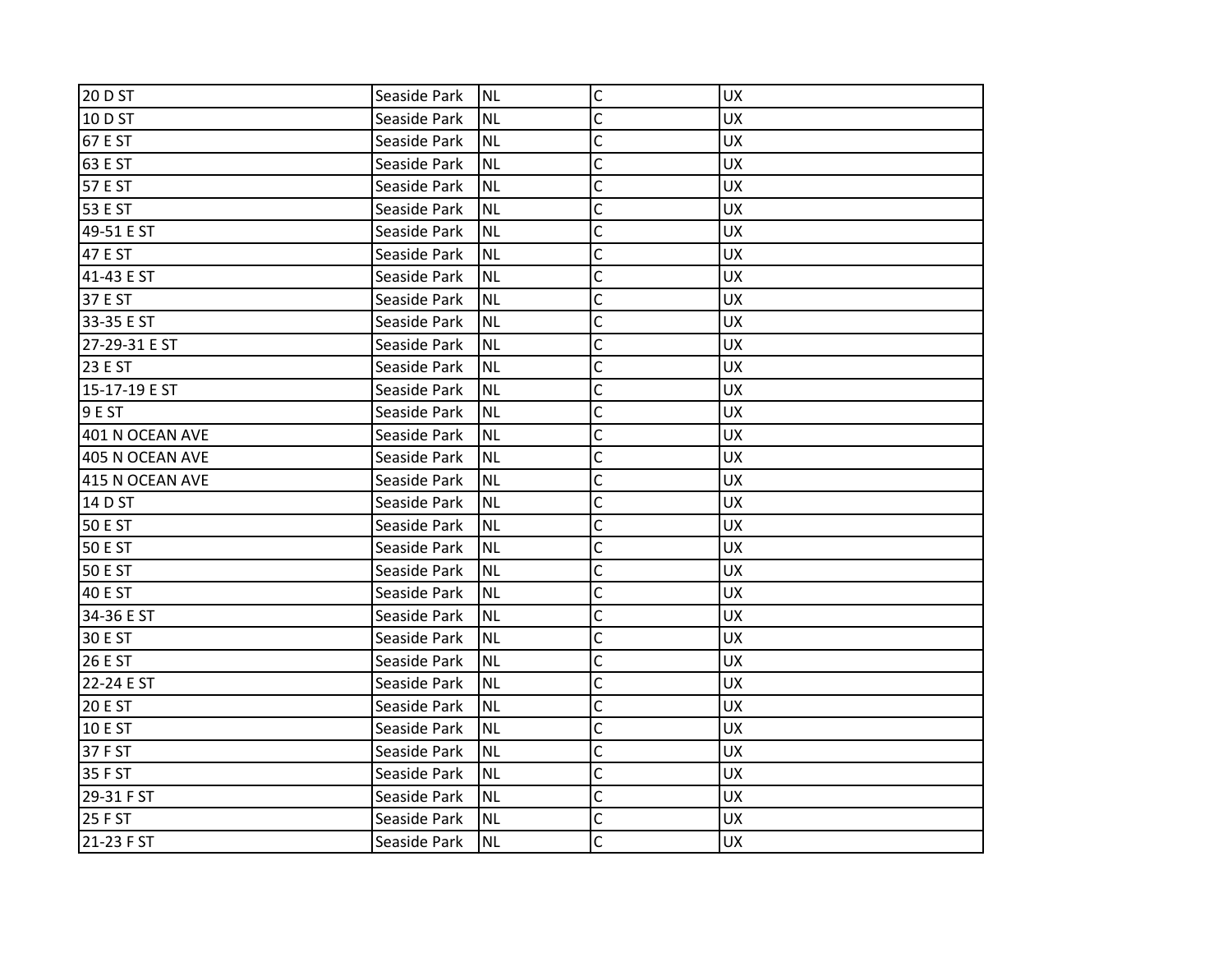| 20 D ST         | Seaside Park | <b>NL</b> | $\mathsf C$    | <b>UX</b> |
|-----------------|--------------|-----------|----------------|-----------|
| 10 D ST         | Seaside Park | <b>NL</b> | C              | <b>UX</b> |
| 67 E ST         | Seaside Park | <b>NL</b> | C              | <b>UX</b> |
| 63 E ST         | Seaside Park | <b>NL</b> | $\mathsf{C}$   | <b>UX</b> |
| 57 E ST         | Seaside Park | <b>NL</b> | $\mathsf{C}$   | UX        |
| 53 E ST         | Seaside Park | <b>NL</b> | $\mathsf{C}$   | <b>UX</b> |
| 49-51 E ST      | Seaside Park | <b>NL</b> | $\overline{C}$ | <b>UX</b> |
| <b>47 E ST</b>  | Seaside Park | <b>NL</b> | C              | <b>UX</b> |
| 41-43 E ST      | Seaside Park | <b>NL</b> | C              | <b>UX</b> |
| 37 E ST         | Seaside Park | <b>NL</b> | $\overline{C}$ | UX        |
| 33-35 E ST      | Seaside Park | <b>NL</b> | $\mathsf{C}$   | UX        |
| 27-29-31 E ST   | Seaside Park | <b>NL</b> | C              | <b>UX</b> |
| 23 E ST         | Seaside Park | <b>NL</b> | C              | <b>UX</b> |
| 15-17-19 E ST   | Seaside Park | <b>NL</b> | $\mathsf{C}$   | UX        |
| 9 E ST          | Seaside Park | <b>NL</b> | $\mathsf{C}$   | <b>UX</b> |
| 401 N OCEAN AVE | Seaside Park | <b>NL</b> | C              | <b>UX</b> |
| 405 N OCEAN AVE | Seaside Park | <b>NL</b> | Ċ              | <b>UX</b> |
| 415 N OCEAN AVE | Seaside Park | <b>NL</b> | C              | <b>UX</b> |
| 14 D ST         | Seaside Park | <b>NL</b> | C              | <b>UX</b> |
| 50 E ST         | Seaside Park | <b>NL</b> | $\mathsf{C}$   | UX        |
| <b>50 E ST</b>  | Seaside Park | <b>NL</b> | $\mathsf{C}$   | <b>UX</b> |
| <b>50 E ST</b>  | Seaside Park | <b>NL</b> | $\mathsf{C}$   | <b>UX</b> |
| <b>40 E ST</b>  | Seaside Park | <b>NL</b> | C              | <b>UX</b> |
| 34-36 E ST      | Seaside Park | <b>NL</b> | C              | <b>UX</b> |
| 30 E ST         | Seaside Park | <b>NL</b> | $\mathsf{C}$   | UX        |
| <b>26 E ST</b>  | Seaside Park | <b>NL</b> | C              | <b>UX</b> |
| 22-24 E ST      | Seaside Park | <b>NL</b> | C              | <b>UX</b> |
| <b>20 E ST</b>  | Seaside Park | <b>NL</b> | C              | <b>UX</b> |
| <b>10 E ST</b>  | Seaside Park | <b>NL</b> | $\overline{C}$ | <b>UX</b> |
| 37 F ST         | Seaside Park | <b>NL</b> | $\mathsf{C}$   | UX        |
| 35 F ST         | Seaside Park | <b>NL</b> | C              | <b>UX</b> |
| 29-31 F ST      | Seaside Park | <b>NL</b> | $\mathsf{C}$   | <b>UX</b> |
| 25 F ST         | Seaside Park | <b>NL</b> | C              | <b>UX</b> |
| 21-23 F ST      | Seaside Park | <b>NL</b> | C              | <b>UX</b> |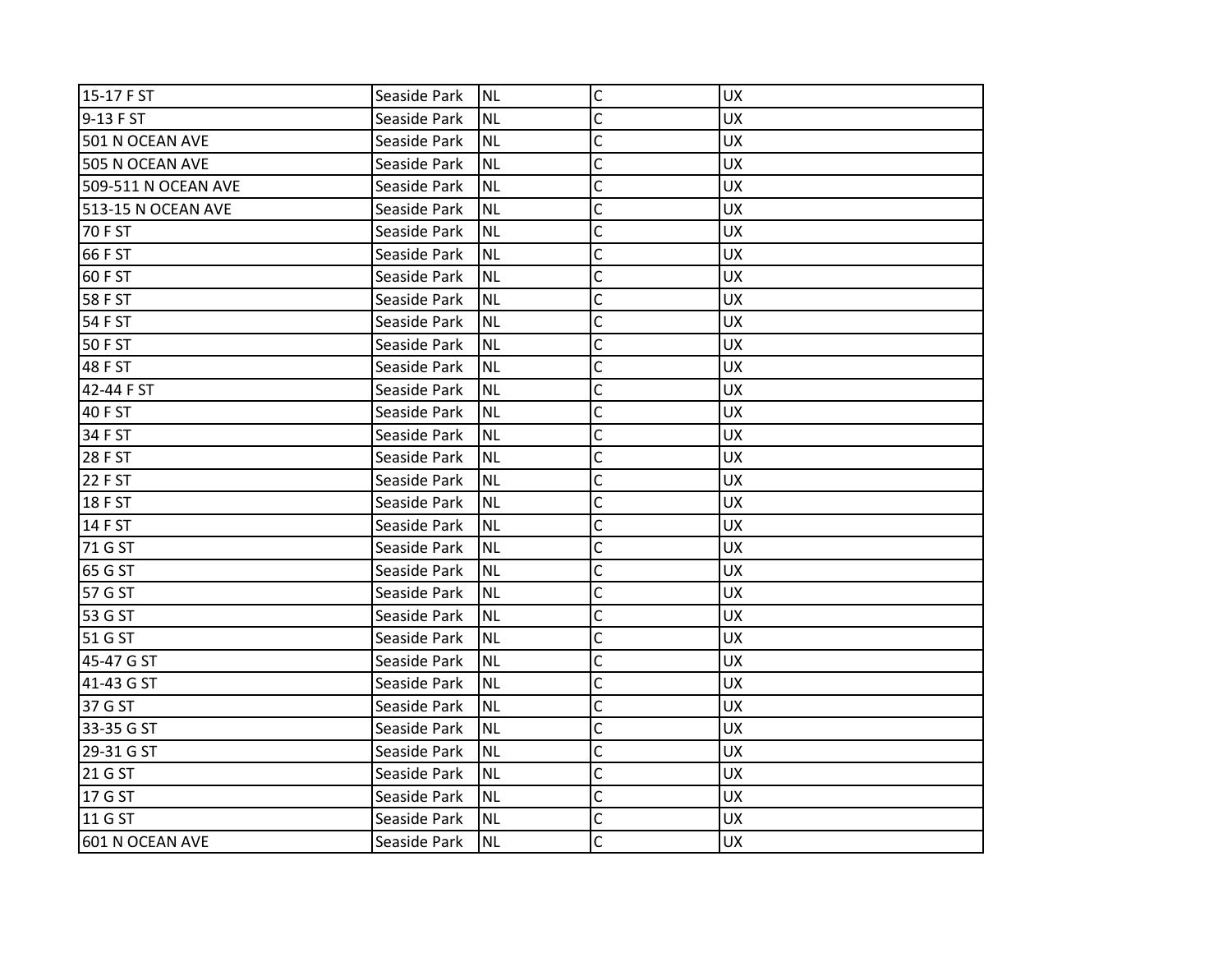| 15-17 F ST          | Seaside Park | Inl       | $\mathsf C$    | <b>UX</b> |
|---------------------|--------------|-----------|----------------|-----------|
| 9-13 F ST           | Seaside Park | <b>NL</b> | C              | <b>UX</b> |
| 501 N OCEAN AVE     | Seaside Park | <b>NL</b> | C              | <b>UX</b> |
| 505 N OCEAN AVE     | Seaside Park | <b>NL</b> | $\mathsf{C}$   | <b>UX</b> |
| 509-511 N OCEAN AVE | Seaside Park | <b>NL</b> | $\mathsf{C}$   | <b>UX</b> |
| 513-15 N OCEAN AVE  | Seaside Park | <b>NL</b> | C              | <b>UX</b> |
| 70 F ST             | Seaside Park | <b>NL</b> | C              | <b>UX</b> |
| 66 F ST             | Seaside Park | <b>NL</b> | C              | <b>UX</b> |
| 60 F ST             | Seaside Park | <b>NL</b> | $\mathsf{C}$   | <b>UX</b> |
| 58 F ST             | Seaside Park | <b>NL</b> | $\mathsf{C}$   | <b>UX</b> |
| 54 F ST             | Seaside Park | <b>NL</b> | C              | <b>UX</b> |
| 50 F ST             | Seaside Park | <b>NL</b> | C              | <b>UX</b> |
| 48 F ST             | Seaside Park | <b>NL</b> | C              | <b>UX</b> |
| 42-44 F ST          | Seaside Park | <b>NL</b> | $\mathsf{C}$   | <b>UX</b> |
| 40 F ST             | Seaside Park | <b>NL</b> | $\mathsf{C}$   | <b>UX</b> |
| 34 F ST             | Seaside Park | <b>NL</b> | C              | <b>UX</b> |
| 28 F ST             | Seaside Park | <b>NL</b> | C              | <b>UX</b> |
| 22 F ST             | Seaside Park | <b>NL</b> | C              | <b>UX</b> |
| <b>18 F ST</b>      | Seaside Park | <b>NL</b> | $\mathsf{C}$   | <b>UX</b> |
| 14 F ST             | Seaside Park | <b>NL</b> | $\mathsf{C}$   | <b>UX</b> |
| 71 G ST             | Seaside Park | <b>NL</b> | C              | <b>UX</b> |
| 65 G ST             | Seaside Park | <b>NL</b> | C              | <b>UX</b> |
| 57 G ST             | Seaside Park | <b>NL</b> | C              | <b>UX</b> |
| 53 G ST             | Seaside Park | <b>NL</b> | C              | <b>UX</b> |
| 51 G ST             | Seaside Park | <b>NL</b> | $\overline{C}$ | <b>UX</b> |
| 45-47 G ST          | Seaside Park | <b>NL</b> | C              | <b>UX</b> |
| 41-43 G ST          | Seaside Park | <b>NL</b> | C              | <b>UX</b> |
| 37 G ST             | Seaside Park | <b>NL</b> | C              | <b>UX</b> |
| 33-35 G ST          | Seaside Park | <b>NL</b> | $\mathsf{C}$   | <b>UX</b> |
| 29-31 G ST          | Seaside Park | <b>NL</b> | $\mathsf{C}$   | UX        |
| 21 G ST             | Seaside Park | <b>NL</b> | C              | <b>UX</b> |
| 17 G ST             | Seaside Park | <b>NL</b> | $\mathsf C$    | <b>UX</b> |
| 11 G ST             | Seaside Park | <b>NL</b> | C              | <b>UX</b> |
| 601 N OCEAN AVE     | Seaside Park | <b>NL</b> | C              | <b>UX</b> |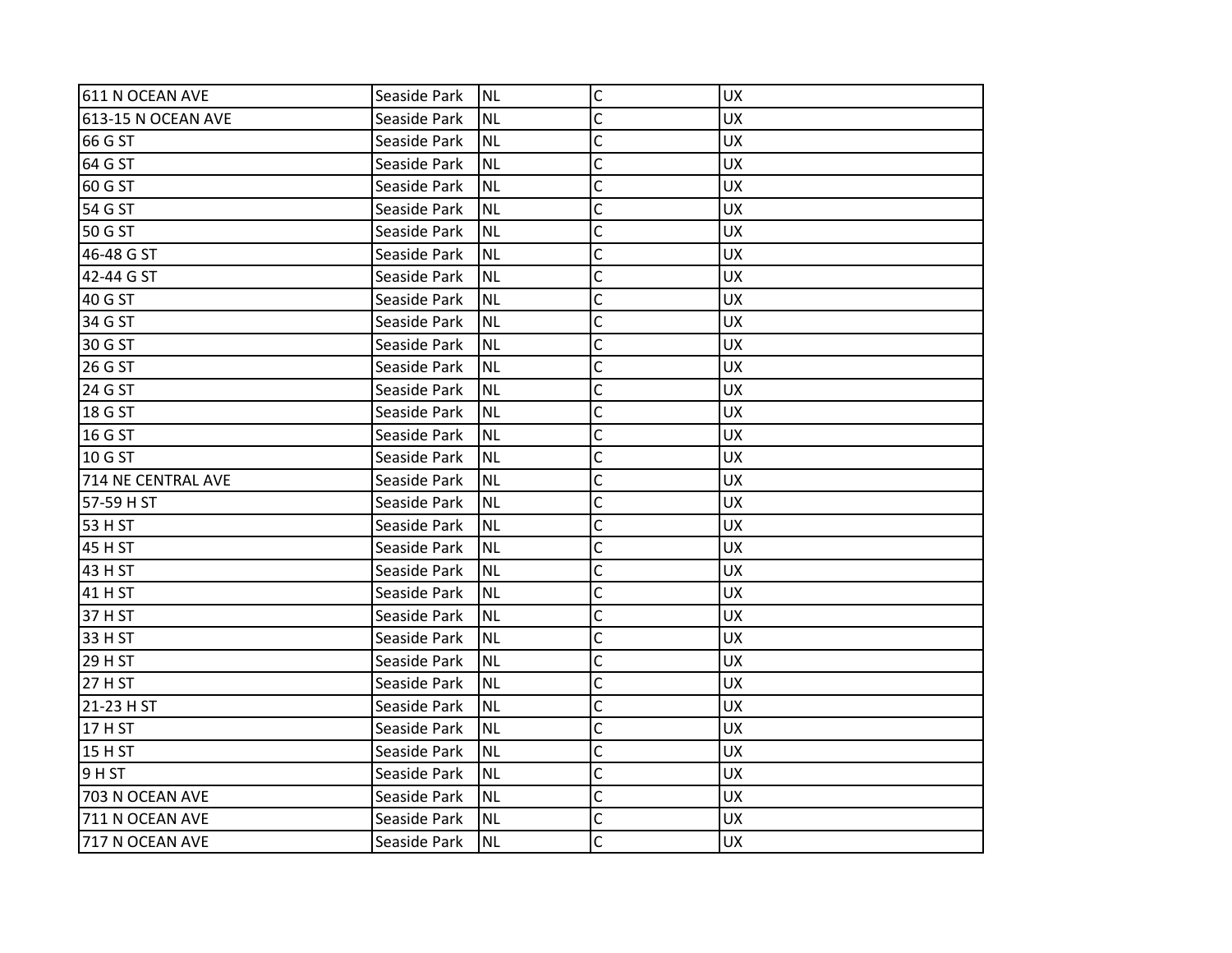| 611 N OCEAN AVE           | Seaside Park | Inl       | $\mathsf C$  | <b>UX</b> |
|---------------------------|--------------|-----------|--------------|-----------|
| <b>613-15 N OCEAN AVE</b> | Seaside Park | <b>NL</b> | C            | <b>UX</b> |
| 66 G ST                   | Seaside Park | <b>NL</b> | C            | <b>UX</b> |
| 64 G ST                   | Seaside Park | <b>NL</b> | $\mathsf{C}$ | <b>UX</b> |
| 60 G ST                   | Seaside Park | <b>NL</b> | C            | <b>UX</b> |
| 54 G ST                   | Seaside Park | <b>NL</b> | C            | <b>UX</b> |
| 50 G ST                   | Seaside Park | <b>NL</b> | C            | <b>UX</b> |
| 46-48 G ST                | Seaside Park | <b>NL</b> | C            | <b>UX</b> |
| 42-44 G ST                | Seaside Park | <b>NL</b> | C            | <b>UX</b> |
| 40 G ST                   | Seaside Park | <b>NL</b> | $\mathsf{C}$ | <b>UX</b> |
| 34 G ST                   | Seaside Park | <b>NL</b> | C            | <b>UX</b> |
| 30 G ST                   | Seaside Park | <b>NL</b> | C            | <b>UX</b> |
| 26 G ST                   | Seaside Park | <b>NL</b> | C            | <b>UX</b> |
| 24 G ST                   | Seaside Park | <b>NL</b> | C            | <b>UX</b> |
| 18 G ST                   | Seaside Park | <b>NL</b> | Ċ            | <b>UX</b> |
| 16 G ST                   | Seaside Park | <b>NL</b> | C            | <b>UX</b> |
| 10 G ST                   | Seaside Park | <b>NL</b> | Ċ            | <b>UX</b> |
| 714 NE CENTRAL AVE        | Seaside Park | <b>NL</b> | C            | <b>UX</b> |
| 57-59 H ST                | Seaside Park | <b>NL</b> | C            | <b>UX</b> |
| 53 H ST                   | Seaside Park | <b>NL</b> | C            | <b>UX</b> |
| 45 H ST                   | Seaside Park | <b>NL</b> | C            | <b>UX</b> |
| 43 H ST                   | Seaside Park | <b>NL</b> | C            | <b>UX</b> |
| 41 H ST                   | Seaside Park | <b>NL</b> | C            | <b>UX</b> |
| 37 H ST                   | Seaside Park | <b>NL</b> | Ċ            | <b>UX</b> |
| 33 H ST                   | Seaside Park | <b>NL</b> | C            | <b>UX</b> |
| 29 H ST                   | Seaside Park | <b>NL</b> | C            | <b>UX</b> |
| 27 H ST                   | Seaside Park | <b>NL</b> | C            | <b>UX</b> |
| 21-23 H ST                | Seaside Park | <b>NL</b> | C            | <b>UX</b> |
| 17 H ST                   | Seaside Park | <b>NL</b> | C            | <b>UX</b> |
| 15 H ST                   | Seaside Park | <b>NL</b> | $\mathsf{C}$ | <b>UX</b> |
| 9 HST                     | Seaside Park | <b>NL</b> | C            | <b>UX</b> |
| 703 N OCEAN AVE           | Seaside Park | <b>NL</b> | C            | <b>UX</b> |
| 711 N OCEAN AVE           | Seaside Park | <b>NL</b> | C            | <b>UX</b> |
| 717 N OCEAN AVE           | Seaside Park | Inl       | C            | <b>UX</b> |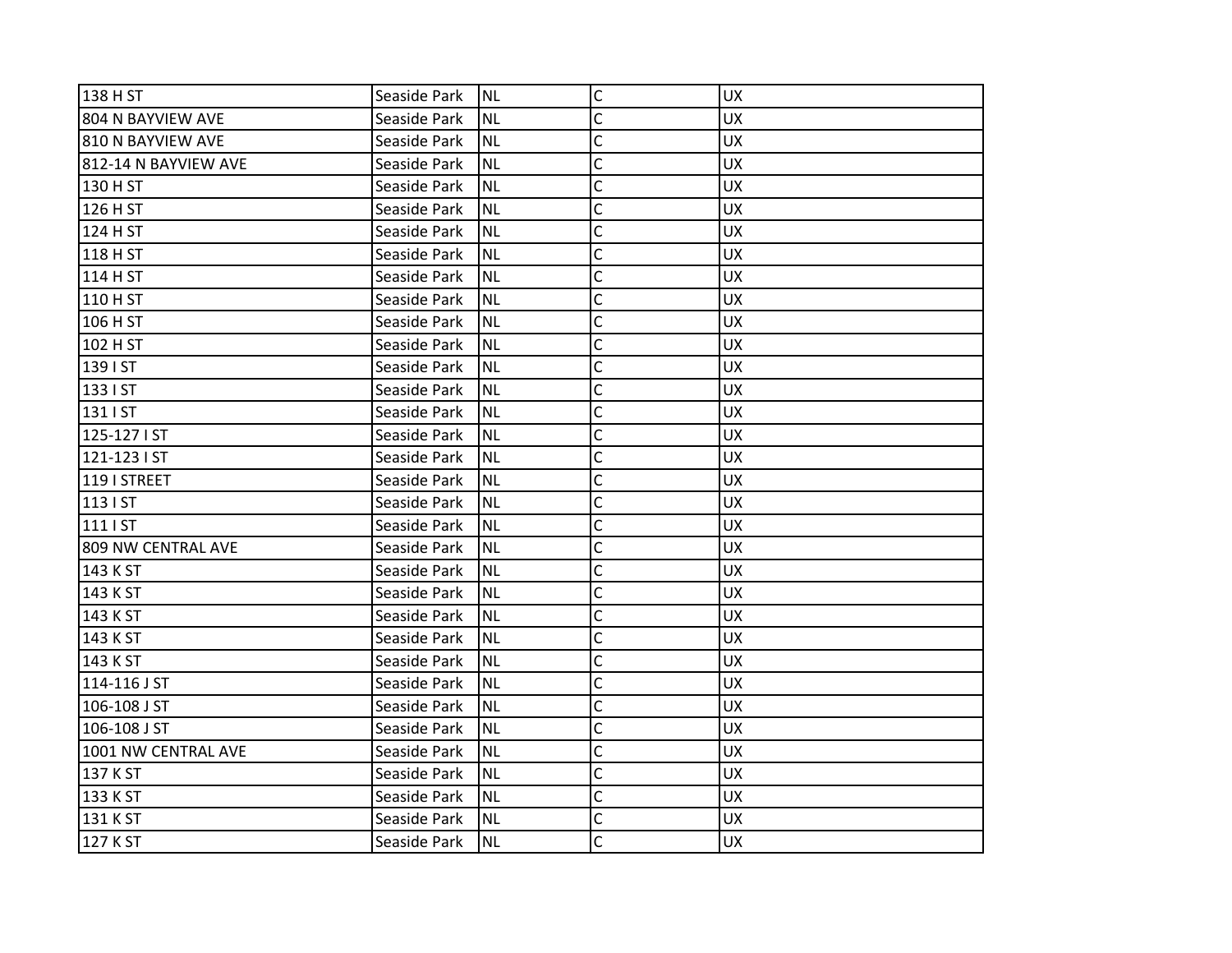| 138 H ST             | Seaside Park | Inl       | $\mathsf C$    | <b>UX</b> |
|----------------------|--------------|-----------|----------------|-----------|
| 804 N BAYVIEW AVE    | Seaside Park | <b>NL</b> | C              | <b>UX</b> |
|                      |              |           |                |           |
| 810 N BAYVIEW AVE    | Seaside Park | <b>NL</b> | C              | <b>UX</b> |
| 812-14 N BAYVIEW AVE | Seaside Park | <b>NL</b> | C              | <b>UX</b> |
| 130 H ST             | Seaside Park | <b>NL</b> | C              | <b>UX</b> |
| 126 H ST             | Seaside Park | <b>NL</b> | C              | <b>UX</b> |
| 124 H ST             | Seaside Park | <b>NL</b> | C              | <b>UX</b> |
| 118 H ST             | Seaside Park | <b>NL</b> | C              | <b>UX</b> |
| 114 H ST             | Seaside Park | <b>NL</b> | $\mathsf{C}$   | <b>UX</b> |
| 110 H ST             | Seaside Park | <b>NL</b> | $\mathsf{C}$   | <b>UX</b> |
| 106 H ST             | Seaside Park | <b>NL</b> | C              | <b>UX</b> |
| 102 H ST             | Seaside Park | <b>NL</b> | C              | <b>UX</b> |
| 139 I ST             | Seaside Park | <b>NL</b> | C              | <b>UX</b> |
| 133   ST             | Seaside Park | <b>NL</b> | C              | <b>UX</b> |
| 131   ST             | Seaside Park | <b>NL</b> | C              | <b>UX</b> |
| 125-127 I ST         | Seaside Park | <b>NL</b> | C              | <b>UX</b> |
| 121-123 I ST         | Seaside Park | <b>NL</b> | C              | <b>UX</b> |
| 119 I STREET         | Seaside Park | <b>NL</b> | C              | <b>UX</b> |
| 113   ST             | Seaside Park | <b>NL</b> | C              | <b>UX</b> |
| 111   ST             | Seaside Park | <b>NL</b> | $\mathsf{C}$   | <b>UX</b> |
| 809 NW CENTRAL AVE   | Seaside Park | <b>NL</b> | C              | <b>UX</b> |
| 143 K ST             | Seaside Park | <b>NL</b> | C              | <b>UX</b> |
| 143 K ST             | Seaside Park | <b>NL</b> | C              | <b>UX</b> |
| 143 K ST             | Seaside Park | <b>NL</b> | C              | <b>UX</b> |
| 143 K ST             | Seaside Park | <b>NL</b> | C              | <b>UX</b> |
| 143 K ST             | Seaside Park | <b>NL</b> | C              | <b>UX</b> |
| 114-116 J ST         | Seaside Park | <b>NL</b> | C              | <b>UX</b> |
| 106-108 J ST         | Seaside Park | <b>NL</b> | C              | <b>UX</b> |
| 106-108 J ST         | Seaside Park | <b>NL</b> | $\overline{C}$ | <b>UX</b> |
| 1001 NW CENTRAL AVE  | Seaside Park | <b>NL</b> | $\mathsf{C}$   | <b>UX</b> |
| 137 K ST             | Seaside Park | <b>NL</b> | C              | <b>UX</b> |
| 133 K ST             | Seaside Park | <b>NL</b> | C              | <b>UX</b> |
| 131 K ST             | Seaside Park | <b>NL</b> | C              | <b>UX</b> |
| 127 K ST             | Seaside Park | <b>NL</b> | C              | <b>UX</b> |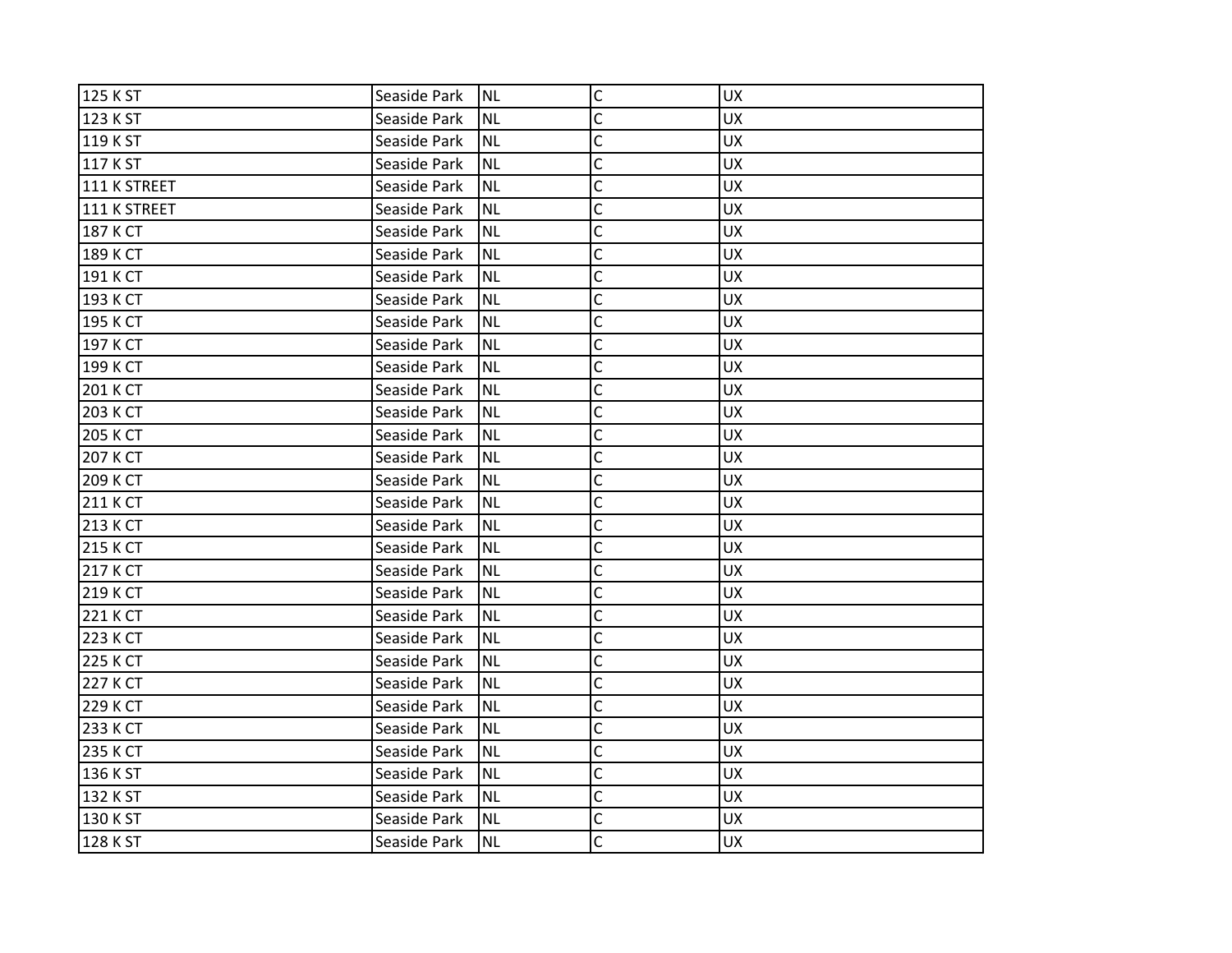| 125 K ST     | Seaside Park | <b>NL</b> | $\mathsf{C}$ | <b>UX</b> |
|--------------|--------------|-----------|--------------|-----------|
| 123 K ST     | Seaside Park | <b>NL</b> | C            | <b>UX</b> |
| 119 K ST     | Seaside Park | <b>NL</b> | C            | <b>UX</b> |
| 117 K ST     | Seaside Park | <b>NL</b> | C            | <b>UX</b> |
| 111 K STREET | Seaside Park | <b>NL</b> | C            | <b>UX</b> |
| 111 K STREET | Seaside Park | ΝL        | C            | <b>UX</b> |
| 187 K CT     | Seaside Park | <b>NL</b> | C            | <b>UX</b> |
| 189 K CT     | Seaside Park | <b>NL</b> | C            | <b>UX</b> |
| 191 K CT     | Seaside Park | <b>NL</b> | C            | <b>UX</b> |
| 193 K CT     | Seaside Park | <b>NL</b> | C            | <b>UX</b> |
| 195 K CT     | Seaside Park | <b>NL</b> | C            | <b>UX</b> |
| 197 K CT     | Seaside Park | <b>NL</b> | C            | <b>UX</b> |
| 199 K CT     | Seaside Park | ΝL        | C            | <b>UX</b> |
| 201 K CT     | Seaside Park | <b>NL</b> | C            | <b>UX</b> |
| 203 K CT     | Seaside Park | <b>NL</b> | C            | <b>UX</b> |
| 205 K CT     | Seaside Park | <b>NL</b> | C            | <b>UX</b> |
| 207 K CT     | Seaside Park | <b>NL</b> | C            | <b>UX</b> |
| 209 K CT     | Seaside Park | ΝL        | C            | <b>UX</b> |
| 211 K CT     | Seaside Park | <b>NL</b> | C            | <b>UX</b> |
| 213 K CT     | Seaside Park | <b>NL</b> | $\mathsf{C}$ | <b>UX</b> |
| 215 K CT     | Seaside Park | <b>NL</b> | C            | <b>UX</b> |
| 217 K CT     | Seaside Park | <b>NL</b> | C            | <b>UX</b> |
| 219 K CT     | Seaside Park | <b>NL</b> | C            | <b>UX</b> |
| 221 K CT     | Seaside Park | <b>NL</b> | C            | <b>UX</b> |
| 223 K CT     | Seaside Park | <b>NL</b> | $\mathsf{C}$ | <b>UX</b> |
| 225 K CT     | Seaside Park | <b>NL</b> | C            | <b>UX</b> |
| 227 K CT     | Seaside Park | <b>NL</b> | C            | <b>UX</b> |
| 229 K CT     | Seaside Park | <b>NL</b> | C            | <b>UX</b> |
| 233 K CT     | Seaside Park | <b>NL</b> | C            | <b>UX</b> |
| 235 K CT     | Seaside Park | <b>NL</b> | C            | <b>UX</b> |
| 136 K ST     | Seaside Park | NL        | C            | <b>UX</b> |
| 132 K ST     | Seaside Park | <b>NL</b> | C            | <b>UX</b> |
| 130 K ST     | Seaside Park | <b>NL</b> | C            | <b>UX</b> |
| 128 K ST     | Seaside Park | <b>NL</b> | Ċ            | <b>UX</b> |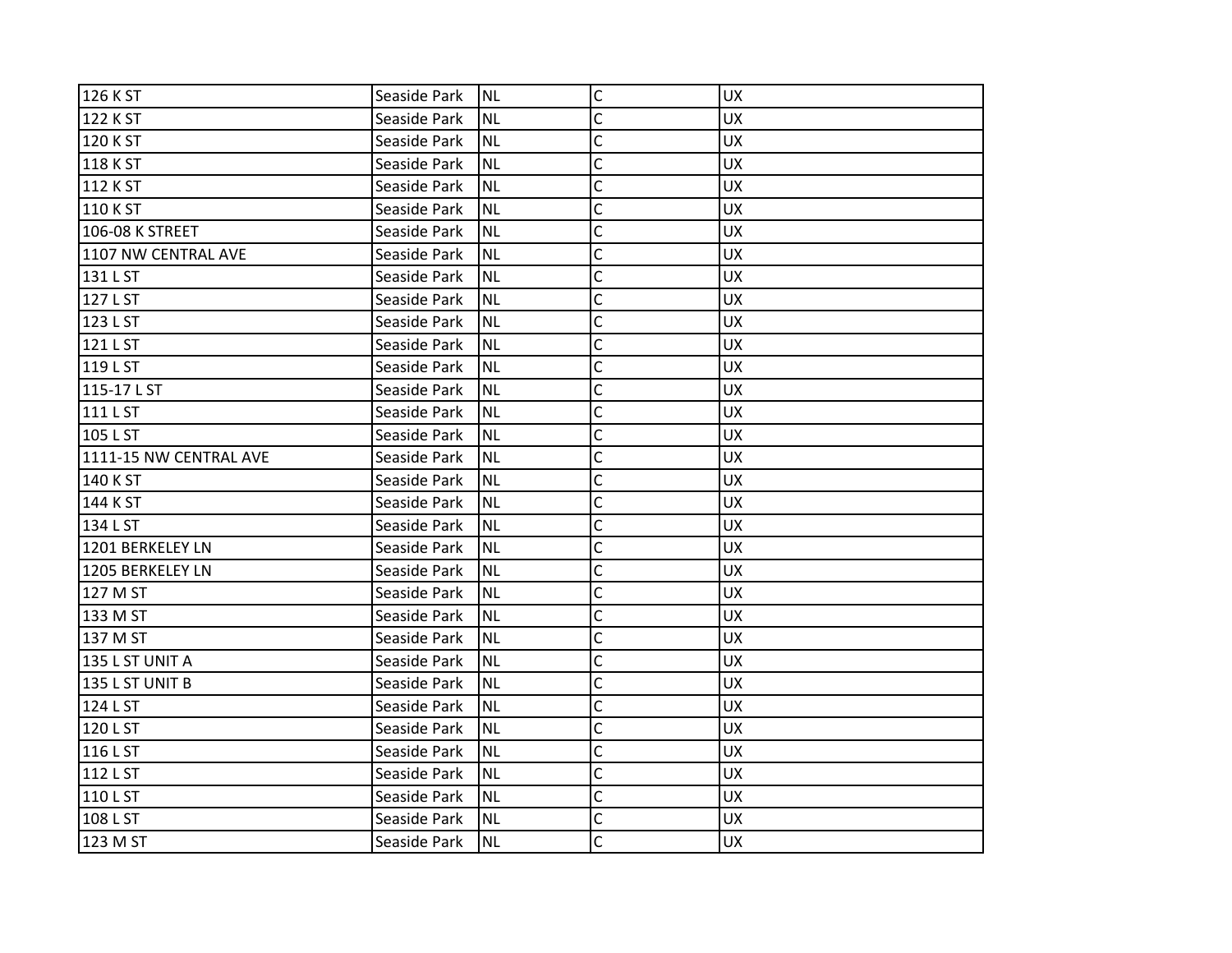| 126 K ST               | Seaside Park | <b>NL</b> | $\mathsf{C}$   | <b>UX</b> |
|------------------------|--------------|-----------|----------------|-----------|
| 122 K ST               | Seaside Park | <b>NL</b> | C              | <b>UX</b> |
| 120 K ST               | Seaside Park | <b>NL</b> | C              | <b>UX</b> |
| 118 K ST               | Seaside Park | <b>NL</b> | C              | UX        |
| 112 K ST               | Seaside Park | <b>NL</b> | $\mathsf{C}$   | <b>UX</b> |
| 110 K ST               | Seaside Park | <b>NL</b> | $\overline{C}$ | <b>UX</b> |
| 106-08 K STREET        | Seaside Park | <b>NL</b> | C              | <b>UX</b> |
| 1107 NW CENTRAL AVE    | Seaside Park | <b>NL</b> | C              | <b>UX</b> |
| 131 L ST               | Seaside Park | <b>NL</b> | $\mathsf{C}$   | <b>UX</b> |
| 127 L ST               | Seaside Park | <b>NL</b> | $\mathsf{C}$   | <b>UX</b> |
| 123 L ST               | Seaside Park | <b>NL</b> | $\mathsf{C}$   | <b>UX</b> |
| 121 L ST               | Seaside Park | <b>NL</b> | C              | <b>UX</b> |
| 119 L ST               | Seaside Park | <b>NL</b> | C              | <b>UX</b> |
| 115-17 L ST            | Seaside Park | <b>NL</b> | $\mathsf{C}$   | <b>UX</b> |
| 111 L ST               | Seaside Park | <b>NL</b> | $\mathsf{C}$   | UX        |
| 105 L ST               | Seaside Park | <b>NL</b> | C              | <b>UX</b> |
| 1111-15 NW CENTRAL AVE | Seaside Park | <b>NL</b> | C              | <b>UX</b> |
| 140 K ST               | Seaside Park | <b>NL</b> | C              | <b>UX</b> |
| 144 K ST               | Seaside Park | <b>NL</b> | C              | <b>UX</b> |
| 134 L ST               | Seaside Park | <b>NL</b> | $\mathsf{C}$   | UX        |
| 1201 BERKELEY LN       | Seaside Park | <b>NL</b> | C              | <b>UX</b> |
| 1205 BERKELEY LN       | Seaside Park | <b>NL</b> | C              | <b>UX</b> |
| 127 M ST               | Seaside Park | <b>NL</b> | C              | <b>UX</b> |
| 133 M ST               | Seaside Park | <b>NL</b> | C              | UX        |
| 137 M ST               | Seaside Park | <b>NL</b> | $\overline{C}$ | UX        |
| 135 L ST UNIT A        | Seaside Park | <b>NL</b> | C              | <b>UX</b> |
| 135 L ST UNIT B        | Seaside Park | <b>NL</b> | C              | <b>UX</b> |
| 124 L ST               | Seaside Park | <b>NL</b> | C              | <b>UX</b> |
| 120 L ST               | Seaside Park | <b>NL</b> | $\overline{C}$ | <b>UX</b> |
| 116 L ST               | Seaside Park | <b>NL</b> | $\mathsf{C}$   | <b>UX</b> |
| 112 L ST               | Seaside Park | <b>NL</b> | C              | <b>UX</b> |
| 110 L ST               | Seaside Park | <b>NL</b> | $\overline{C}$ | UX        |
| 108 L ST               | Seaside Park | <b>NL</b> | C              | <b>UX</b> |
| 123 M ST               | Seaside Park | <b>NL</b> | C              | <b>UX</b> |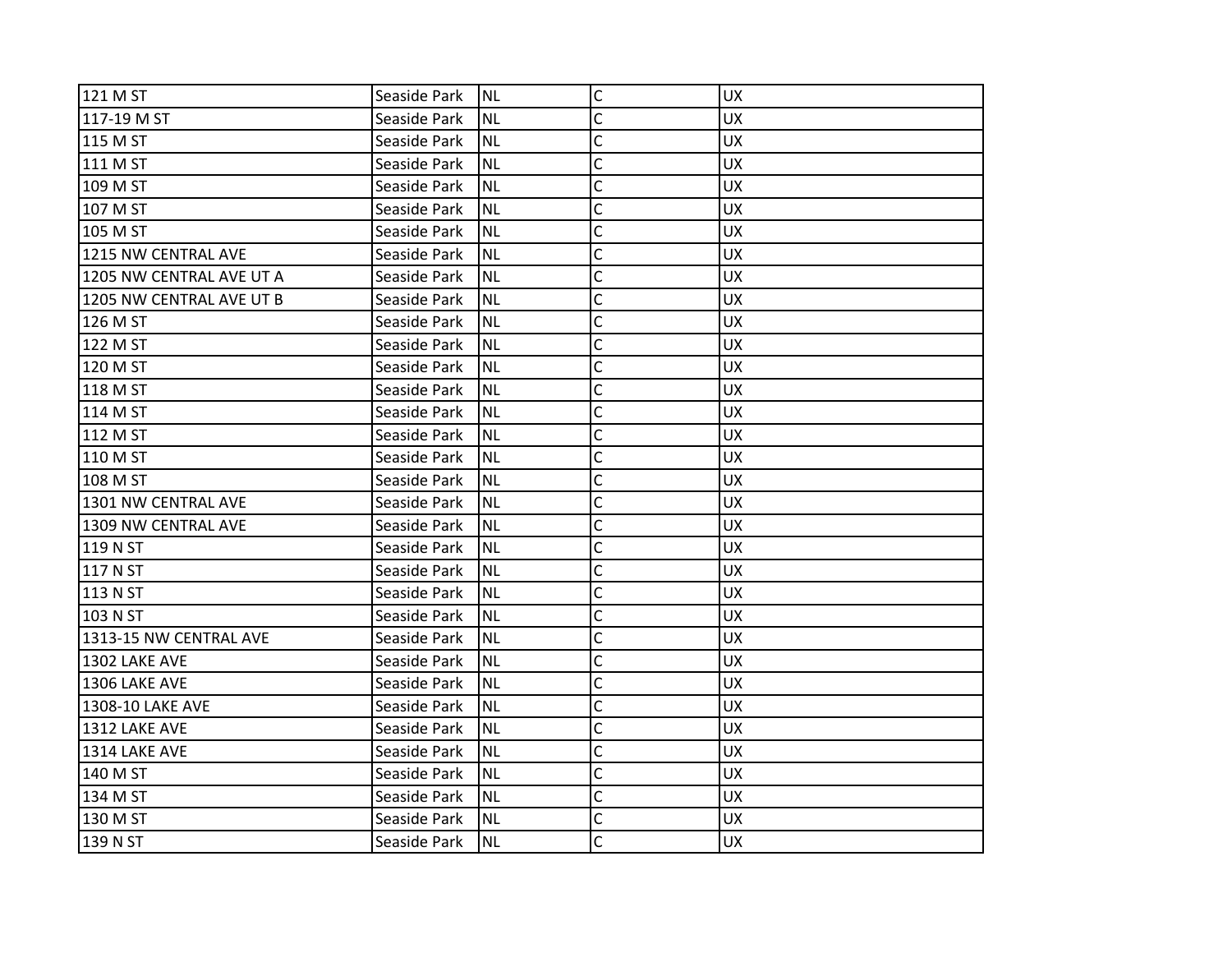| 121 M ST                 | Seaside Park | INL       | $\mathsf C$             | <b>UX</b> |
|--------------------------|--------------|-----------|-------------------------|-----------|
| 117-19 M ST              | Seaside Park | INL       | C                       | <b>UX</b> |
| 115 M ST                 | Seaside Park | NL        | C                       | <b>UX</b> |
| 111 M ST                 | Seaside Park | Inl       | C                       | <b>UX</b> |
| 109 M ST                 | Seaside Park | <b>NL</b> | C                       | <b>UX</b> |
| 107 M ST                 | Seaside Park | <b>NL</b> | C                       | <b>UX</b> |
| 105 M ST                 | Seaside Park | INL       | C                       | <b>UX</b> |
| 1215 NW CENTRAL AVE      | Seaside Park | NL        | C                       | <b>UX</b> |
| 1205 NW CENTRAL AVE UT A | Seaside Park | INL       | C                       | <b>UX</b> |
| 1205 NW CENTRAL AVE UT B | Seaside Park | <b>NL</b> | $\mathsf{C}$            | <b>UX</b> |
| 126 M ST                 | Seaside Park | <b>NL</b> | C                       | <b>UX</b> |
| 122 M ST                 | Seaside Park | Inl       | C                       | <b>UX</b> |
| 120 M ST                 | Seaside Park | NL        | C                       | <b>UX</b> |
| 118 M ST                 | Seaside Park | Inl       | Ċ                       | <b>UX</b> |
| 114 M ST                 | Seaside Park | INL       | $\overline{\mathsf{C}}$ | <b>UX</b> |
| 112 M ST                 | Seaside Park | <b>NL</b> | C                       | <b>UX</b> |
| 110 M ST                 | Seaside Park | <b>NL</b> | C                       | <b>UX</b> |
| 108 M ST                 | Seaside Park | NL        | C                       | <b>UX</b> |
| 1301 NW CENTRAL AVE      | Seaside Park | INL       | C                       | <b>UX</b> |
| 1309 NW CENTRAL AVE      | Seaside Park | INL       | $\mathsf{C}$            | <b>UX</b> |
| 119 N ST                 | Seaside Park | <b>NL</b> | C                       | <b>UX</b> |
| 117 N ST                 | Seaside Park | Inl       | C                       | <b>UX</b> |
| 113 N ST                 | Seaside Park | Inl       | C                       | <b>UX</b> |
| 103 N ST                 | Seaside Park | Inl       | C                       | <b>UX</b> |
| 1313-15 NW CENTRAL AVE   | Seaside Park | Inl       | $\mathsf{C}$            | <b>UX</b> |
| 1302 LAKE AVE            | Seaside Park | <b>NL</b> | C                       | <b>UX</b> |
| <b>1306 LAKE AVE</b>     | Seaside Park | Inl       | C                       | <b>UX</b> |
| 1308-10 LAKE AVE         | Seaside Park | Inl       | C                       | <b>UX</b> |
| <b>1312 LAKE AVE</b>     | Seaside Park | INL       | C                       | <b>UX</b> |
| 1314 LAKE AVE            | Seaside Park | Inl       | C                       | <b>UX</b> |
| 140 M ST                 | Seaside Park | <b>NL</b> | C                       | <b>UX</b> |
| 134 M ST                 | Seaside Park | NL        | C                       | <b>UX</b> |
| 130 M ST                 | Seaside Park | INL       | C                       | <b>UX</b> |
| 139 N ST                 | Seaside Park | INL       | C                       | <b>UX</b> |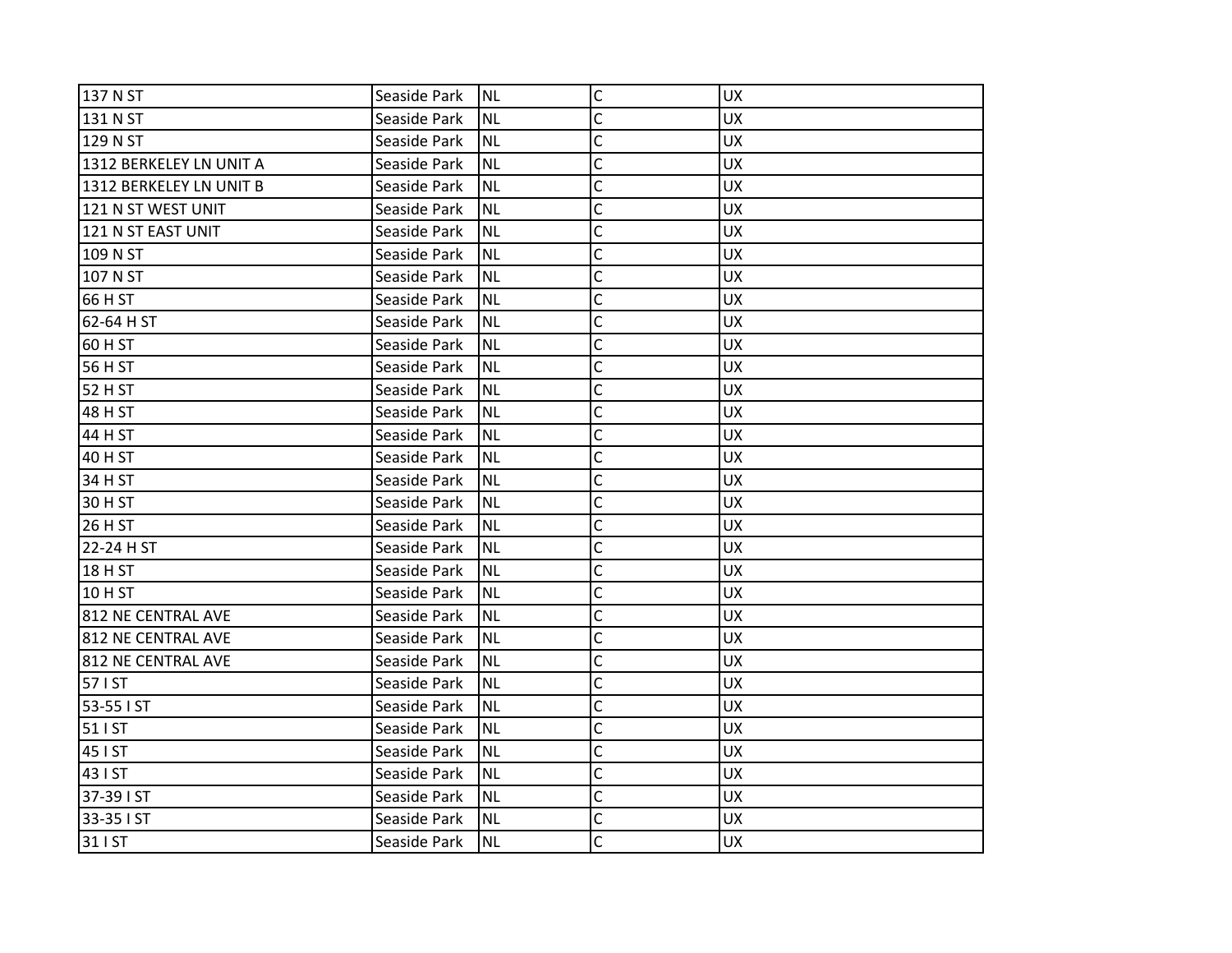| 137 N ST                | Seaside Park | <b>NL</b> | $\mathsf{C}$   | <b>UX</b> |
|-------------------------|--------------|-----------|----------------|-----------|
| 131 N ST                | Seaside Park | <b>NL</b> | C              | <b>UX</b> |
| 129 N ST                | Seaside Park | <b>NL</b> | C              | <b>UX</b> |
| 1312 BERKELEY LN UNIT A | Seaside Park | <b>NL</b> | C              | UX        |
| 1312 BERKELEY LN UNIT B | Seaside Park | <b>NL</b> | $\mathsf{C}$   | <b>UX</b> |
| 121 N ST WEST UNIT      | Seaside Park | <b>NL</b> | C              | <b>UX</b> |
| 121 N ST EAST UNIT      | Seaside Park | <b>NL</b> | C              | <b>UX</b> |
| 109 N ST                | Seaside Park | <b>NL</b> | C              | <b>UX</b> |
| 107 N ST                | Seaside Park | <b>NL</b> | C              | <b>UX</b> |
| 66 H ST                 | Seaside Park | <b>NL</b> | $\mathsf{C}$   | <b>UX</b> |
| 62-64 H ST              | Seaside Park | <b>NL</b> | C              | <b>UX</b> |
| 60 H ST                 | Seaside Park | <b>NL</b> | C              | <b>UX</b> |
| 56 H ST                 | Seaside Park | <b>NL</b> | C              | <b>UX</b> |
| 52 H ST                 | Seaside Park | <b>NL</b> | $\overline{C}$ | <b>UX</b> |
| 48 H ST                 | Seaside Park | <b>NL</b> | $\mathsf{C}$   | <b>UX</b> |
| 44 H ST                 | Seaside Park | <b>NL</b> | C              | <b>UX</b> |
| 40 H ST                 | Seaside Park | <b>NL</b> | Ċ              | <b>UX</b> |
| 34 H ST                 | Seaside Park | <b>NL</b> | C              | <b>UX</b> |
| 30 H ST                 | Seaside Park | <b>NL</b> | C              | <b>UX</b> |
| 26 H ST                 | Seaside Park | <b>NL</b> | $\mathsf{C}$   | <b>UX</b> |
| 22-24 H ST              | Seaside Park | <b>NL</b> | C              | <b>UX</b> |
| 18 H ST                 | Seaside Park | <b>NL</b> | C              | UX        |
| 10 H ST                 | Seaside Park | <b>NL</b> | C              | <b>UX</b> |
| 812 NE CENTRAL AVE      | Seaside Park | <b>NL</b> | C              | <b>UX</b> |
| 812 NE CENTRAL AVE      | Seaside Park | <b>NL</b> | C              | <b>UX</b> |
| 812 NE CENTRAL AVE      | Seaside Park | <b>NL</b> | C              | <b>UX</b> |
| 57   ST                 | Seaside Park | <b>NL</b> | $\mathsf{C}$   | <b>UX</b> |
| 53-55 I ST              | Seaside Park | <b>NL</b> | C              | <b>UX</b> |
| 51   ST                 | Seaside Park | <b>NL</b> | $\overline{C}$ | <b>UX</b> |
| 45 I ST                 | Seaside Park | <b>NL</b> | $\mathsf{C}$   | <b>UX</b> |
| 43 I ST                 | Seaside Park | <b>NL</b> | C              | <b>UX</b> |
| 37-39 I ST              | Seaside Park | <b>NL</b> | $\mathsf{C}$   | <b>UX</b> |
| 33-35 I ST              | Seaside Park | <b>NL</b> | C              | <b>UX</b> |
| 31   ST                 | Seaside Park | <b>NL</b> | C              | <b>UX</b> |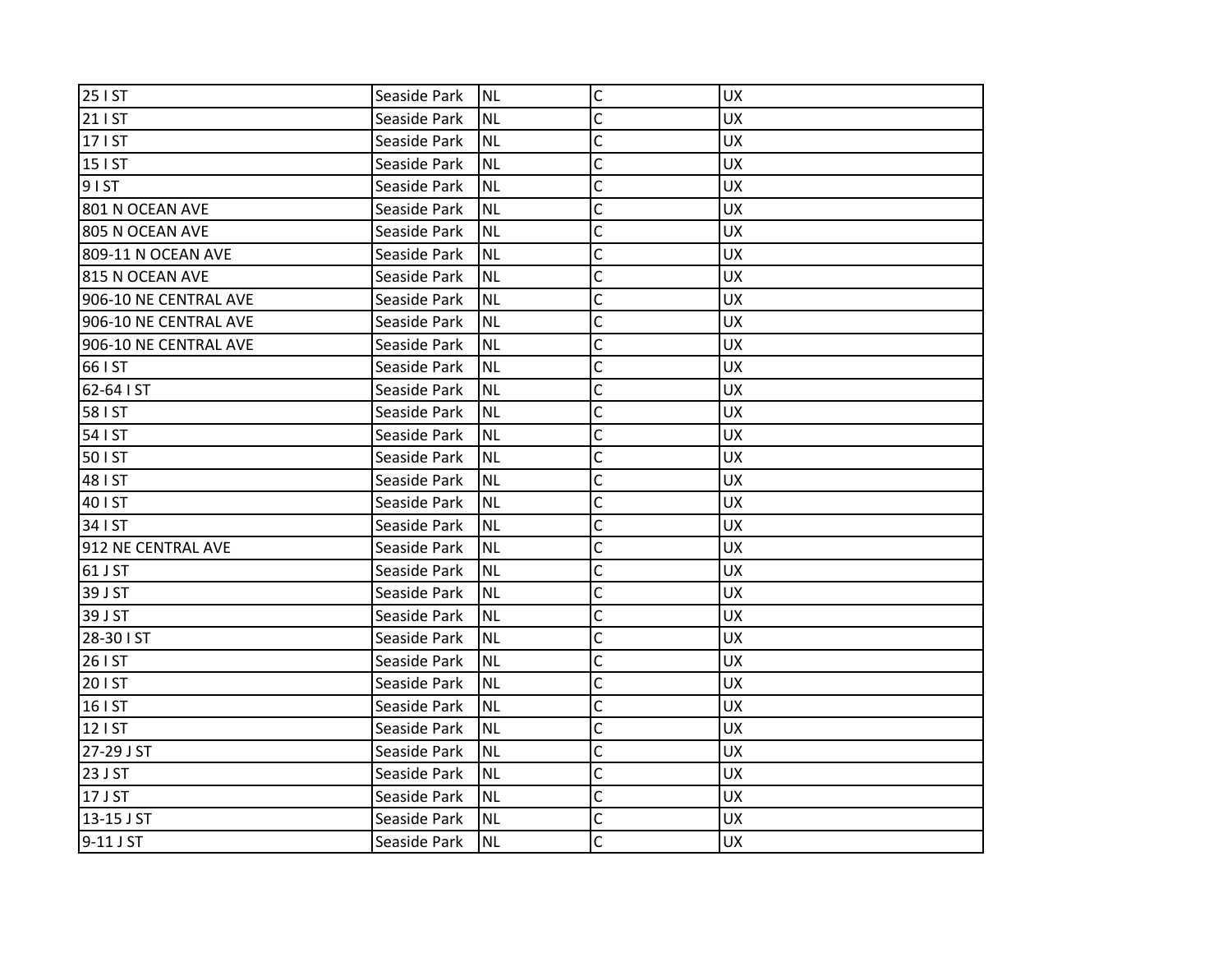| 25 I ST               | Seaside Park | <b>NL</b> | $\mathsf C$    | <b>UX</b> |
|-----------------------|--------------|-----------|----------------|-----------|
| 21   ST               | Seaside Park | <b>NL</b> | C              | <b>UX</b> |
| 17   ST               | Seaside Park | <b>NL</b> | C              | <b>UX</b> |
| 15   ST               | Seaside Park | <b>NL</b> | $\mathsf{C}$   | <b>UX</b> |
| 91ST                  | Seaside Park | <b>NL</b> | $\mathsf{C}$   | UX        |
| 801 N OCEAN AVE       | Seaside Park | <b>NL</b> | C              | UX        |
| 805 N OCEAN AVE       | Seaside Park | <b>NL</b> | C              | <b>UX</b> |
| 809-11 N OCEAN AVE    | Seaside Park | <b>NL</b> | C              | <b>UX</b> |
| 815 N OCEAN AVE       | Seaside Park | <b>NL</b> | C              | <b>UX</b> |
| 906-10 NE CENTRAL AVE | Seaside Park | <b>NL</b> | $\overline{C}$ | <b>UX</b> |
| 906-10 NE CENTRAL AVE | Seaside Park | <b>NL</b> | C              | UX        |
| 906-10 NE CENTRAL AVE | Seaside Park | <b>NL</b> | C              | <b>UX</b> |
| 66 I ST               | Seaside Park | <b>NL</b> | C              | <b>UX</b> |
| 62-64 I ST            | Seaside Park | <b>NL</b> | $\mathsf{C}$   | UX        |
| 58 I ST               | Seaside Park | <b>NL</b> | $\mathsf{C}$   | <b>UX</b> |
| 54   ST               | Seaside Park | <b>NL</b> | C              | <b>UX</b> |
| 50 I ST               | Seaside Park | <b>NL</b> | Ċ              | <b>UX</b> |
| 48   ST               | Seaside Park | <b>NL</b> | C              | <b>UX</b> |
| 40   ST               | Seaside Park | <b>NL</b> | C              | <b>UX</b> |
| 34   ST               | Seaside Park | <b>NL</b> | $\mathsf{C}$   | <b>UX</b> |
| 912 NE CENTRAL AVE    | Seaside Park | <b>NL</b> | C              | <b>UX</b> |
| 61 J ST               | Seaside Park | <b>NL</b> | Ċ              | <b>UX</b> |
| 39 J ST               | Seaside Park | <b>NL</b> | C              | <b>UX</b> |
| 39 J ST               | Seaside Park | <b>NL</b> | C              | <b>UX</b> |
| 28-30 I ST            | Seaside Park | <b>NL</b> | C              | UX        |
| 26   ST               | Seaside Park | <b>NL</b> | C              | <b>UX</b> |
| 201ST                 | Seaside Park | <b>NL</b> | C              | <b>UX</b> |
| 16   ST               | Seaside Park | <b>NL</b> | C              | <b>UX</b> |
| 12   ST               | Seaside Park | <b>NL</b> | $\overline{C}$ | <b>UX</b> |
| 27-29 J ST            | Seaside Park | <b>NL</b> | $\mathsf{C}$   | UX        |
| 23 J ST               | Seaside Park | <b>NL</b> | C              | <b>UX</b> |
| 17 J ST               | Seaside Park | <b>NL</b> | $\mathsf{C}$   | UX        |
| 13-15 J ST            | Seaside Park | <b>NL</b> | C              | <b>UX</b> |
| 9-11 J ST             | Seaside Park | <b>NL</b> | C              | <b>UX</b> |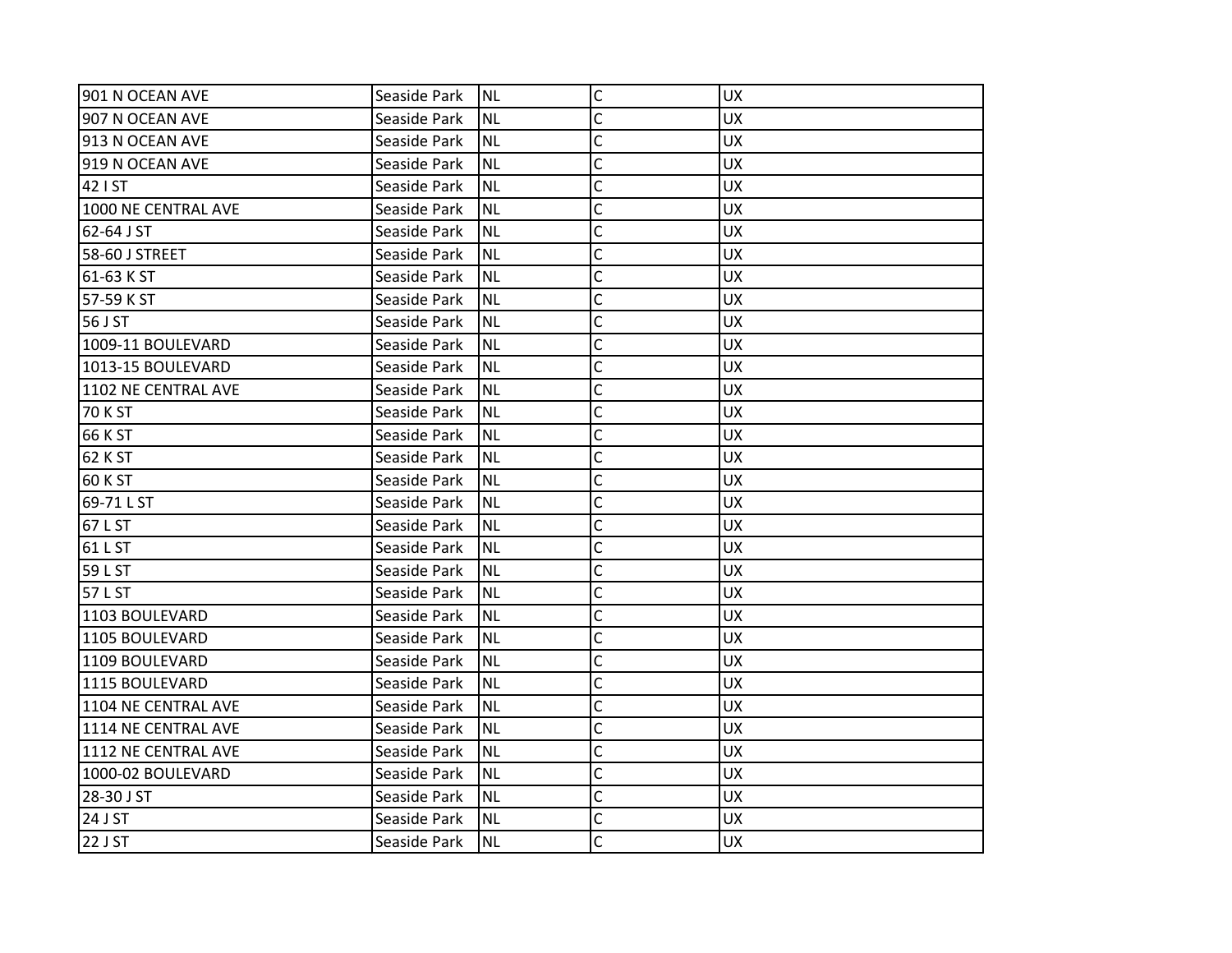| 901 N OCEAN AVE     | Seaside Park | <b>NL</b> | $\mathsf C$    | <b>UX</b> |
|---------------------|--------------|-----------|----------------|-----------|
| 907 N OCEAN AVE     | Seaside Park | <b>NL</b> | C              | <b>UX</b> |
| 913 N OCEAN AVE     | Seaside Park | <b>NL</b> | C              | <b>UX</b> |
| 919 N OCEAN AVE     | Seaside Park | <b>NL</b> | C              | <b>UX</b> |
| 42   ST             | Seaside Park | <b>NL</b> | $\mathsf{C}$   | <b>UX</b> |
| 1000 NE CENTRAL AVE | Seaside Park | <b>NL</b> | C              | UX        |
| 62-64 J ST          | Seaside Park | <b>NL</b> | C              | <b>UX</b> |
| 58-60 J STREET      | Seaside Park | <b>NL</b> | C              | <b>UX</b> |
| 61-63 K ST          | Seaside Park | <b>NL</b> | C              | <b>UX</b> |
| 57-59 K ST          | Seaside Park | <b>NL</b> | C              | <b>UX</b> |
| 56 J ST             | Seaside Park | <b>NL</b> | C              | <b>UX</b> |
| 1009-11 BOULEVARD   | Seaside Park | <b>NL</b> | C              | <b>UX</b> |
| 1013-15 BOULEVARD   | Seaside Park | <b>NL</b> | C              | <b>UX</b> |
| 1102 NE CENTRAL AVE | Seaside Park | <b>NL</b> | Ċ              | <b>UX</b> |
| <b>70 K ST</b>      | Seaside Park | <b>NL</b> | C              | <b>UX</b> |
| 66 K ST             | Seaside Park | <b>NL</b> | C              | <b>UX</b> |
| 62 K ST             | Seaside Park | <b>NL</b> | C              | <b>UX</b> |
| <b>60 K ST</b>      | Seaside Park | <b>NL</b> | C              | <b>UX</b> |
| 69-71 L ST          | Seaside Park | <b>NL</b> | C              | <b>UX</b> |
| 67 L ST             | Seaside Park | <b>NL</b> | $\mathsf{C}$   | <b>UX</b> |
| 61 L ST             | Seaside Park | <b>NL</b> | C              | <b>UX</b> |
| 59 L ST             | Seaside Park | <b>NL</b> | $\overline{C}$ | <b>UX</b> |
| 57 L ST             | Seaside Park | <b>NL</b> | C              | <b>UX</b> |
| 1103 BOULEVARD      | Seaside Park | <b>NL</b> | $\overline{C}$ | UX        |
| 1105 BOULEVARD      | Seaside Park | <b>NL</b> | C              | UX        |
| 1109 BOULEVARD      | Seaside Park | <b>NL</b> | C              | <b>UX</b> |
| 1115 BOULEVARD      | Seaside Park | <b>NL</b> | C              | <b>UX</b> |
| 1104 NE CENTRAL AVE | Seaside Park | <b>NL</b> | $\overline{C}$ | <b>UX</b> |
| 1114 NE CENTRAL AVE | Seaside Park | <b>NL</b> | $\overline{C}$ | <b>UX</b> |
| 1112 NE CENTRAL AVE | Seaside Park | <b>NL</b> | $\mathsf{C}$   | <b>UX</b> |
| 1000-02 BOULEVARD   | Seaside Park | <b>NL</b> | C              | <b>UX</b> |
| 28-30 J ST          | Seaside Park | <b>NL</b> | $\overline{C}$ | <b>UX</b> |
| 24 J ST             | Seaside Park | <b>NL</b> | C              | <b>UX</b> |
| 22 J ST             | Seaside Park | <b>NL</b> | C              | <b>UX</b> |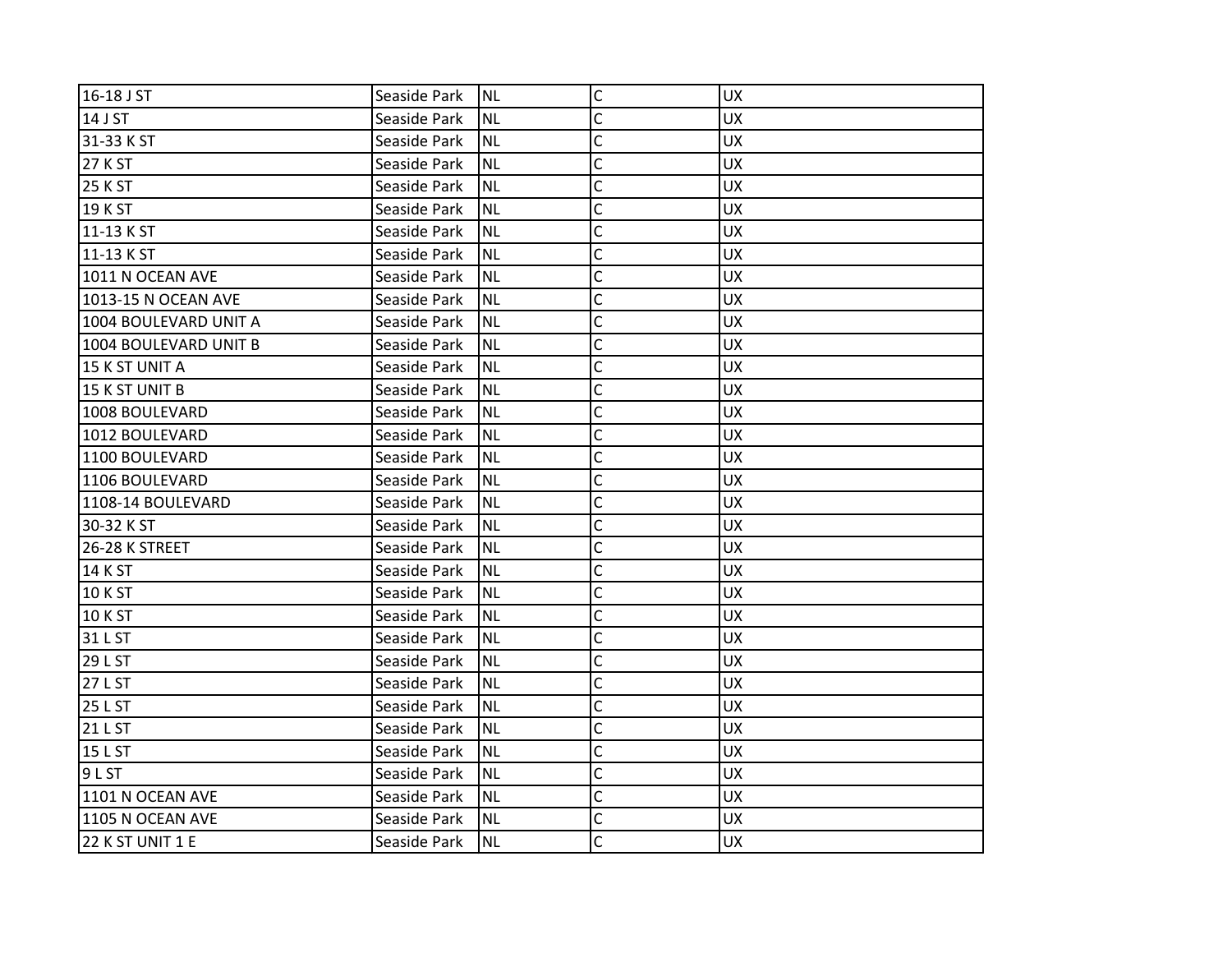| 16-18 J ST            | Seaside Park | INL       | $\mathsf C$  | <b>UX</b> |
|-----------------------|--------------|-----------|--------------|-----------|
| 14 J ST               | Seaside Park | <b>NL</b> | C            | <b>UX</b> |
| 31-33 K ST            | Seaside Park | NL.       | C            | <b>UX</b> |
| 27 K ST               | Seaside Park | Inl       | Ċ            | <b>UX</b> |
| <b>25 K ST</b>        | Seaside Park | INL       | $\mathsf{C}$ | <b>UX</b> |
| 19 K ST               | Seaside Park | <b>NL</b> | C            | <b>UX</b> |
| 11-13 K ST            | Seaside Park | Inl       | C            | <b>UX</b> |
| 11-13 K ST            | Seaside Park | NL        | C            | <b>UX</b> |
| 1011 N OCEAN AVE      | Seaside Park | INL       | C            | <b>UX</b> |
| 1013-15 N OCEAN AVE   | Seaside Park | INL       | $\mathsf{C}$ | <b>UX</b> |
| 1004 BOULEVARD UNIT A | Seaside Park | <b>NL</b> | C            | <b>UX</b> |
| 1004 BOULEVARD UNIT B | Seaside Park | Inl       | C            | <b>UX</b> |
| 15 K ST UNIT A        | Seaside Park | NL        | Ċ            | <b>UX</b> |
| 15 K ST UNIT B        | Seaside Park | INL       | C            | <b>UX</b> |
| 1008 BOULEVARD        | Seaside Park | INL       | $\mathsf{C}$ | <b>UX</b> |
| 1012 BOULEVARD        | Seaside Park | <b>NL</b> | C            | <b>UX</b> |
| 1100 BOULEVARD        | Seaside Park | Inl       | Ċ            | <b>UX</b> |
| 1106 BOULEVARD        | Seaside Park | NL.       | C            | <b>UX</b> |
| 1108-14 BOULEVARD     | Seaside Park | Inl       | C            | <b>UX</b> |
| 30-32 K ST            | Seaside Park | INL       | $\mathsf{C}$ | <b>UX</b> |
| 26-28 K STREET        | Seaside Park | <b>NL</b> | Ċ            | <b>UX</b> |
| 14 K ST               | Seaside Park | Inl       | Ċ            | <b>UX</b> |
| 10 K ST               | Seaside Park | NL        | C            | <b>UX</b> |
| 10 K ST               | Seaside Park | Inl       | Ċ            | <b>UX</b> |
| 31 L ST               | Seaside Park | INL       | C            | <b>UX</b> |
| 29 L ST               | Seaside Park | <b>NL</b> | C            | <b>UX</b> |
| 27 L ST               | Seaside Park | INL       | C            | <b>UX</b> |
| 25 L ST               | Seaside Park | NL        | C            | <b>UX</b> |
| 21 L ST               | Seaside Park | INL       | C            | <b>UX</b> |
| 15 L ST               | Seaside Park | Inl       | C            | <b>UX</b> |
| 9 <sub>L</sub> ST     | Seaside Park | <b>NL</b> | C            | <b>UX</b> |
| 1101 N OCEAN AVE      | Seaside Park | NL.       | C            | <b>UX</b> |
| 1105 N OCEAN AVE      | Seaside Park | INL       | C            | <b>UX</b> |
| 22 K ST UNIT 1 E      | Seaside Park | INL       | C            | <b>UX</b> |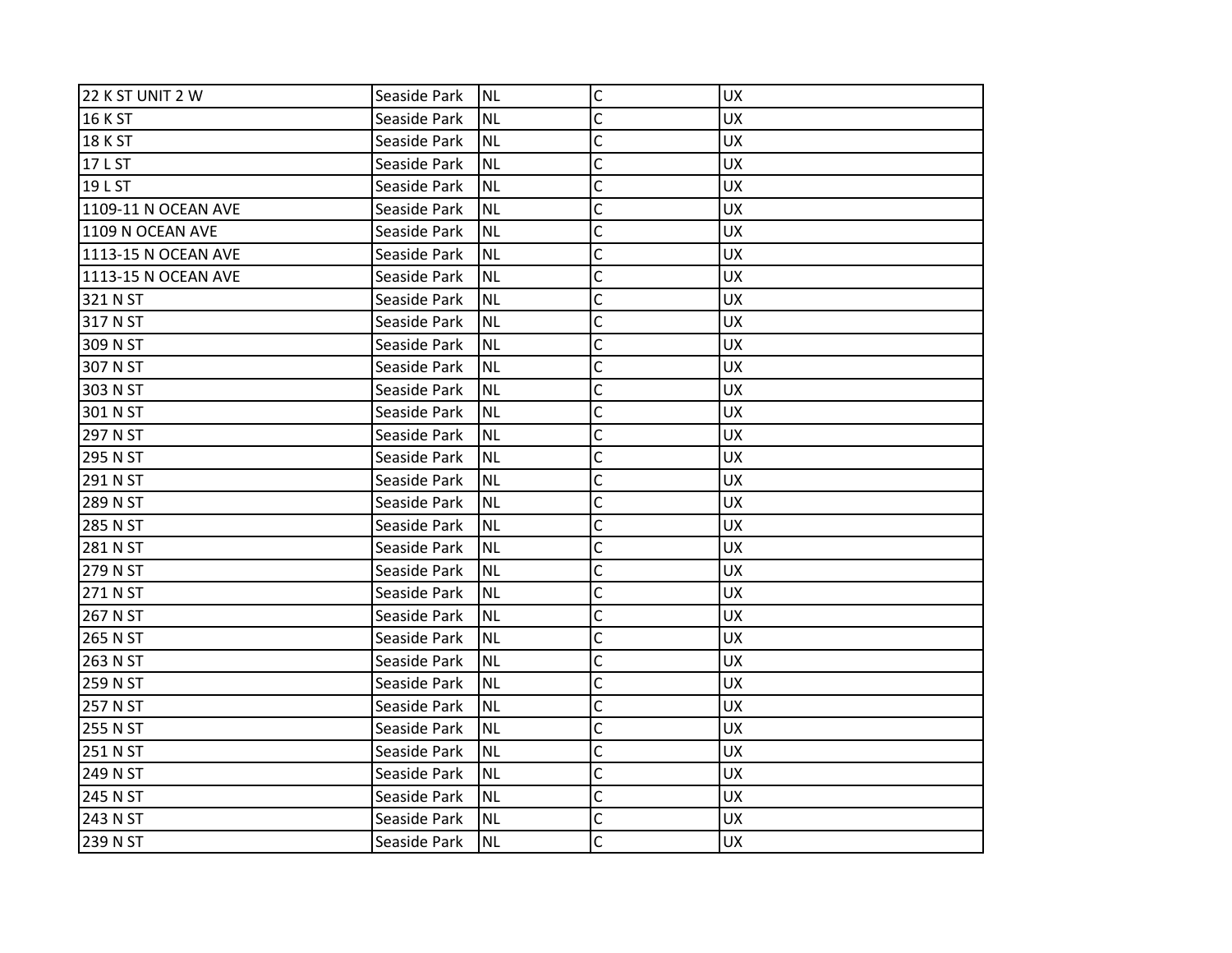| 22 K ST UNIT 2 W    | Seaside Park | <b>NL</b> | $\mathsf C$    | <b>UX</b> |
|---------------------|--------------|-----------|----------------|-----------|
| 16 K ST             | Seaside Park | <b>NL</b> | C              | <b>UX</b> |
| <b>18 K ST</b>      | Seaside Park | <b>NL</b> | $\overline{C}$ | <b>UX</b> |
| 17 L ST             | Seaside Park | <b>NL</b> | $\overline{C}$ | <b>UX</b> |
| 19 L ST             | Seaside Park | <b>NL</b> | $\mathsf C$    | UX        |
| 1109-11 N OCEAN AVE | Seaside Park | <b>NL</b> | $\overline{C}$ | <b>UX</b> |
| 1109 N OCEAN AVE    | Seaside Park | <b>NL</b> | $\overline{C}$ | UX        |
| 1113-15 N OCEAN AVE | Seaside Park | <b>NL</b> | C              | <b>UX</b> |
| 1113-15 N OCEAN AVE | Seaside Park | <b>NL</b> | $\overline{C}$ | <b>UX</b> |
| 321 N ST            | Seaside Park | <b>NL</b> | $\mathsf{C}$   | <b>UX</b> |
| 317 N ST            | Seaside Park | <b>NL</b> | C              | <b>UX</b> |
| 309 N ST            | Seaside Park | <b>NL</b> | $\mathsf{C}$   | <b>UX</b> |
| 307 N ST            | Seaside Park | <b>NL</b> | $\overline{C}$ | <b>UX</b> |
| 303 N ST            | Seaside Park | <b>NL</b> | Ċ              | <b>UX</b> |
| 301 N ST            | Seaside Park | <b>NL</b> | $\mathsf{C}$   | UX        |
| 297 N ST            | Seaside Park | <b>NL</b> | C              | <b>UX</b> |
| 295 N ST            | Seaside Park | <b>NL</b> | $\overline{C}$ | <b>UX</b> |
| 291 N ST            | Seaside Park | <b>NL</b> | C              | <b>UX</b> |
| 289 N ST            | Seaside Park | <b>NL</b> | C              | <b>UX</b> |
| 285 N ST            | Seaside Park | <b>NL</b> | $\mathsf{C}$   | UX        |
| 281 N ST            | Seaside Park | <b>NL</b> | C              | <b>UX</b> |
| 279 N ST            | Seaside Park | <b>NL</b> | $\mathsf{C}$   | UX        |
| 271 N ST            | Seaside Park | <b>NL</b> | $\overline{C}$ | <b>UX</b> |
| 267 N ST            | Seaside Park | <b>NL</b> | C              | <b>UX</b> |
| 265 N ST            | Seaside Park | <b>NL</b> | C              | UX        |
| 263 N ST            | Seaside Park | <b>NL</b> | $\overline{C}$ | <b>UX</b> |
| 259 N ST            | Seaside Park | <b>NL</b> | $\overline{C}$ | <b>UX</b> |
| 257 N ST            | Seaside Park | <b>NL</b> | C              | <b>UX</b> |
| 255 N ST            | Seaside Park | <b>NL</b> | $\overline{C}$ | <b>UX</b> |
| 251 N ST            | Seaside Park | <b>NL</b> | $\mathsf{C}$   | <b>UX</b> |
| 249 N ST            | Seaside Park | <b>NL</b> | $\overline{C}$ | <b>UX</b> |
| 245 N ST            | Seaside Park | <b>NL</b> | $\mathsf{C}$   | UX        |
| 243 N ST            | Seaside Park | <b>NL</b> | C              | <b>UX</b> |
| 239 N ST            | Seaside Park | <b>NL</b> | C              | <b>UX</b> |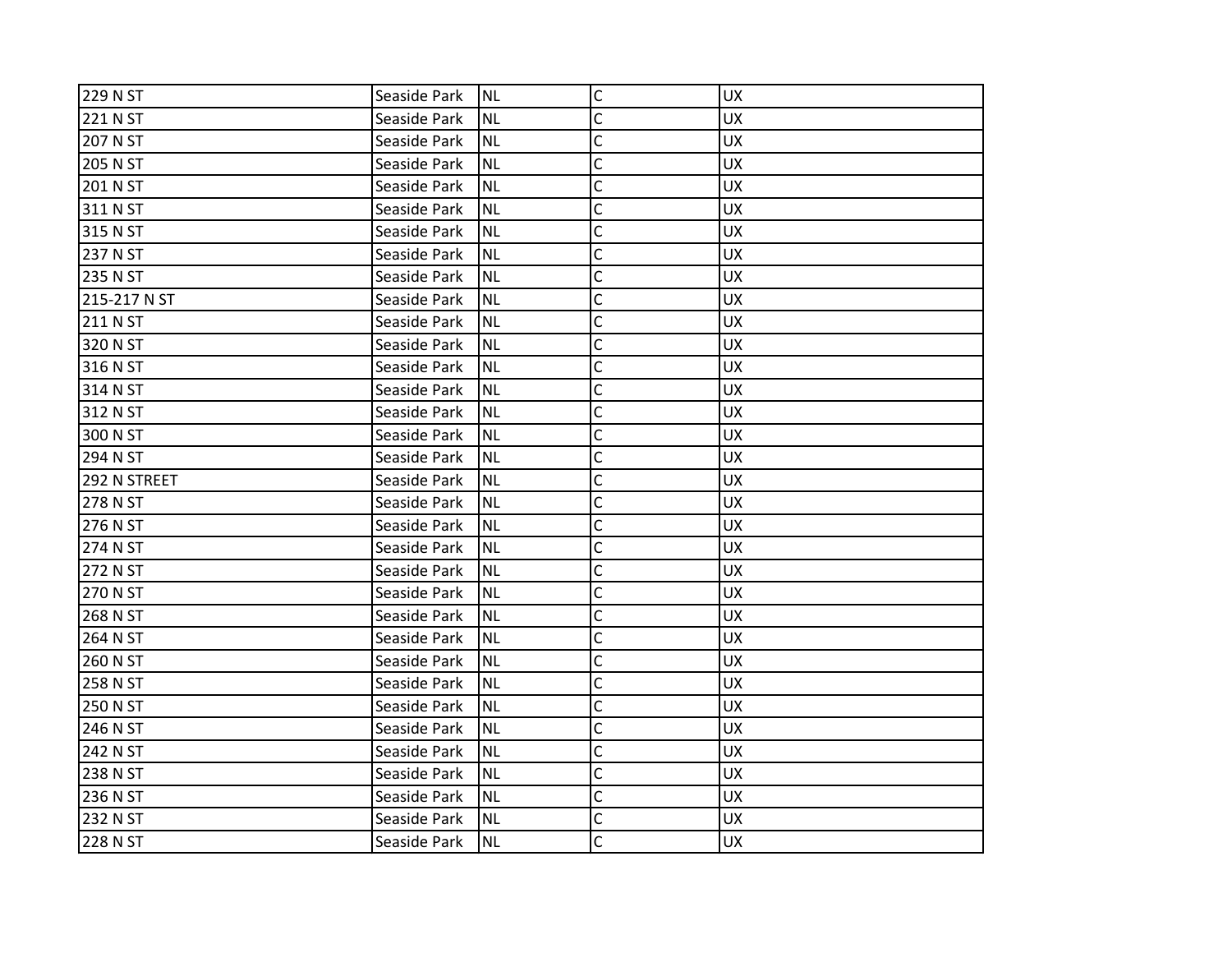| 229 N ST     | Seaside Park | <b>NL</b> | $\mathsf{C}$ | <b>UX</b> |
|--------------|--------------|-----------|--------------|-----------|
| 221 N ST     | Seaside Park | <b>NL</b> | C            | <b>UX</b> |
| 207 N ST     | Seaside Park | <b>NL</b> | C            | <b>UX</b> |
| 205 N ST     | Seaside Park | <b>NL</b> | C            | <b>UX</b> |
| 201 N ST     | Seaside Park | <b>NL</b> | C            | <b>UX</b> |
| 311 N ST     | Seaside Park | ΝL        | C            | <b>UX</b> |
| 315 N ST     | Seaside Park | <b>NL</b> | C            | <b>UX</b> |
| 237 N ST     | Seaside Park | ΝL        | C            | <b>UX</b> |
| 235 N ST     | Seaside Park | <b>NL</b> | C            | <b>UX</b> |
| 215-217 N ST | Seaside Park | <b>NL</b> | C            | <b>UX</b> |
| 211 N ST     | Seaside Park | <b>NL</b> | C            | <b>UX</b> |
| 320 N ST     | Seaside Park | <b>NL</b> | C            | <b>UX</b> |
| 316 N ST     | Seaside Park | ΝL        | C            | <b>UX</b> |
| 314 N ST     | Seaside Park | <b>NL</b> | C            | <b>UX</b> |
| 312 N ST     | Seaside Park | <b>NL</b> | C            | <b>UX</b> |
| 300 N ST     | Seaside Park | <b>NL</b> | C            | <b>UX</b> |
| 294 N ST     | Seaside Park | <b>NL</b> | C            | <b>UX</b> |
| 292 N STREET | Seaside Park | ΝL        | C            | <b>UX</b> |
| 278 N ST     | Seaside Park | <b>NL</b> | C            | <b>UX</b> |
| 276 N ST     | Seaside Park | <b>NL</b> | $\mathsf{C}$ | <b>UX</b> |
| 274 N ST     | Seaside Park | <b>NL</b> | C            | <b>UX</b> |
| 272 N ST     | Seaside Park | <b>NL</b> | C            | <b>UX</b> |
| 270 N ST     | Seaside Park | <b>NL</b> | C            | <b>UX</b> |
| 268 N ST     | Seaside Park | <b>NL</b> | C            | <b>UX</b> |
| 264 N ST     | Seaside Park | <b>NL</b> | C            | <b>UX</b> |
| 260 N ST     | Seaside Park | ΝL        | C            | <b>UX</b> |
| 258 N ST     | Seaside Park | <b>NL</b> | C            | <b>UX</b> |
| 250 N ST     | Seaside Park | <b>NL</b> | C            | <b>UX</b> |
| 246 N ST     | Seaside Park | <b>NL</b> | C            | <b>UX</b> |
| 242 N ST     | Seaside Park | <b>NL</b> | C            | <b>UX</b> |
| 238 N ST     | Seaside Park | ΝL        | C            | <b>UX</b> |
| 236 N ST     | Seaside Park | <b>NL</b> | C            | <b>UX</b> |
| 232 N ST     | Seaside Park | <b>NL</b> | C            | <b>UX</b> |
| 228 N ST     | Seaside Park | <b>NL</b> | C            | <b>UX</b> |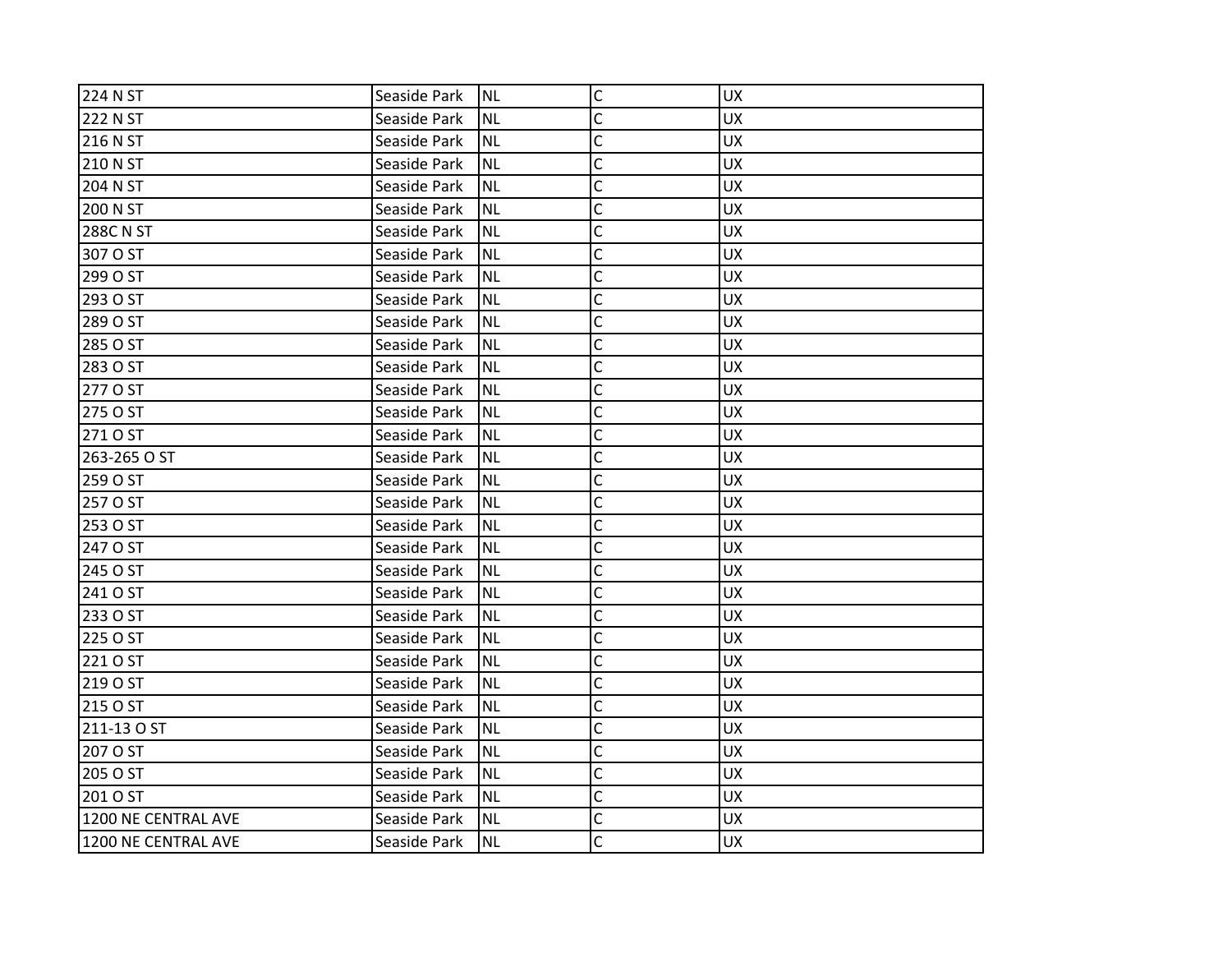| 224 N ST            | Seaside Park | <b>NL</b> | $\mathsf{C}$ | <b>UX</b> |
|---------------------|--------------|-----------|--------------|-----------|
| 222 N ST            | Seaside Park | <b>NL</b> | C            | <b>UX</b> |
| 216 N ST            | Seaside Park | <b>NL</b> | C            | <b>UX</b> |
| 210 N ST            | Seaside Park | <b>NL</b> | C            | <b>UX</b> |
| 204 N ST            | Seaside Park | <b>NL</b> | C            | <b>UX</b> |
| 200 N ST            | Seaside Park | ΝL        | C            | <b>UX</b> |
| <b>288C N ST</b>    | Seaside Park | <b>NL</b> | C            | <b>UX</b> |
| 307 O ST            | Seaside Park | <b>NL</b> | C            | <b>UX</b> |
| 299 O ST            | Seaside Park | <b>NL</b> | C            | <b>UX</b> |
| 293 O ST            | Seaside Park | <b>NL</b> | C            | <b>UX</b> |
| 289 O ST            | Seaside Park | <b>NL</b> | C            | <b>UX</b> |
| 285 O ST            | Seaside Park | <b>NL</b> | C            | <b>UX</b> |
| 283 O ST            | Seaside Park | ΝL        | C            | <b>UX</b> |
| 277 O ST            | Seaside Park | <b>NL</b> | C            | <b>UX</b> |
| 275 O ST            | Seaside Park | <b>NL</b> | C            | <b>UX</b> |
| 271 O ST            | Seaside Park | <b>NL</b> | C            | <b>UX</b> |
| 263-265 O ST        | Seaside Park | <b>NL</b> | C            | <b>UX</b> |
| 259 O ST            | Seaside Park | ΝL        | C            | <b>UX</b> |
| 257 O ST            | Seaside Park | <b>NL</b> | C            | <b>UX</b> |
| 253 O ST            | Seaside Park | <b>NL</b> | $\mathsf{C}$ | <b>UX</b> |
| 247 O ST            | Seaside Park | <b>NL</b> | C            | <b>UX</b> |
| 245 O ST            | Seaside Park | <b>NL</b> | C            | <b>UX</b> |
| 241 O ST            | Seaside Park | <b>NL</b> | C            | <b>UX</b> |
| 233 O ST            | Seaside Park | <b>NL</b> | C            | <b>UX</b> |
| 225 O ST            | Seaside Park | <b>NL</b> | C            | <b>UX</b> |
| 221 O ST            | Seaside Park | ΝL        | C            | <b>UX</b> |
| 219 O ST            | Seaside Park | <b>NL</b> | C            | <b>UX</b> |
| 215 O ST            | Seaside Park | <b>NL</b> | C            | <b>UX</b> |
| 211-13 O ST         | Seaside Park | <b>NL</b> | C            | <b>UX</b> |
| 207 O ST            | Seaside Park | NL        | C            | <b>UX</b> |
| 205 O ST            | Seaside Park | NL        | C            | <b>UX</b> |
| 201 O ST            | Seaside Park | <b>NL</b> | C            | <b>UX</b> |
| 1200 NE CENTRAL AVE | Seaside Park | <b>NL</b> | C            | <b>UX</b> |
| 1200 NE CENTRAL AVE | Seaside Park | <b>NL</b> | Ċ            | <b>UX</b> |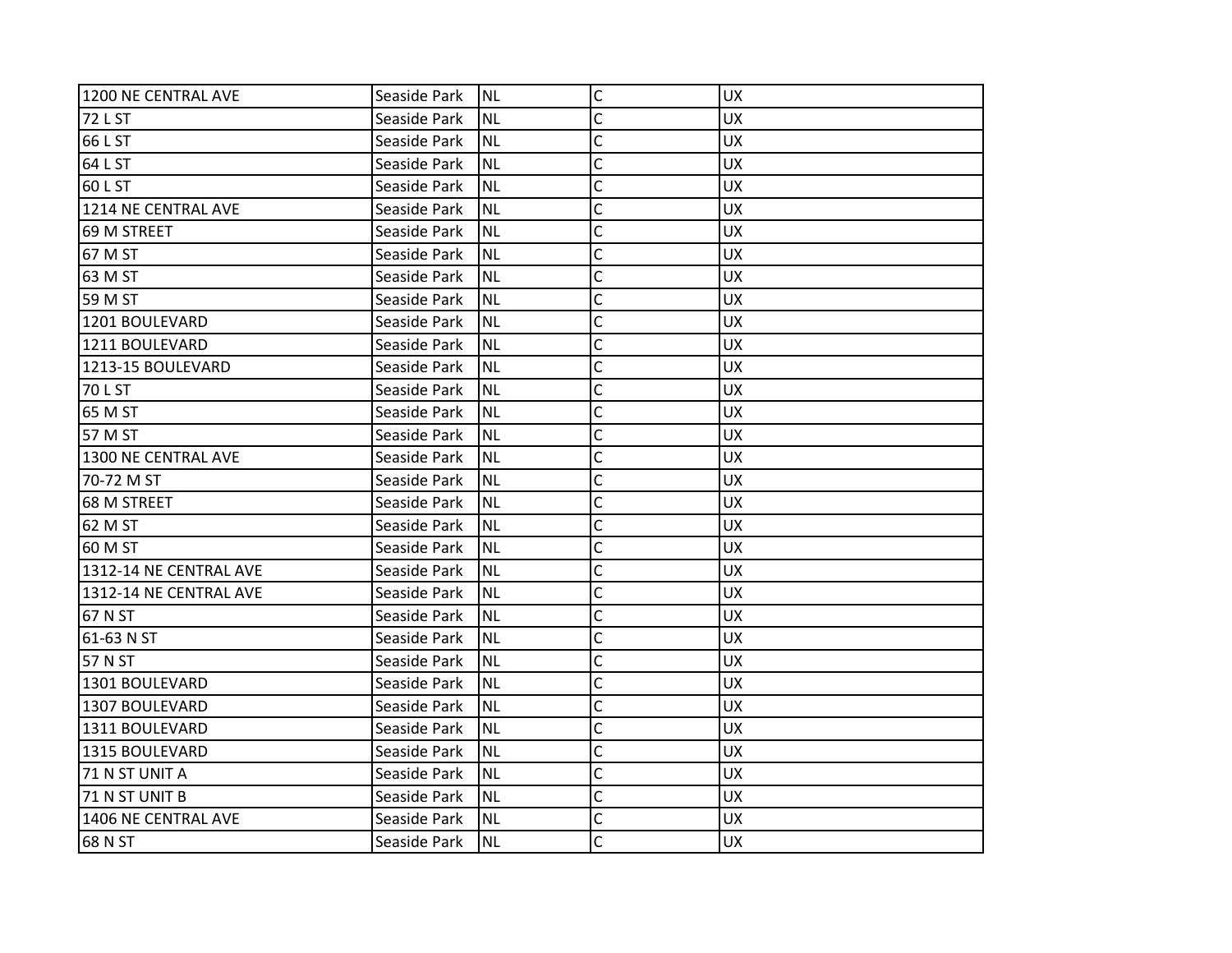| 1200 NE CENTRAL AVE    | Seaside Park | <b>NL</b> | $\mathsf C$    | <b>UX</b> |
|------------------------|--------------|-----------|----------------|-----------|
| 72 L ST                | Seaside Park | <b>NL</b> | C              | <b>UX</b> |
| 66 L ST                | Seaside Park | <b>NL</b> | C              | <b>UX</b> |
| 64 L ST                | Seaside Park | <b>NL</b> | Ċ              | <b>UX</b> |
| 60 L ST                | Seaside Park | <b>NL</b> | C              | <b>UX</b> |
| 1214 NE CENTRAL AVE    | Seaside Park | <b>NL</b> | C              | <b>UX</b> |
| 69 M STREET            | Seaside Park | <b>NL</b> | C              | <b>UX</b> |
| 67 M ST                | Seaside Park | <b>NL</b> | C              | <b>UX</b> |
| 63 M ST                | Seaside Park | <b>NL</b> | C              | UX        |
| 59 M ST                | Seaside Park | <b>NL</b> | C              | <b>UX</b> |
| 1201 BOULEVARD         | Seaside Park | <b>NL</b> | C              | <b>UX</b> |
| 1211 BOULEVARD         | Seaside Park | <b>NL</b> | C              | <b>UX</b> |
| 1213-15 BOULEVARD      | Seaside Park | <b>NL</b> | C              | <b>UX</b> |
| 70 L ST                | Seaside Park | <b>NL</b> | Ċ              | <b>UX</b> |
| 65 M ST                | Seaside Park | <b>NL</b> | C              | <b>UX</b> |
| 57 M ST                | Seaside Park | <b>NL</b> | Ċ              | <b>UX</b> |
| 1300 NE CENTRAL AVE    | Seaside Park | <b>NL</b> | C              | <b>UX</b> |
| 70-72 M ST             | Seaside Park | <b>NL</b> | C              | <b>UX</b> |
| 68 M STREET            | Seaside Park | <b>NL</b> | C              | <b>UX</b> |
| 62 M ST                | Seaside Park | <b>NL</b> | $\mathsf{C}$   | <b>UX</b> |
| 60 M ST                | Seaside Park | <b>NL</b> | C              | <b>UX</b> |
| 1312-14 NE CENTRAL AVE | Seaside Park | <b>NL</b> | C              | <b>UX</b> |
| 1312-14 NE CENTRAL AVE | Seaside Park | <b>NL</b> | C              | <b>UX</b> |
| 67 N ST                | Seaside Park | <b>NL</b> | C              | <b>UX</b> |
| 61-63 N ST             | Seaside Park | <b>NL</b> | C              | <b>UX</b> |
| 57 N ST                | Seaside Park | <b>NL</b> | $\overline{C}$ | <b>UX</b> |
| 1301 BOULEVARD         | Seaside Park | <b>NL</b> | C              | <b>UX</b> |
| 1307 BOULEVARD         | Seaside Park | <b>NL</b> | $\overline{C}$ | <b>UX</b> |
| 1311 BOULEVARD         | Seaside Park | <b>NL</b> | C              | <b>UX</b> |
| 1315 BOULEVARD         | Seaside Park | <b>NL</b> | $\mathsf{C}$   | <b>UX</b> |
| 71 N ST UNIT A         | Seaside Park | <b>NL</b> | C              | <b>UX</b> |
| 71 N ST UNIT B         | Seaside Park | <b>NL</b> | C              | <b>UX</b> |
| 1406 NE CENTRAL AVE    | Seaside Park | <b>NL</b> | C              | <b>UX</b> |
| 68 N ST                | Seaside Park | <b>NL</b> | C              | <b>UX</b> |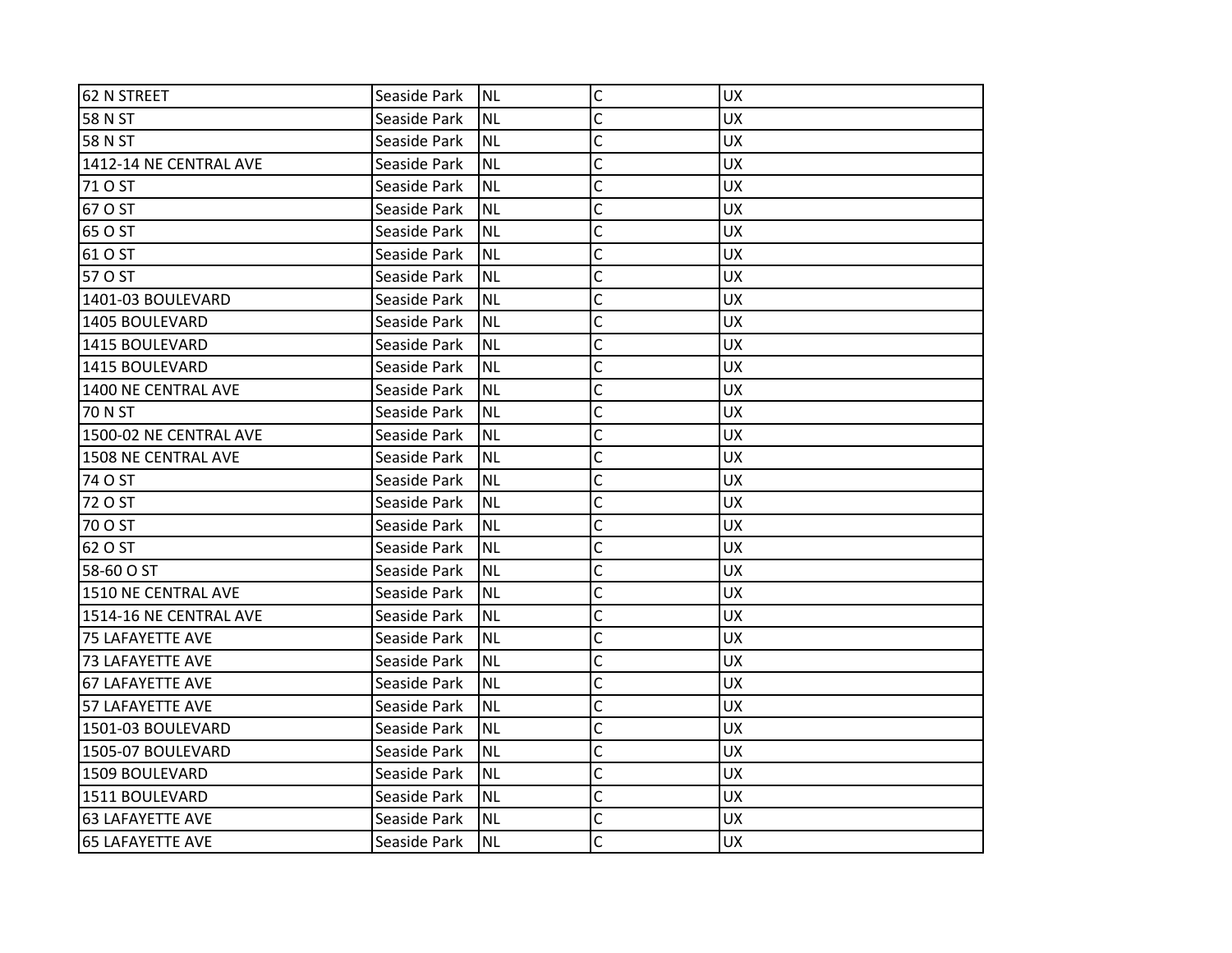| 62 N STREET             | Seaside Park | INL       | $\mathsf C$  | <b>UX</b> |
|-------------------------|--------------|-----------|--------------|-----------|
| 58 N ST                 | Seaside Park | <b>NL</b> | C            | <b>UX</b> |
| 58 N ST                 | Seaside Park | NL.       | C            | <b>UX</b> |
| 1412-14 NE CENTRAL AVE  | Seaside Park | Inl       | C            | <b>UX</b> |
| 71 O ST                 | Seaside Park | INL       | $\mathsf{C}$ | <b>UX</b> |
| 67 O ST                 | Seaside Park | <b>NL</b> | C            | UX        |
| 65 O ST                 | Seaside Park | Inl       | Ċ            | <b>UX</b> |
| 61 O ST                 | Seaside Park | NL        | C            | <b>UX</b> |
| 57 O ST                 | Seaside Park | INL       | Ċ            | <b>UX</b> |
| 1401-03 BOULEVARD       | Seaside Park | INL       | $\mathsf{C}$ | <b>UX</b> |
| 1405 BOULEVARD          | Seaside Park | <b>NL</b> | C            | UX        |
| 1415 BOULEVARD          | Seaside Park | INL       | C            | <b>UX</b> |
| 1415 BOULEVARD          | Seaside Park | NL        | C            | <b>UX</b> |
| 1400 NE CENTRAL AVE     | Seaside Park | INL       | Ċ            | <b>UX</b> |
| 70 N ST                 | Seaside Park | Inl       | $\mathsf{C}$ | <b>UX</b> |
| 1500-02 NE CENTRAL AVE  | Seaside Park | <b>NL</b> | C            | <b>UX</b> |
| 1508 NE CENTRAL AVE     | Seaside Park | Inl       | Ċ            | <b>UX</b> |
| 74 O ST                 | Seaside Park | NL        | C            | <b>UX</b> |
| 72 O ST                 | Seaside Park | INL       | C            | <b>UX</b> |
| 70 O ST                 | Seaside Park | INL       | C            | <b>UX</b> |
| 62 O ST                 | Seaside Park | <b>NL</b> | C            | <b>UX</b> |
| 58-60 O ST              | Seaside Park | Inl       | C            | <b>UX</b> |
| 1510 NE CENTRAL AVE     | Seaside Park | Inl       | Ċ            | <b>UX</b> |
| 1514-16 NE CENTRAL AVE  | Seaside Park | INL       | C            | <b>UX</b> |
| 75 LAFAYETTE AVE        | Seaside Park | <b>NL</b> | C            | UX        |
| <b>73 LAFAYETTE AVE</b> | Seaside Park | <b>NL</b> | Ċ            | <b>UX</b> |
| <b>67 LAFAYETTE AVE</b> | Seaside Park | NL        | C            | <b>UX</b> |
| <b>57 LAFAYETTE AVE</b> | Seaside Park | INL       | C            | <b>UX</b> |
| 1501-03 BOULEVARD       | Seaside Park | INL       | C            | <b>UX</b> |
| 1505-07 BOULEVARD       | Seaside Park | Inl       | C            | <b>UX</b> |
| 1509 BOULEVARD          | Seaside Park | <b>NL</b> | C            | <b>UX</b> |
| 1511 BOULEVARD          | Seaside Park | NL        | C            | <b>UX</b> |
| <b>63 LAFAYETTE AVE</b> | Seaside Park | NL.       | C            | <b>UX</b> |
| <b>65 LAFAYETTE AVE</b> | Seaside Park | INL       | C            | <b>UX</b> |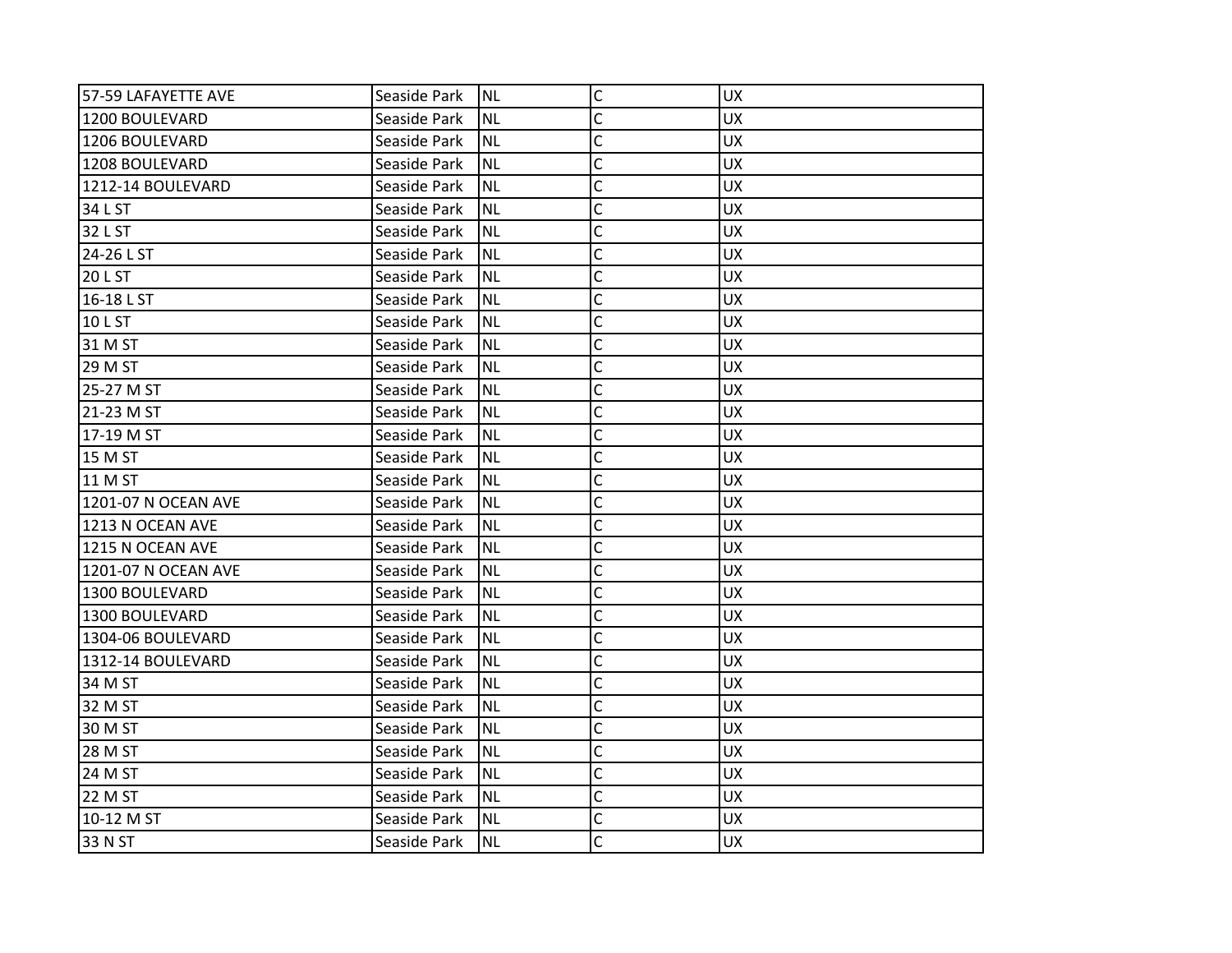| 57-59 LAFAYETTE AVE | Seaside Park | <b>NL</b> | $\mathsf{C}$ | <b>UX</b> |
|---------------------|--------------|-----------|--------------|-----------|
| 1200 BOULEVARD      | Seaside Park | <b>NL</b> | C            | <b>UX</b> |
| 1206 BOULEVARD      | Seaside Park | <b>NL</b> | C            | <b>UX</b> |
| 1208 BOULEVARD      | Seaside Park | <b>NL</b> | Ċ            | <b>UX</b> |
| 1212-14 BOULEVARD   | Seaside Park | <b>NL</b> | C            | <b>UX</b> |
| 34 L ST             | Seaside Park | <b>NL</b> | C            | <b>UX</b> |
| 32 L ST             | Seaside Park | <b>NL</b> | C            | <b>UX</b> |
| 24-26 L ST          | Seaside Park | <b>NL</b> | C            | <b>UX</b> |
| 20 L ST             | Seaside Park | <b>NL</b> | C            | <b>UX</b> |
| 16-18 L ST          | Seaside Park | <b>NL</b> | C            | <b>UX</b> |
| 10 L ST             | Seaside Park | <b>NL</b> | C            | <b>UX</b> |
| 31 M ST             | Seaside Park | <b>NL</b> | C            | <b>UX</b> |
| 29 M ST             | Seaside Park | <b>NL</b> | C            | <b>UX</b> |
| 25-27 M ST          | Seaside Park | <b>NL</b> | Ċ            | <b>UX</b> |
| 21-23 M ST          | Seaside Park | <b>NL</b> | C            | <b>UX</b> |
| 17-19 M ST          | Seaside Park | <b>NL</b> | Ċ            | <b>UX</b> |
| 15 M ST             | Seaside Park | <b>NL</b> | C            | <b>UX</b> |
| 11 M ST             | Seaside Park | <b>NL</b> | C            | <b>UX</b> |
| 1201-07 N OCEAN AVE | Seaside Park | <b>NL</b> | C            | <b>UX</b> |
| 1213 N OCEAN AVE    | Seaside Park | <b>NL</b> | C            | <b>UX</b> |
| 1215 N OCEAN AVE    | Seaside Park | <b>NL</b> | C            | <b>UX</b> |
| 1201-07 N OCEAN AVE | Seaside Park | <b>NL</b> | C            | <b>UX</b> |
| 1300 BOULEVARD      | Seaside Park | <b>NL</b> | C            | <b>UX</b> |
| 1300 BOULEVARD      | Seaside Park | <b>NL</b> | C            | <b>UX</b> |
| 1304-06 BOULEVARD   | Seaside Park | <b>NL</b> | C            | <b>UX</b> |
| 1312-14 BOULEVARD   | Seaside Park | <b>NL</b> | C            | <b>UX</b> |
| 34 M ST             | Seaside Park | <b>NL</b> | Ċ            | <b>UX</b> |
| 32 M ST             | Seaside Park | <b>NL</b> | C            | <b>UX</b> |
| 30 M ST             | Seaside Park | <b>NL</b> | C            | <b>UX</b> |
| 28 M ST             | Seaside Park | <b>NL</b> | $\mathsf{C}$ | <b>UX</b> |
| 24 M ST             | Seaside Park | <b>NL</b> | C            | <b>UX</b> |
| 22 M ST             | Seaside Park | <b>NL</b> | C            | <b>UX</b> |
| 10-12 M ST          | Seaside Park | <b>NL</b> | C            | <b>UX</b> |
| 33 N ST             | Seaside Park | Inl       | C            | <b>UX</b> |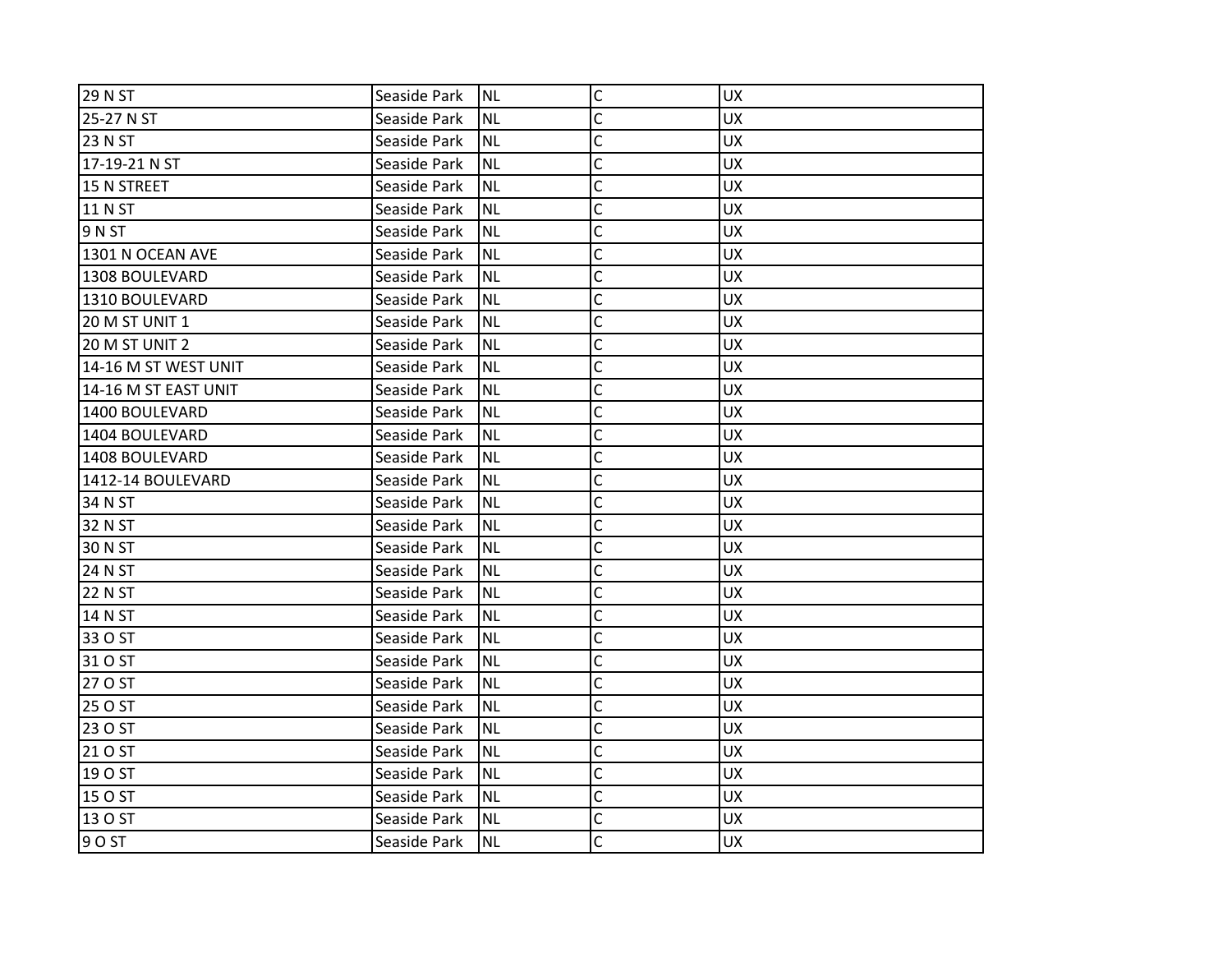| <b>29 N ST</b>        | Seaside Park | INL       | $\mathsf C$             | <b>UX</b> |
|-----------------------|--------------|-----------|-------------------------|-----------|
| 25-27 N ST            | Seaside Park | INL       | C                       | <b>UX</b> |
| 23 N ST               | Seaside Park | NL        | C                       | <b>UX</b> |
| 17-19-21 N ST         | Seaside Park | Inl       | C                       | <b>UX</b> |
| 15 N STREET           | Seaside Park | <b>NL</b> | $\mathsf{C}$            | <b>UX</b> |
| 11 N ST               | Seaside Park | <b>NL</b> | C                       | <b>UX</b> |
| 9 N ST                | Seaside Park | <b>NL</b> | C                       | <b>UX</b> |
| 1301 N OCEAN AVE      | Seaside Park | NL        | C                       | <b>UX</b> |
| 1308 BOULEVARD        | Seaside Park | INL       | C                       | <b>UX</b> |
| 1310 BOULEVARD        | Seaside Park | <b>NL</b> | $\mathsf{C}$            | <b>UX</b> |
| 20 M ST UNIT 1        | Seaside Park | <b>NL</b> | C                       | <b>UX</b> |
| <b>20 M ST UNIT 2</b> | Seaside Park | Inl       | C                       | <b>UX</b> |
| 14-16 M ST WEST UNIT  | Seaside Park | NL        | C                       | <b>UX</b> |
| 14-16 M ST EAST UNIT  | Seaside Park | Inl       | Ċ                       | <b>UX</b> |
| 1400 BOULEVARD        | Seaside Park | INL       | $\overline{\mathsf{C}}$ | <b>UX</b> |
| 1404 BOULEVARD        | Seaside Park | <b>NL</b> | C                       | <b>UX</b> |
| 1408 BOULEVARD        | Seaside Park | <b>NL</b> | C                       | <b>UX</b> |
| 1412-14 BOULEVARD     | Seaside Park | NL        | C                       | <b>UX</b> |
| 34 N ST               | Seaside Park | Inl       | C                       | <b>UX</b> |
| 32 N ST               | Seaside Park | INL       | $\mathsf{C}$            | <b>UX</b> |
| 30 N ST               | Seaside Park | <b>NL</b> | C                       | <b>UX</b> |
| 24 N ST               | Seaside Park | <b>NL</b> | C                       | <b>UX</b> |
| <b>22 N ST</b>        | Seaside Park | Inl       | C                       | <b>UX</b> |
| 14 N ST               | Seaside Park | Inl       | C                       | <b>UX</b> |
| 33 O ST               | Seaside Park | Inl       | $\mathsf{C}$            | <b>UX</b> |
| 31 O ST               | Seaside Park | <b>NL</b> | C                       | <b>UX</b> |
| 27 O ST               | Seaside Park | Inl       | C                       | <b>UX</b> |
| 25 O ST               | Seaside Park | Inl       | C                       | <b>UX</b> |
| 23 O ST               | Seaside Park | INL       | C                       | <b>UX</b> |
| 21 O ST               | Seaside Park | INL       | C                       | <b>UX</b> |
| 19 O ST               | Seaside Park | <b>NL</b> | C                       | <b>UX</b> |
| 15 O ST               | Seaside Park | NL.       | $\mathsf{C}$            | <b>UX</b> |
| 13 O ST               | Seaside Park | Inl       | C                       | <b>UX</b> |
| 9 O ST                | Seaside Park | INL       | C                       | <b>UX</b> |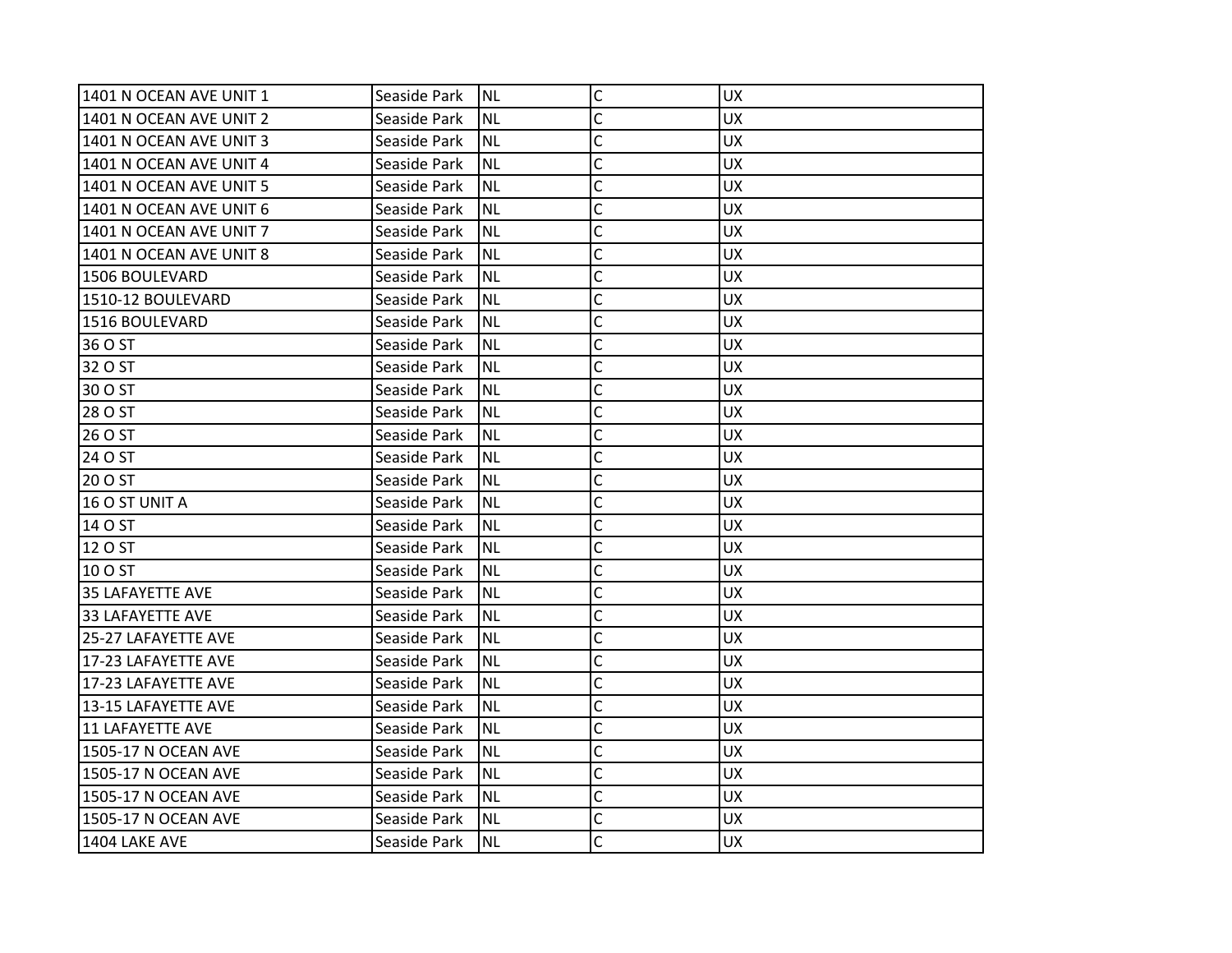| 1401 N OCEAN AVE UNIT 1 | Seaside Park | <b>NL</b> | C              | <b>UX</b> |
|-------------------------|--------------|-----------|----------------|-----------|
| 1401 N OCEAN AVE UNIT 2 | Seaside Park | NL        | C              | <b>UX</b> |
| 1401 N OCEAN AVE UNIT 3 | Seaside Park | <b>NL</b> | C              | <b>UX</b> |
| 1401 N OCEAN AVE UNIT 4 | Seaside Park | <b>NL</b> | C              | <b>UX</b> |
| 1401 N OCEAN AVE UNIT 5 | Seaside Park | <b>NL</b> | $\overline{C}$ | <b>UX</b> |
| 1401 N OCEAN AVE UNIT 6 | Seaside Park | ΝL        | C              | <b>UX</b> |
| 1401 N OCEAN AVE UNIT 7 | Seaside Park | NL        | Ċ              | <b>UX</b> |
| 1401 N OCEAN AVE UNIT 8 | Seaside Park | <b>NL</b> | C              | <b>UX</b> |
| 1506 BOULEVARD          | Seaside Park | <b>NL</b> | C              | <b>UX</b> |
| 1510-12 BOULEVARD       | Seaside Park | <b>NL</b> | C              | <b>UX</b> |
| 1516 BOULEVARD          | Seaside Park | ΝL        | C              | <b>UX</b> |
| 36 O ST                 | Seaside Park | <b>NL</b> | C              | <b>UX</b> |
| 32 O ST                 | Seaside Park | <b>NL</b> | C              | <b>UX</b> |
| 30 O ST                 | Seaside Park | ΝL        | C              | <b>UX</b> |
| 28 O ST                 | Seaside Park | <b>NL</b> | C              | <b>UX</b> |
| 26 O ST                 | Seaside Park | ΝL        | C              | <b>UX</b> |
| 24 O ST                 | Seaside Park | <b>NL</b> | Ċ              | <b>UX</b> |
| 20 O ST                 | Seaside Park | <b>NL</b> | C              | <b>UX</b> |
| 16 O ST UNIT A          | Seaside Park | NL        | C              | <b>UX</b> |
| 14 O ST                 | Seaside Park | <b>NL</b> | C              | <b>UX</b> |
| 12 O ST                 | Seaside Park | ΝL        | C              | UX.       |
| 10 O ST                 | Seaside Park | <b>NL</b> | Ċ              | <b>UX</b> |
| 35 LAFAYETTE AVE        | Seaside Park | <b>NL</b> | C              | <b>UX</b> |
| 33 LAFAYETTE AVE        | Seaside Park | NL        | C              | <b>UX</b> |
| 25-27 LAFAYETTE AVE     | Seaside Park | <b>NL</b> | Ċ              | <b>UX</b> |
| 17-23 LAFAYETTE AVE     | Seaside Park | ΝL        | C              | <b>UX</b> |
| 17-23 LAFAYETTE AVE     | Seaside Park | NL        | Ċ              | <b>UX</b> |
| 13-15 LAFAYETTE AVE     | Seaside Park | <b>NL</b> | C              | <b>UX</b> |
| 11 LAFAYETTE AVE        | Seaside Park | ΝL        | C              | <b>UX</b> |
| 1505-17 N OCEAN AVE     | Seaside Park | <b>NL</b> | Ċ              | <b>UX</b> |
| 1505-17 N OCEAN AVE     | Seaside Park | NL        | C              | <b>UX</b> |
| 1505-17 N OCEAN AVE     | Seaside Park | <b>NL</b> | Ċ              | <b>UX</b> |
| 1505-17 N OCEAN AVE     | Seaside Park | <b>NL</b> | C              | <b>UX</b> |
| <b>1404 LAKE AVE</b>    | Seaside Park | NL        | Ċ              | <b>UX</b> |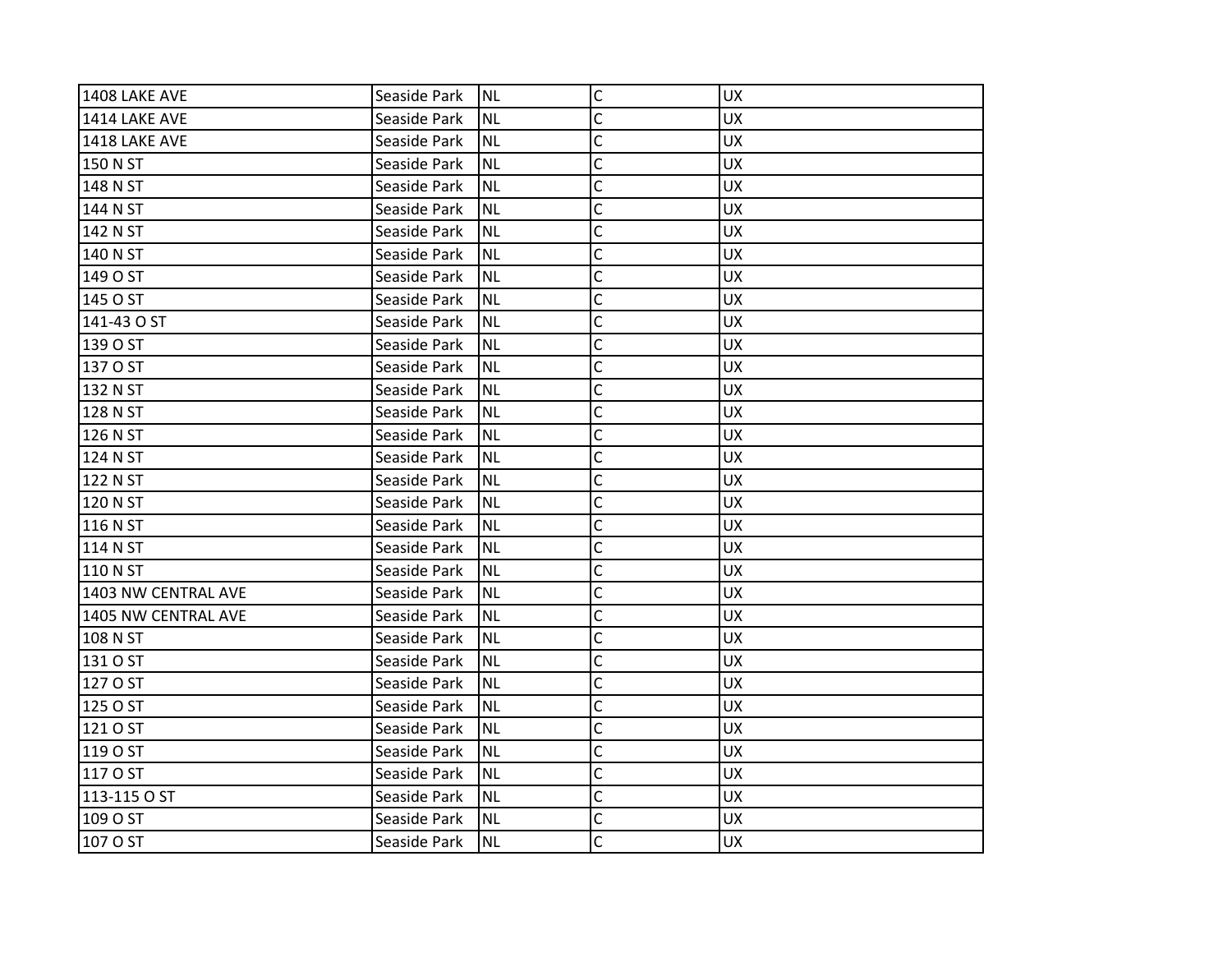| <b>1408 LAKE AVE</b> | Seaside Park | <b>NL</b> | $\mathsf C$    | <b>UX</b> |
|----------------------|--------------|-----------|----------------|-----------|
| <b>1414 LAKE AVE</b> | Seaside Park | <b>NL</b> | C              | <b>UX</b> |
| <b>1418 LAKE AVE</b> | Seaside Park | <b>NL</b> | C              | <b>UX</b> |
| 150 N ST             | Seaside Park | <b>NL</b> | $\mathsf{C}$   | <b>UX</b> |
| 148 N ST             | Seaside Park | <b>NL</b> | $\mathsf{C}$   | <b>UX</b> |
| 144 N ST             | Seaside Park | <b>NL</b> | C              | <b>UX</b> |
| 142 N ST             | Seaside Park | <b>NL</b> | C              | <b>UX</b> |
| 140 N ST             | Seaside Park | <b>NL</b> | C              | <b>UX</b> |
| 149 O ST             | Seaside Park | <b>NL</b> | $\mathsf{C}$   | <b>UX</b> |
| 145 O ST             | Seaside Park | <b>NL</b> | $\mathsf{C}$   | <b>UX</b> |
| 141-43 O ST          | Seaside Park | <b>NL</b> | C              | <b>UX</b> |
| 139 O ST             | Seaside Park | <b>NL</b> | C              | <b>UX</b> |
| 137 O ST             | Seaside Park | <b>NL</b> | C              | <b>UX</b> |
| 132 N ST             | Seaside Park | <b>NL</b> | $\mathsf{C}$   | <b>UX</b> |
| 128 N ST             | Seaside Park | <b>NL</b> | $\mathsf{C}$   | <b>UX</b> |
| 126 N ST             | Seaside Park | <b>NL</b> | C              | <b>UX</b> |
| 124 N ST             | Seaside Park | <b>NL</b> | C              | <b>UX</b> |
| 122 N ST             | Seaside Park | <b>NL</b> | C              | <b>UX</b> |
|                      |              | <b>NL</b> | $\mathsf{C}$   | <b>UX</b> |
| 120 N ST             | Seaside Park |           | $\mathsf{C}$   |           |
| 116 N ST             | Seaside Park | <b>NL</b> |                | <b>UX</b> |
| 114 N ST             | Seaside Park | <b>NL</b> | C              | <b>UX</b> |
| 110 N ST             | Seaside Park | <b>NL</b> | C              | <b>UX</b> |
| 1403 NW CENTRAL AVE  | Seaside Park | <b>NL</b> | C              | <b>UX</b> |
| 1405 NW CENTRAL AVE  | Seaside Park | <b>NL</b> | C              | <b>UX</b> |
| 108 N ST             | Seaside Park | <b>NL</b> | $\overline{C}$ | <b>UX</b> |
| 131 O ST             | Seaside Park | <b>NL</b> | C              | <b>UX</b> |
| 127 O ST             | Seaside Park | <b>NL</b> | C              | <b>UX</b> |
| 125 O ST             | Seaside Park | <b>NL</b> | $\mathsf{C}$   | <b>UX</b> |
| 121 O ST             | Seaside Park | <b>NL</b> | $\mathsf{C}$   | <b>UX</b> |
| 119 O ST             | Seaside Park | <b>NL</b> | $\mathsf{C}$   | <b>UX</b> |
| 117 O ST             | Seaside Park | <b>NL</b> | C              | <b>UX</b> |
| 113-115 O ST         | Seaside Park | <b>NL</b> | $\mathsf{C}$   | <b>UX</b> |
| 109 O ST             | Seaside Park | <b>NL</b> | C              | <b>UX</b> |
| 107 O ST             | Seaside Park | INL       | C              | <b>UX</b> |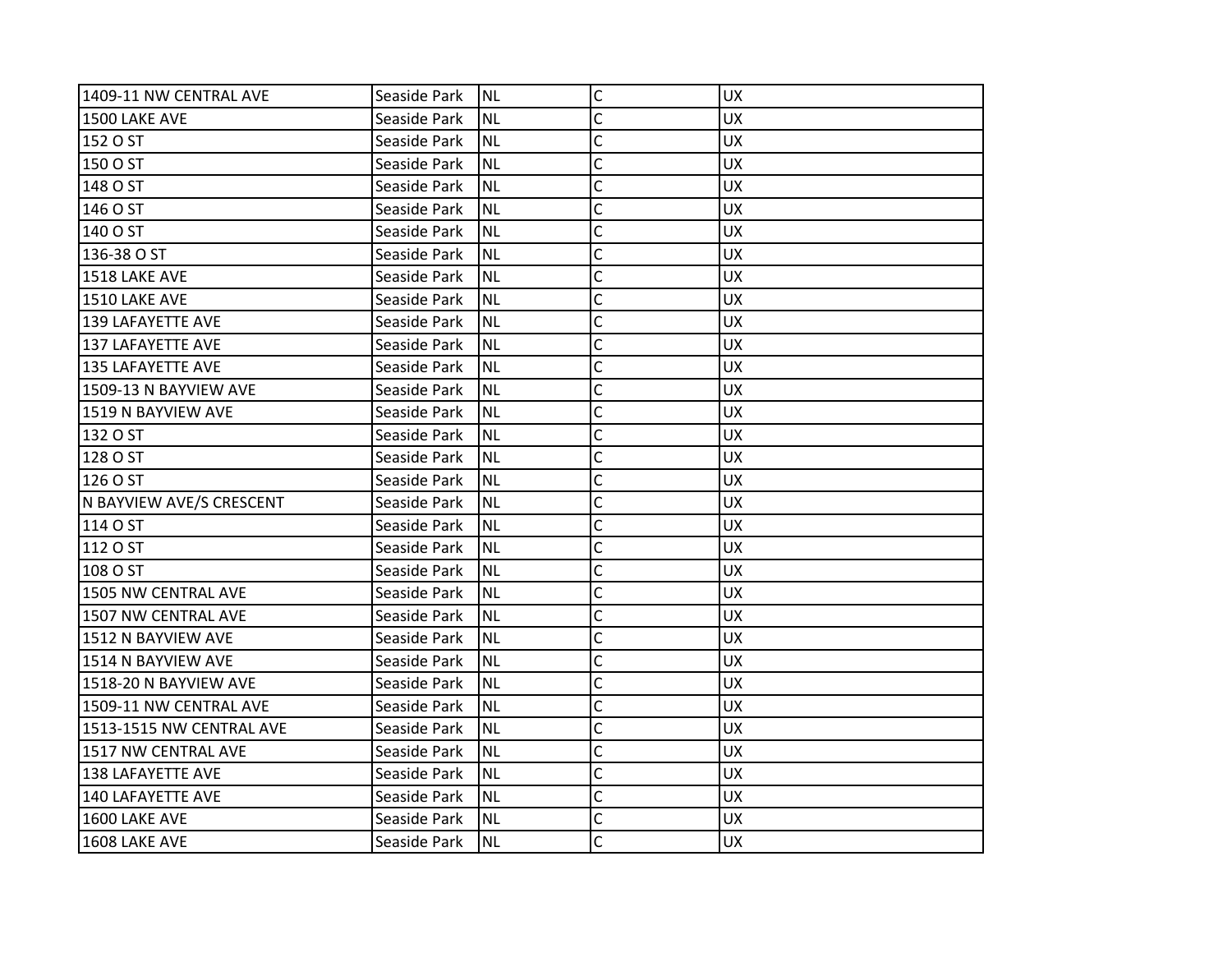| 1409-11 NW CENTRAL AVE   | Seaside Park | INL       | C | <b>UX</b> |
|--------------------------|--------------|-----------|---|-----------|
| <b>1500 LAKE AVE</b>     | Seaside Park | <b>NL</b> | C | <b>UX</b> |
| 152 O ST                 | Seaside Park | NL)       | C | <b>UX</b> |
| 150 O ST                 | Seaside Park | <b>NL</b> | C | <b>UX</b> |
| 148 O ST                 | Seaside Park | <b>NL</b> | C | <b>UX</b> |
| 146 O ST                 | Seaside Park | <b>NL</b> | C | <b>UX</b> |
| 140 O ST                 | Seaside Park | <b>NL</b> | C | <b>UX</b> |
| 136-38 O ST              | Seaside Park | <b>NL</b> | C | <b>UX</b> |
| 1518 LAKE AVE            | Seaside Park | INL       | C | <b>UX</b> |
| <b>1510 LAKE AVE</b>     | Seaside Park | <b>NL</b> | Ċ | <b>UX</b> |
| 139 LAFAYETTE AVE        | Seaside Park | <b>NL</b> | C | <b>UX</b> |
| 137 LAFAYETTE AVE        | Seaside Park | <b>NL</b> | Ċ | <b>UX</b> |
| 135 LAFAYETTE AVE        | Seaside Park | <b>NL</b> | C | <b>UX</b> |
| 1509-13 N BAYVIEW AVE    | Seaside Park | <b>NL</b> | C | <b>UX</b> |
| 1519 N BAYVIEW AVE       | Seaside Park | <b>NL</b> | C | <b>UX</b> |
| 132 O ST                 | Seaside Park | <b>NL</b> | Ċ | <b>UX</b> |
| 128 O ST                 | Seaside Park | <b>NL</b> | C | <b>UX</b> |
| 126 O ST                 | Seaside Park | <b>NL</b> | Ċ | <b>UX</b> |
| N BAYVIEW AVE/S CRESCENT | Seaside Park | <b>NL</b> | C | <b>UX</b> |
| 114 O ST                 | Seaside Park | <b>NL</b> | Ċ | <b>UX</b> |
| 112 O ST                 | Seaside Park | <b>NL</b> | C | <b>UX</b> |
| 108 O ST                 | Seaside Park | <b>NL</b> | C | <b>UX</b> |
| 1505 NW CENTRAL AVE      | Seaside Park | <b>NL</b> | C | <b>UX</b> |
| 1507 NW CENTRAL AVE      | Seaside Park | <b>NL</b> | C | <b>UX</b> |
| 1512 N BAYVIEW AVE       | Seaside Park | <b>NL</b> | C | <b>UX</b> |
| 1514 N BAYVIEW AVE       | Seaside Park | <b>NL</b> | C | <b>UX</b> |
| 1518-20 N BAYVIEW AVE    | Seaside Park | <b>NL</b> | C | <b>UX</b> |
| 1509-11 NW CENTRAL AVE   | Seaside Park | <b>NL</b> | C | <b>UX</b> |
| 1513-1515 NW CENTRAL AVE | Seaside Park | <b>NL</b> | C | <b>UX</b> |
| 1517 NW CENTRAL AVE      | Seaside Park | <b>NL</b> | C | <b>UX</b> |
| <b>138 LAFAYETTE AVE</b> | Seaside Park | <b>NL</b> | C | <b>UX</b> |
| 140 LAFAYETTE AVE        | Seaside Park | <b>NL</b> | C | <b>UX</b> |
| 1600 LAKE AVE            | Seaside Park | <b>NL</b> | C | <b>UX</b> |
| 1608 LAKE AVE            | Seaside Park | INL       | C | <b>UX</b> |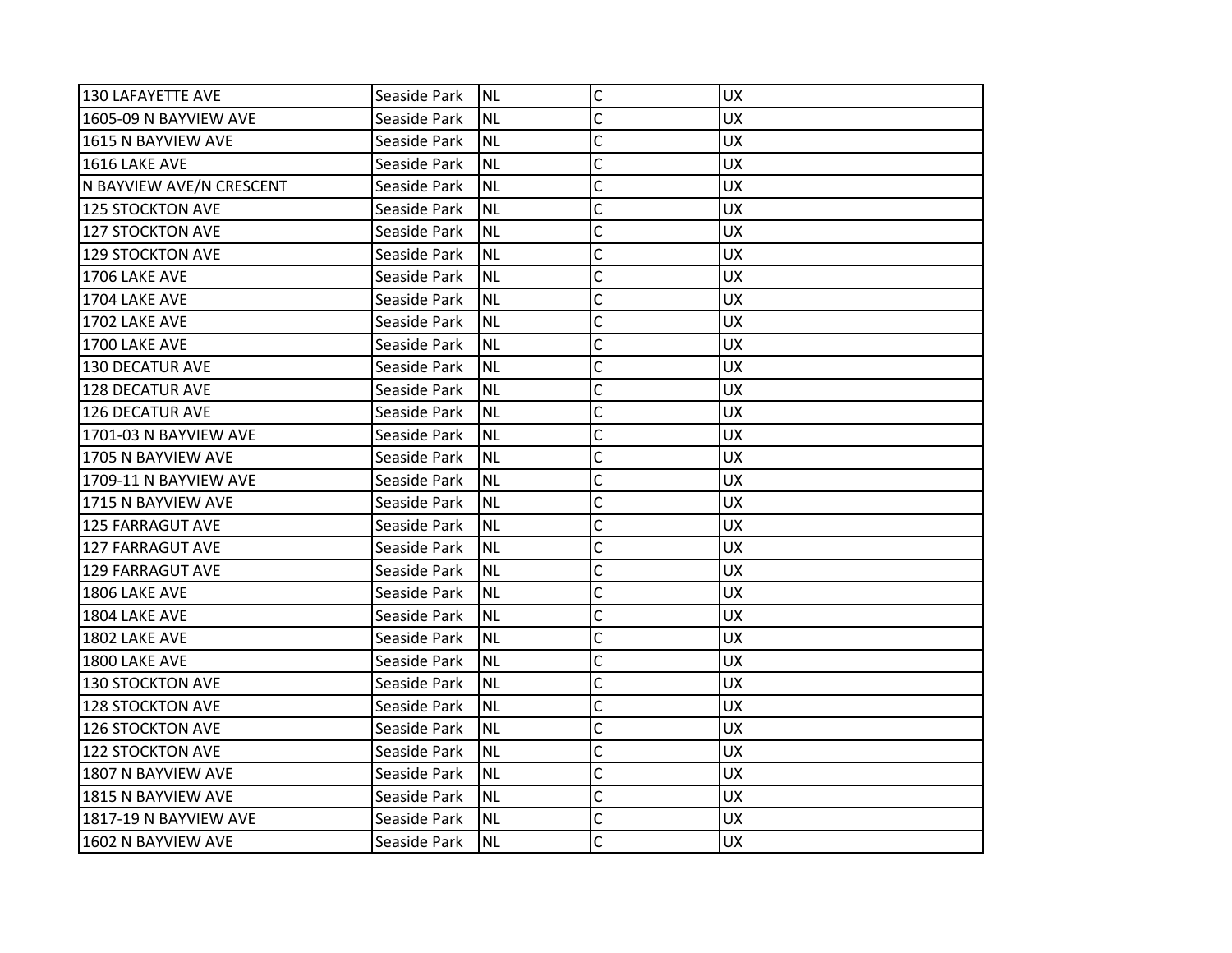| 130 LAFAYETTE AVE        | Seaside Park | INL       | $\mathsf{C}$ | <b>UX</b> |
|--------------------------|--------------|-----------|--------------|-----------|
| 1605-09 N BAYVIEW AVE    | Seaside Park | <b>NL</b> | C            | <b>UX</b> |
| 1615 N BAYVIEW AVE       | Seaside Park | <b>NL</b> | C            | <b>UX</b> |
| 1616 LAKE AVE            | Seaside Park | <b>NL</b> | C            | <b>UX</b> |
| N BAYVIEW AVE/N CRESCENT | Seaside Park | <b>NL</b> | Ċ            | <b>UX</b> |
| 125 STOCKTON AVE         | Seaside Park | <b>NL</b> | C            | UX        |
| 127 STOCKTON AVE         | Seaside Park | <b>NL</b> | Ċ            | <b>UX</b> |
| 129 STOCKTON AVE         | Seaside Park | <b>NL</b> | C            | <b>UX</b> |
| 1706 LAKE AVE            | Seaside Park | <b>NL</b> | Ċ            | <b>UX</b> |
| 1704 LAKE AVE            | Seaside Park | <b>NL</b> | C            | <b>UX</b> |
| 1702 LAKE AVE            | Seaside Park | <b>NL</b> | C            | <b>UX</b> |
| 1700 LAKE AVE            | Seaside Park | <b>NL</b> | C            | <b>UX</b> |
| <b>130 DECATUR AVE</b>   | Seaside Park | <b>NL</b> | C            | <b>UX</b> |
| <b>128 DECATUR AVE</b>   | Seaside Park | <b>NL</b> | Ċ            | <b>UX</b> |
| <b>126 DECATUR AVE</b>   | Seaside Park | <b>NL</b> | Ċ            | <b>UX</b> |
| 1701-03 N BAYVIEW AVE    | Seaside Park | <b>NL</b> | Ċ            | <b>UX</b> |
| 1705 N BAYVIEW AVE       | Seaside Park | <b>NL</b> | Ċ            | <b>UX</b> |
| 1709-11 N BAYVIEW AVE    | Seaside Park | <b>NL</b> | C            | <b>UX</b> |
| 1715 N BAYVIEW AVE       | Seaside Park | <b>NL</b> | C            | <b>UX</b> |
| 125 FARRAGUT AVE         | Seaside Park | <b>NL</b> | C            | <b>UX</b> |
| <b>127 FARRAGUT AVE</b>  | Seaside Park | <b>NL</b> | C            | <b>UX</b> |
| <b>129 FARRAGUT AVE</b>  | Seaside Park | <b>NL</b> | C            | <b>UX</b> |
| 1806 LAKE AVE            | Seaside Park | <b>NL</b> | Ċ            | <b>UX</b> |
| 1804 LAKE AVE            | Seaside Park | <b>NL</b> | C            | <b>UX</b> |
| 1802 LAKE AVE            | Seaside Park | <b>NL</b> | C            | UX        |
| 1800 LAKE AVE            | Seaside Park | <b>NL</b> | Ċ            | <b>UX</b> |
| 130 STOCKTON AVE         | Seaside Park | <b>NL</b> | C            | <b>UX</b> |
| 128 STOCKTON AVE         | Seaside Park | <b>NL</b> | C            | <b>UX</b> |
| 126 STOCKTON AVE         | Seaside Park | <b>NL</b> | C            | <b>UX</b> |
| 122 STOCKTON AVE         | Seaside Park | <b>NL</b> | Ċ            | <b>UX</b> |
| 1807 N BAYVIEW AVE       | Seaside Park | <b>NL</b> | Ċ            | <b>UX</b> |
| 1815 N BAYVIEW AVE       | Seaside Park | <b>NL</b> | $\mathsf{C}$ | <b>UX</b> |
| 1817-19 N BAYVIEW AVE    | Seaside Park | <b>NL</b> | C            | <b>UX</b> |
| 1602 N BAYVIEW AVE       | Seaside Park | INL       | C            | <b>UX</b> |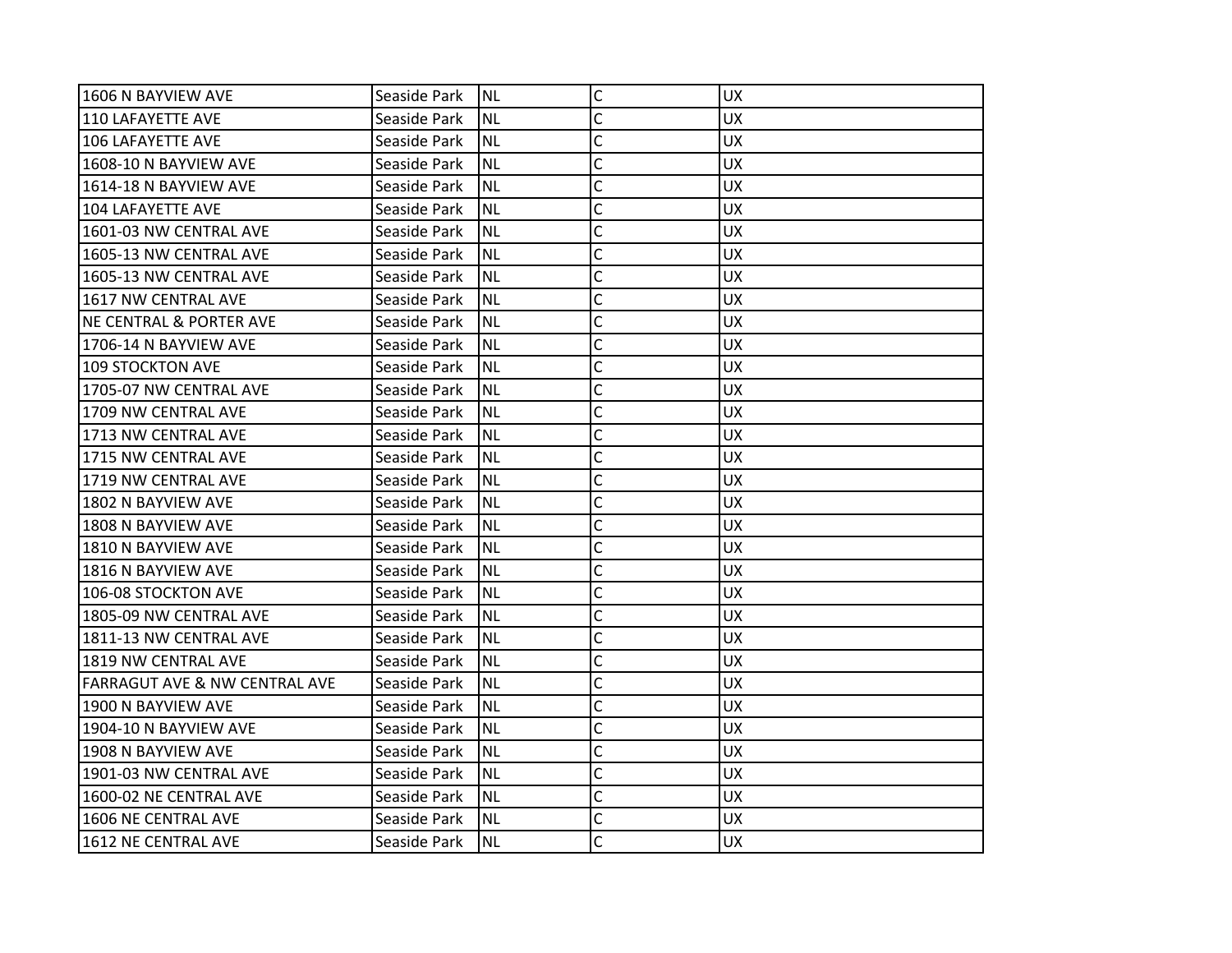| 1606 N BAYVIEW AVE                       | Seaside Park | <b>NL</b> | C | <b>UX</b> |
|------------------------------------------|--------------|-----------|---|-----------|
| l110 LAFAYETTE AVE                       | Seaside Park | NL        | C | <b>UX</b> |
| 106 LAFAYETTE AVE                        | Seaside Park | <b>NL</b> | C | <b>UX</b> |
| 1608-10 N BAYVIEW AVE                    | Seaside Park | ΝL        | C | <b>UX</b> |
| 1614-18 N BAYVIEW AVE                    | Seaside Park | <b>NL</b> | C | <b>UX</b> |
| 104 LAFAYETTE AVE                        | Seaside Park | ΝL        | C | <b>UX</b> |
| 1601-03 NW CENTRAL AVE                   | Seaside Park | NL        | Ċ | <b>UX</b> |
| 1605-13 NW CENTRAL AVE                   | Seaside Park | ΝL        | C | <b>UX</b> |
| 1605-13 NW CENTRAL AVE                   | Seaside Park | NL        | C | <b>UX</b> |
| 1617 NW CENTRAL AVE                      | Seaside Park | <b>NL</b> | C | <b>UX</b> |
| <b>NE CENTRAL &amp; PORTER AVE</b>       | Seaside Park | ΝL        | C | UX.       |
| 1706-14 N BAYVIEW AVE                    | Seaside Park | NL        | C | <b>UX</b> |
| 109 STOCKTON AVE                         | Seaside Park | <b>NL</b> | C | <b>UX</b> |
| 1705-07 NW CENTRAL AVE                   | Seaside Park | ΝL        | C | <b>UX</b> |
| l1709 NW CENTRAL AVE                     | Seaside Park | <b>NL</b> | C | <b>UX</b> |
| 1713 NW CENTRAL AVE                      | Seaside Park | ΝL        | Ċ | UX.       |
| 1715 NW CENTRAL AVE                      | Seaside Park | NL        | Ċ | <b>UX</b> |
| 1719 NW CENTRAL AVE                      | Seaside Park | <b>NL</b> | Ċ | <b>UX</b> |
| 1802 N BAYVIEW AVE                       | Seaside Park | NL        | C | <b>UX</b> |
| l1808 N BAYVIEW AVE                      | Seaside Park | <b>NL</b> | C | <b>UX</b> |
| 1810 N BAYVIEW AVE                       | Seaside Park | ΝL        | C | UX.       |
| 1816 N BAYVIEW AVE                       | Seaside Park | <b>NL</b> | Ċ | <b>UX</b> |
| 106-08 STOCKTON AVE                      | Seaside Park | <b>NL</b> | Ċ | <b>UX</b> |
| 1805-09 NW CENTRAL AVE                   | Seaside Park | NL        | C | <b>UX</b> |
| 1811-13 NW CENTRAL AVE                   | Seaside Park | <b>NL</b> | Ċ | <b>UX</b> |
| 1819 NW CENTRAL AVE                      | Seaside Park | ΝL        | C | <b>UX</b> |
| <b>FARRAGUT AVE &amp; NW CENTRAL AVE</b> | Seaside Park | NL        | Ċ | <b>UX</b> |
| 1900 N BAYVIEW AVE                       | Seaside Park | <b>NL</b> | C | <b>UX</b> |
| 1904-10 N BAYVIEW AVE                    | Seaside Park | NL        | C | <b>UX</b> |
| l1908 N BAYVIEW AVE                      | Seaside Park | <b>NL</b> | C | <b>UX</b> |
| 1901-03 NW CENTRAL AVE                   | Seaside Park | ΝL        | C | <b>UX</b> |
| 1600-02 NE CENTRAL AVE                   | Seaside Park | NL        | Ċ | <b>UX</b> |
| 1606 NE CENTRAL AVE                      | Seaside Park | <b>NL</b> | C | <b>UX</b> |
| 1612 NE CENTRAL AVE                      | Seaside Park | NL        | Ċ | <b>UX</b> |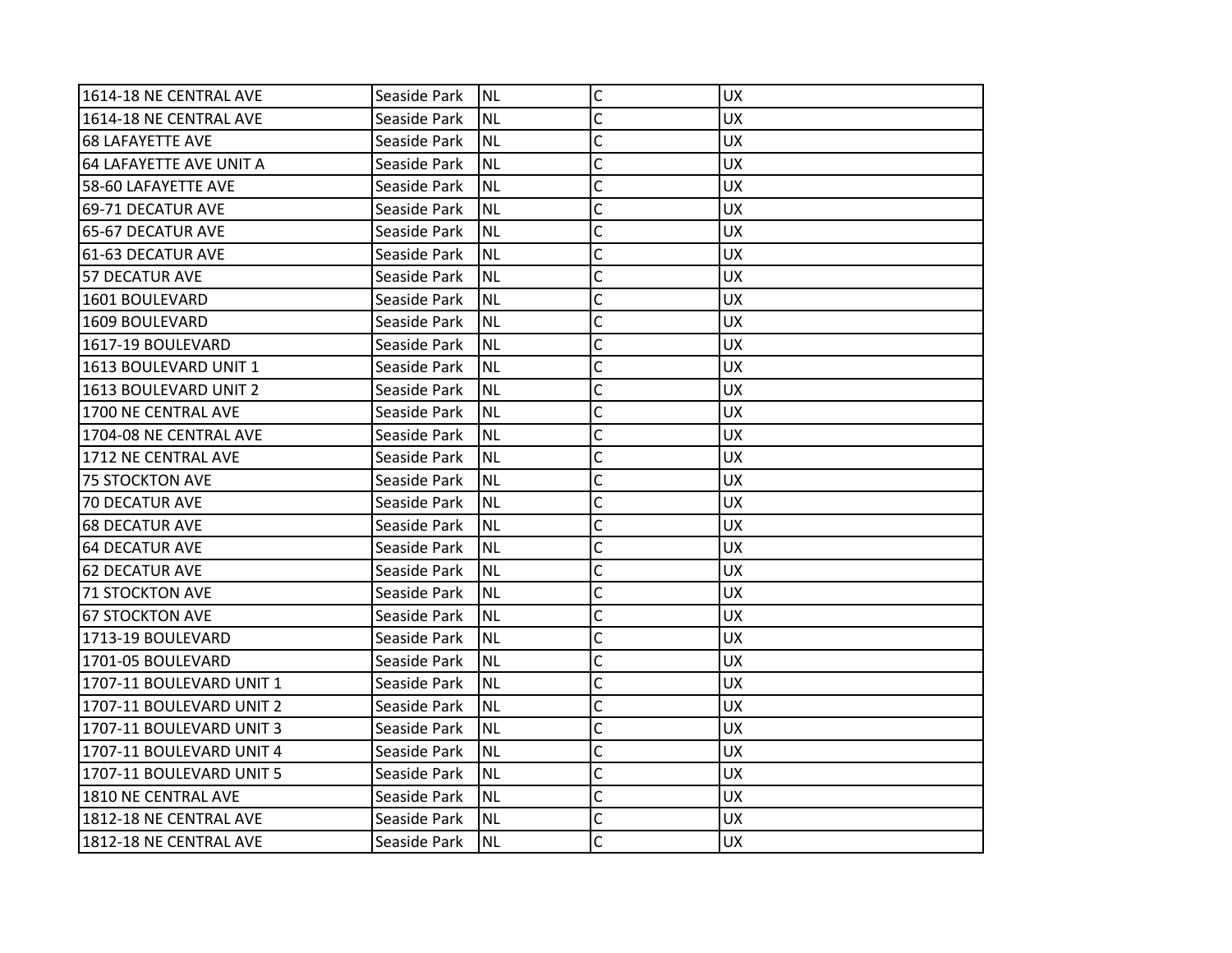| 1614-18 NE CENTRAL AVE    | Seaside Park | <b>NL</b> | C | <b>UX</b> |
|---------------------------|--------------|-----------|---|-----------|
| 1614-18 NE CENTRAL AVE    | Seaside Park | NL        | C | <b>UX</b> |
| <b>68 LAFAYETTE AVE</b>   | Seaside Park | <b>NL</b> | C | <b>UX</b> |
| 64 LAFAYETTE AVE UNIT A   | Seaside Park | <b>NL</b> | C | <b>UX</b> |
| 58-60 LAFAYETTE AVE       | Seaside Park | <b>NL</b> | C | <b>UX</b> |
| 69-71 DECATUR AVE         | Seaside Park | ΝL        | C | <b>UX</b> |
| 65-67 DECATUR AVE         | Seaside Park | NL        | Ċ | <b>UX</b> |
| 61-63 DECATUR AVE         | Seaside Park | ΝL        | C | <b>UX</b> |
| 57 DECATUR AVE            | Seaside Park | NL        | C | <b>UX</b> |
| 1601 BOULEVARD            | Seaside Park | <b>NL</b> | C | <b>UX</b> |
| 1609 BOULEVARD            | Seaside Park | ΝL        | C | <b>UX</b> |
| 1617-19 BOULEVARD         | Seaside Park | <b>NL</b> | C | <b>UX</b> |
| 1613 BOULEVARD UNIT 1     | Seaside Park | <b>NL</b> | C | <b>UX</b> |
| 1613 BOULEVARD UNIT 2     | Seaside Park | ΝL        | C | <b>UX</b> |
| l1700 NE CENTRAL AVE      | Seaside Park | <b>NL</b> | C | <b>UX</b> |
| l1704-08 NE CENTRAL AVE   | Seaside Park | ΝL        | C | UX.       |
| 1712 NE CENTRAL AVE       | Seaside Park | <b>NL</b> | Ċ | <b>UX</b> |
| <b>75 STOCKTON AVE</b>    | Seaside Park | <b>NL</b> | C | <b>UX</b> |
| 70 DECATUR AVE            | Seaside Park | NL        | C | <b>UX</b> |
| 168 DECATUR AVE           | Seaside Park | <b>NL</b> | C | <b>UX</b> |
| 64 DECATUR AVE            | Seaside Park | ΝL        | C | UX.       |
| <b>62 DECATUR AVE</b>     | Seaside Park | <b>NL</b> | Ċ | <b>UX</b> |
| 71 STOCKTON AVE           | Seaside Park | <b>NL</b> | C | <b>UX</b> |
| 67 STOCKTON AVE           | Seaside Park | NL        | C | <b>UX</b> |
| 1713-19 BOULEVARD         | Seaside Park | <b>NL</b> | Ċ | <b>UX</b> |
| 1701-05 BOULEVARD         | Seaside Park | ΝL        | C | <b>UX</b> |
| 1707-11 BOULEVARD UNIT 1  | Seaside Park | NL        | Ċ | <b>UX</b> |
| 1707-11 BOULEVARD UNIT 2  | Seaside Park | <b>NL</b> | C | <b>UX</b> |
| 1707-11 BOULEVARD UNIT 3  | Seaside Park | NL        | C | <b>UX</b> |
| l1707-11 BOULEVARD UNIT 4 | Seaside Park | <b>NL</b> | C | <b>UX</b> |
| 1707-11 BOULEVARD UNIT 5  | Seaside Park | NL        | C | <b>UX</b> |
| 1810 NE CENTRAL AVE       | Seaside Park | <b>NL</b> | Ċ | <b>UX</b> |
| 1812-18 NE CENTRAL AVE    | Seaside Park | <b>NL</b> | C | <b>UX</b> |
| 1812-18 NE CENTRAL AVE    | Seaside Park | NL        | Ċ | <b>UX</b> |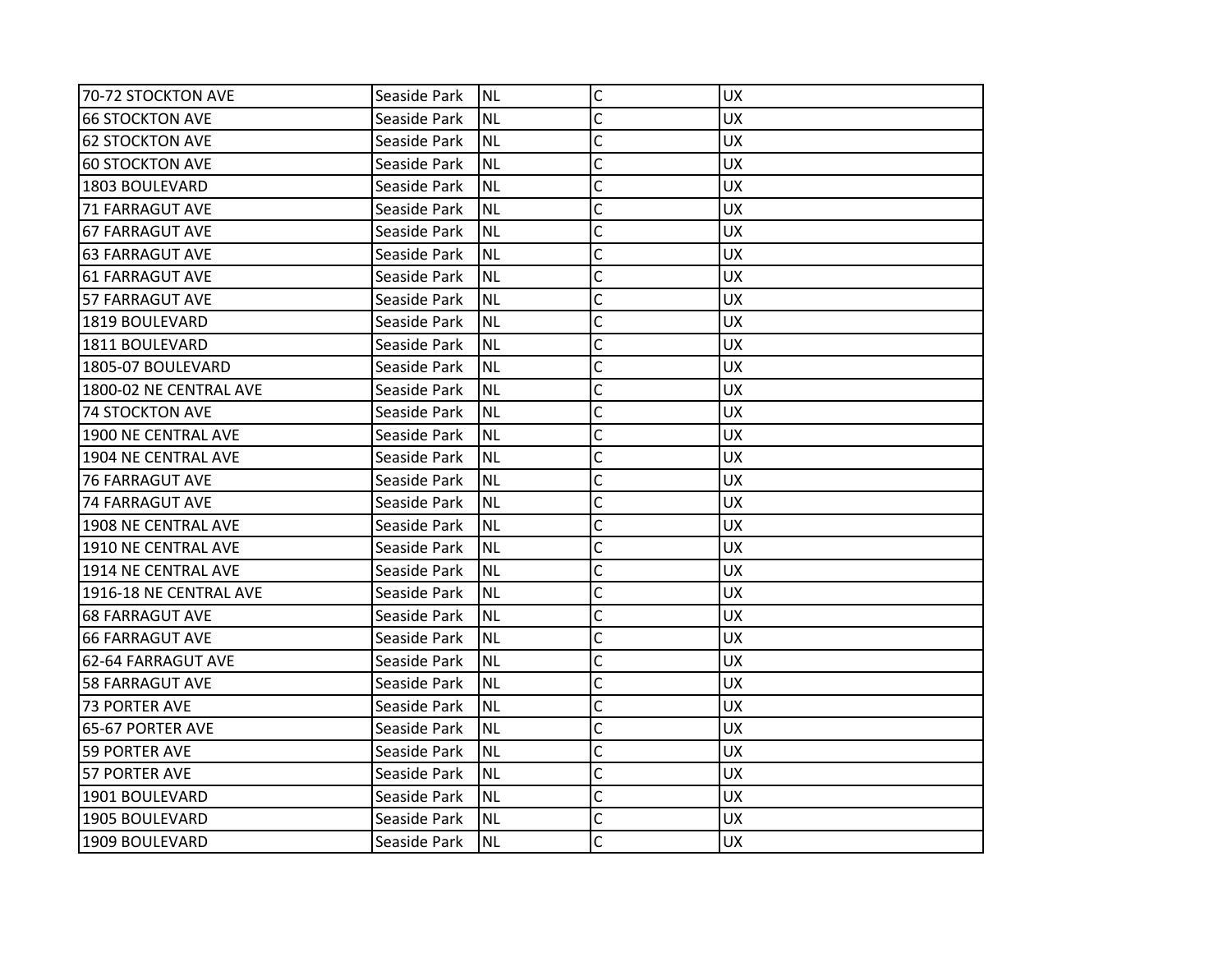| 70-72 STOCKTON AVE     | Seaside Park | <b>NL</b> | $\mathsf C$    | <b>UX</b> |
|------------------------|--------------|-----------|----------------|-----------|
| <b>66 STOCKTON AVE</b> | Seaside Park | <b>NL</b> | C              | <b>UX</b> |
| <b>62 STOCKTON AVE</b> | Seaside Park | <b>NL</b> | C              | <b>UX</b> |
| <b>60 STOCKTON AVE</b> | Seaside Park | <b>NL</b> | Ċ              | <b>UX</b> |
| 1803 BOULEVARD         | Seaside Park | <b>NL</b> | C              | <b>UX</b> |
| <b>71 FARRAGUT AVE</b> | Seaside Park | NL        | C              | UX        |
| <b>67 FARRAGUT AVE</b> | Seaside Park | <b>NL</b> | Ċ              | <b>UX</b> |
| <b>63 FARRAGUT AVE</b> | Seaside Park | <b>NL</b> | C              | <b>UX</b> |
| <b>61 FARRAGUT AVE</b> | Seaside Park | <b>NL</b> | C              | <b>UX</b> |
| 57 FARRAGUT AVE        | Seaside Park | <b>NL</b> | C              | <b>UX</b> |
| 1819 BOULEVARD         | Seaside Park | <b>NL</b> | $\overline{C}$ | UX.       |
| 1811 BOULEVARD         | Seaside Park | <b>NL</b> | $\overline{C}$ | <b>UX</b> |
| 1805-07 BOULEVARD      | Seaside Park | <b>NL</b> | C              | <b>UX</b> |
| 1800-02 NE CENTRAL AVE | Seaside Park | <b>NL</b> | $\overline{C}$ | <b>UX</b> |
| <b>74 STOCKTON AVE</b> | Seaside Park | <b>NL</b> | C              | <b>UX</b> |
| 1900 NE CENTRAL AVE    | Seaside Park | <b>NL</b> | C              | <b>UX</b> |
| 1904 NE CENTRAL AVE    | Seaside Park | <b>NL</b> | C              | <b>UX</b> |
| <b>76 FARRAGUT AVE</b> | Seaside Park | <b>NL</b> | C              | <b>UX</b> |
| <b>74 FARRAGUT AVE</b> | Seaside Park | <b>NL</b> | C              | <b>UX</b> |
| 1908 NE CENTRAL AVE    | Seaside Park | <b>NL</b> | C              | <b>UX</b> |
| 1910 NE CENTRAL AVE    | Seaside Park | <b>NL</b> | C              | <b>UX</b> |
| 1914 NE CENTRAL AVE    | Seaside Park | <b>NL</b> | C              | <b>UX</b> |
| 1916-18 NE CENTRAL AVE | Seaside Park | <b>NL</b> | C              | <b>UX</b> |
| <b>68 FARRAGUT AVE</b> | Seaside Park | <b>NL</b> | C              | <b>UX</b> |
| <b>66 FARRAGUT AVE</b> | Seaside Park | <b>NL</b> | C              | <b>UX</b> |
| 62-64 FARRAGUT AVE     | Seaside Park | <b>NL</b> | C              | <b>UX</b> |
| <b>58 FARRAGUT AVE</b> | Seaside Park | <b>NL</b> | C              | <b>UX</b> |
| <b>73 PORTER AVE</b>   | Seaside Park | <b>NL</b> | C              | <b>UX</b> |
| 65-67 PORTER AVE       | Seaside Park | <b>NL</b> | $\overline{C}$ | <b>UX</b> |
| <b>59 PORTER AVE</b>   | Seaside Park | <b>NL</b> | $\mathsf{C}$   | <b>UX</b> |
| 57 PORTER AVE          | Seaside Park | <b>NL</b> | $\mathsf{C}$   | <b>UX</b> |
| 1901 BOULEVARD         | Seaside Park | <b>NL</b> | Ċ              | <b>UX</b> |
| 1905 BOULEVARD         | Seaside Park | <b>NL</b> | C              | <b>UX</b> |
| 1909 BOULEVARD         | Seaside Park | <b>NL</b> | Ċ              | <b>UX</b> |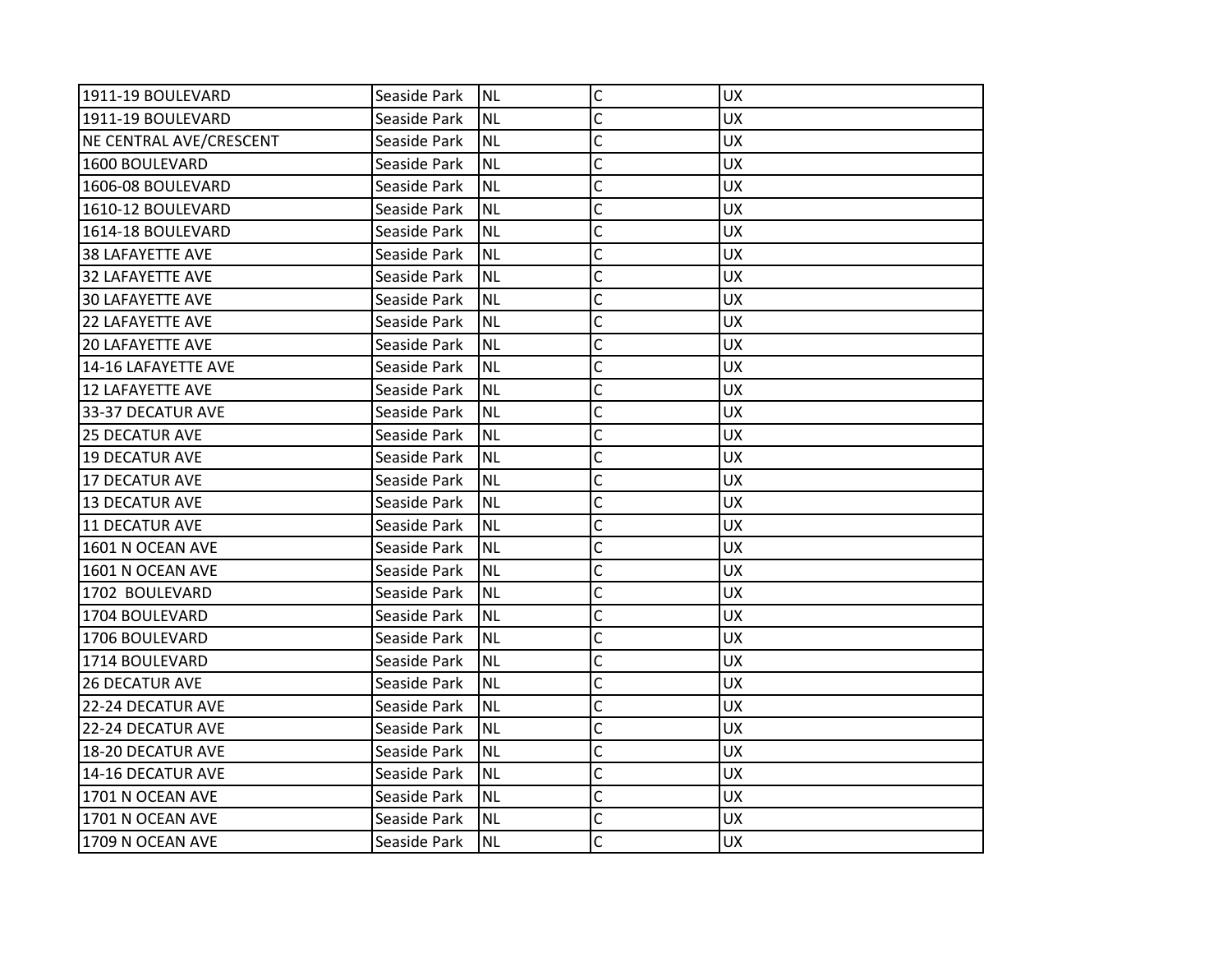| 1911-19 BOULEVARD       | Seaside Park | INL       | $\mathsf{C}$ | <b>UX</b> |
|-------------------------|--------------|-----------|--------------|-----------|
| 1911-19 BOULEVARD       | Seaside Park | <b>NL</b> | C            | <b>UX</b> |
| NE CENTRAL AVE/CRESCENT | Seaside Park | <b>NL</b> | C            | <b>UX</b> |
| 1600 BOULEVARD          | Seaside Park | <b>NL</b> | C            | <b>UX</b> |
| 1606-08 BOULEVARD       | Seaside Park | <b>NL</b> | Ċ            | <b>UX</b> |
| 1610-12 BOULEVARD       | Seaside Park | <b>NL</b> | C            | UX        |
| 1614-18 BOULEVARD       | Seaside Park | <b>NL</b> | Ċ            | <b>UX</b> |
| <b>38 LAFAYETTE AVE</b> | Seaside Park | <b>NL</b> | C            | <b>UX</b> |
| 32 LAFAYETTE AVE        | Seaside Park | <b>NL</b> | Ċ            | <b>UX</b> |
| <b>30 LAFAYETTE AVE</b> | Seaside Park | <b>NL</b> | C            | <b>UX</b> |
| <b>22 LAFAYETTE AVE</b> | Seaside Park | <b>NL</b> | C            | <b>UX</b> |
| <b>20 LAFAYETTE AVE</b> | Seaside Park | <b>NL</b> | Ċ            | <b>UX</b> |
| 14-16 LAFAYETTE AVE     | Seaside Park | <b>NL</b> | C            | <b>UX</b> |
| 12 LAFAYETTE AVE        | Seaside Park | <b>NL</b> | Ċ            | <b>UX</b> |
| 33-37 DECATUR AVE       | Seaside Park | <b>NL</b> | Ċ            | <b>UX</b> |
| 125 DECATUR AVE         | Seaside Park | <b>NL</b> | Ċ            | <b>UX</b> |
| <b>19 DECATUR AVE</b>   | Seaside Park | <b>NL</b> | Ċ            | <b>UX</b> |
| <b>17 DECATUR AVE</b>   | Seaside Park | <b>NL</b> | C            | <b>UX</b> |
| <b>13 DECATUR AVE</b>   | Seaside Park | <b>NL</b> | C            | <b>UX</b> |
| 11 DECATUR AVE          | Seaside Park | <b>NL</b> | C            | <b>UX</b> |
| 1601 N OCEAN AVE        | Seaside Park | <b>NL</b> | C            | <b>UX</b> |
| 1601 N OCEAN AVE        | Seaside Park | <b>NL</b> | C            | <b>UX</b> |
| 1702 BOULEVARD          | Seaside Park | <b>NL</b> | Ċ            | <b>UX</b> |
| 1704 BOULEVARD          | Seaside Park | <b>NL</b> | C            | <b>UX</b> |
| 1706 BOULEVARD          | Seaside Park | <b>NL</b> | C            | UX        |
| 1714 BOULEVARD          | Seaside Park | <b>NL</b> | C            | <b>UX</b> |
| <b>26 DECATUR AVE</b>   | Seaside Park | <b>NL</b> | C            | <b>UX</b> |
| 22-24 DECATUR AVE       | Seaside Park | <b>NL</b> | C            | <b>UX</b> |
| 22-24 DECATUR AVE       | Seaside Park | <b>NL</b> | C            | <b>UX</b> |
| 18-20 DECATUR AVE       | Seaside Park | <b>NL</b> | Ċ            | <b>UX</b> |
| 14-16 DECATUR AVE       | Seaside Park | <b>NL</b> | C            | <b>UX</b> |
| 1701 N OCEAN AVE        | Seaside Park | <b>NL</b> | $\mathsf{C}$ | <b>UX</b> |
| 1701 N OCEAN AVE        | Seaside Park | <b>NL</b> | C            | <b>UX</b> |
| 1709 N OCEAN AVE        | Seaside Park | Inl       | C            | <b>UX</b> |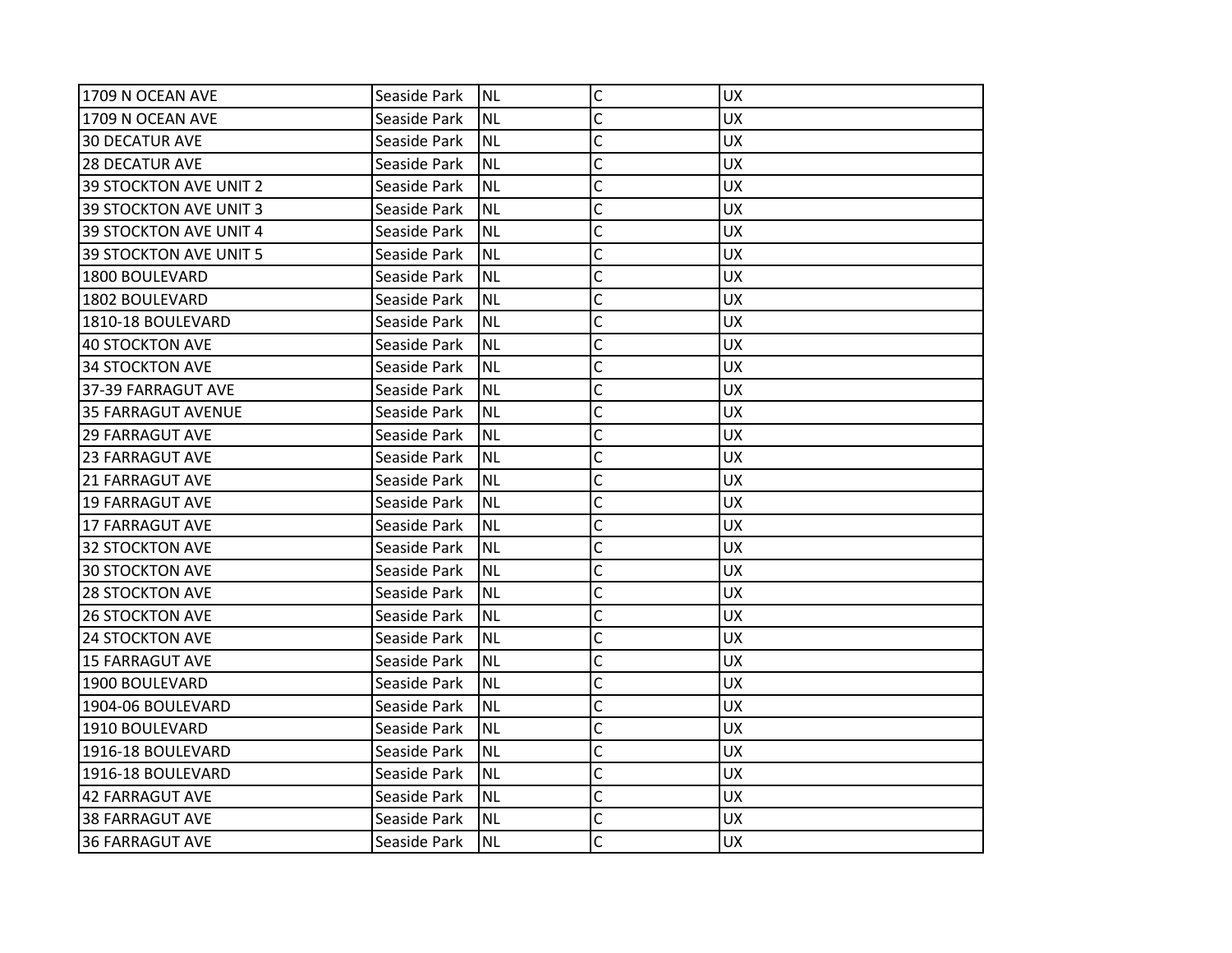| 1709 N OCEAN AVE              | Seaside Park | INL       | $\mathsf{C}$ | <b>UX</b> |
|-------------------------------|--------------|-----------|--------------|-----------|
| 1709 N OCEAN AVE              | Seaside Park | <b>NL</b> | C            | <b>UX</b> |
| <b>30 DECATUR AVE</b>         | Seaside Park | <b>NL</b> | C            | <b>UX</b> |
| <b>28 DECATUR AVE</b>         | Seaside Park | <b>NL</b> | C            | <b>UX</b> |
| <b>39 STOCKTON AVE UNIT 2</b> | Seaside Park | <b>NL</b> | Ċ            | <b>UX</b> |
| <b>39 STOCKTON AVE UNIT 3</b> | Seaside Park | <b>NL</b> | C            | UX        |
| 39 STOCKTON AVE UNIT 4        | Seaside Park | <b>NL</b> | Ċ            | <b>UX</b> |
| 39 STOCKTON AVE UNIT 5        | Seaside Park | <b>NL</b> | C            | <b>UX</b> |
| 1800 BOULEVARD                | Seaside Park | <b>NL</b> | C            | <b>UX</b> |
| 1802 BOULEVARD                | Seaside Park | <b>NL</b> | C            | <b>UX</b> |
| 1810-18 BOULEVARD             | Seaside Park | <b>NL</b> | C            | <b>UX</b> |
| <b>40 STOCKTON AVE</b>        | Seaside Park | <b>NL</b> | Ċ            | <b>UX</b> |
| <b>34 STOCKTON AVE</b>        | Seaside Park | <b>NL</b> | C            | <b>UX</b> |
| 37-39 FARRAGUT AVE            | Seaside Park | <b>NL</b> | Ċ            | <b>UX</b> |
| <b>35 FARRAGUT AVENUE</b>     | Seaside Park | <b>NL</b> | Ċ            | <b>UX</b> |
| 129 FARRAGUT AVE              | Seaside Park | <b>NL</b> | Ċ            | <b>UX</b> |
| <b>23 FARRAGUT AVE</b>        | Seaside Park | <b>NL</b> | Ċ            | <b>UX</b> |
| <b>21 FARRAGUT AVE</b>        | Seaside Park | <b>NL</b> | C            | <b>UX</b> |
| 19 FARRAGUT AVE               | Seaside Park | <b>NL</b> | C            | <b>UX</b> |
| 17 FARRAGUT AVE               | Seaside Park | <b>NL</b> | C            | <b>UX</b> |
| <b>32 STOCKTON AVE</b>        | Seaside Park | <b>NL</b> | C            | <b>UX</b> |
| <b>30 STOCKTON AVE</b>        | Seaside Park | <b>NL</b> | C            | <b>UX</b> |
| <b>28 STOCKTON AVE</b>        | Seaside Park | <b>NL</b> | Ċ            | <b>UX</b> |
| <b>26 STOCKTON AVE</b>        | Seaside Park | <b>NL</b> | C            | <b>UX</b> |
| <b>24 STOCKTON AVE</b>        | Seaside Park | <b>NL</b> | C            | UX        |
| <b>15 FARRAGUT AVE</b>        | Seaside Park | <b>NL</b> | Ċ            | <b>UX</b> |
| 1900 BOULEVARD                | Seaside Park | <b>NL</b> | C            | <b>UX</b> |
| 1904-06 BOULEVARD             | Seaside Park | <b>NL</b> | C            | <b>UX</b> |
| 1910 BOULEVARD                | Seaside Park | <b>NL</b> | C            | <b>UX</b> |
| 1916-18 BOULEVARD             | Seaside Park | <b>NL</b> | C            | <b>UX</b> |
| 1916-18 BOULEVARD             | Seaside Park | <b>NL</b> | C            | <b>UX</b> |
| 42 FARRAGUT AVE               | Seaside Park | <b>NL</b> | $\mathsf{C}$ | <b>UX</b> |
| <b>38 FARRAGUT AVE</b>        | Seaside Park | <b>NL</b> | C            | <b>UX</b> |
| <b>36 FARRAGUT AVE</b>        | Seaside Park | Inl       | C            | <b>UX</b> |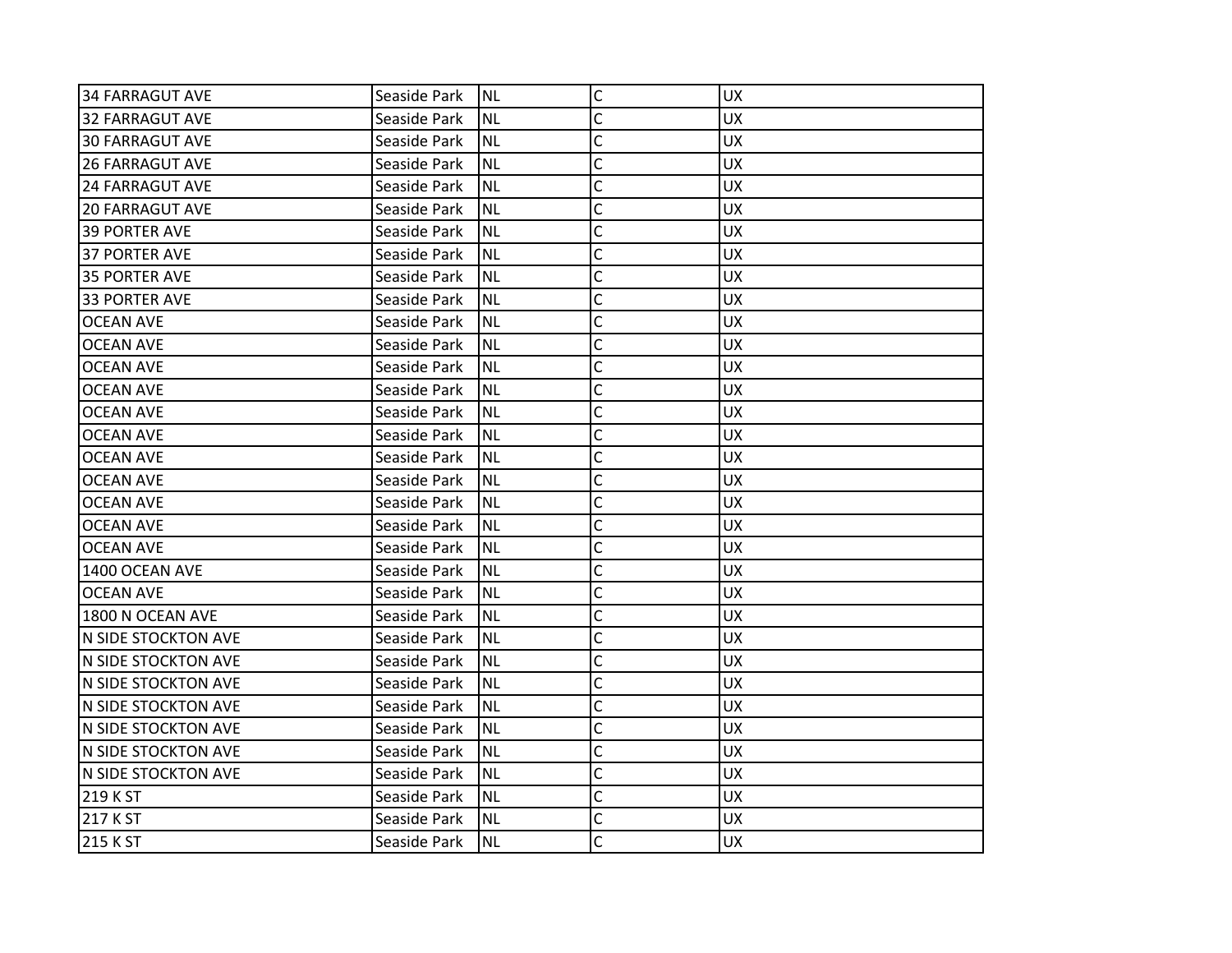| 34 FARRAGUT AVE        | Seaside Park | INL       | $\mathsf{C}$ | <b>UX</b> |
|------------------------|--------------|-----------|--------------|-----------|
| 32 FARRAGUT AVE        | Seaside Park | <b>NL</b> | C            | <b>UX</b> |
| <b>30 FARRAGUT AVE</b> | Seaside Park | <b>NL</b> | C            | <b>UX</b> |
| <b>26 FARRAGUT AVE</b> | Seaside Park | <b>NL</b> | C            | <b>UX</b> |
| <b>24 FARRAGUT AVE</b> | Seaside Park | <b>NL</b> | C            | <b>UX</b> |
| <b>20 FARRAGUT AVE</b> | Seaside Park | <b>NL</b> | C            | UX        |
| <b>39 PORTER AVE</b>   | Seaside Park | <b>NL</b> | Ċ            | <b>UX</b> |
| <b>37 PORTER AVE</b>   | Seaside Park | <b>NL</b> | C            | <b>UX</b> |
| <b>35 PORTER AVE</b>   | Seaside Park | <b>NL</b> | C            | <b>UX</b> |
| 33 PORTER AVE          | Seaside Park | <b>NL</b> | C            | <b>UX</b> |
| <b>OCEAN AVE</b>       | Seaside Park | <b>NL</b> | C            | <b>UX</b> |
| <b>OCEAN AVE</b>       | Seaside Park | <b>NL</b> | C            | <b>UX</b> |
| <b>OCEAN AVE</b>       | Seaside Park | <b>NL</b> | C            | <b>UX</b> |
| <b>OCEAN AVE</b>       | Seaside Park | <b>NL</b> | Ċ            | <b>UX</b> |
| <b>OCEAN AVE</b>       | Seaside Park | <b>NL</b> | Ċ            | <b>UX</b> |
| OCEAN AVE              | Seaside Park | <b>NL</b> | C            | <b>UX</b> |
| <b>OCEAN AVE</b>       | Seaside Park | <b>NL</b> | C            | <b>UX</b> |
| <b>OCEAN AVE</b>       | Seaside Park | <b>NL</b> | C            | <b>UX</b> |
| <b>OCEAN AVE</b>       | Seaside Park | <b>NL</b> | C            | <b>UX</b> |
| <b>OCEAN AVE</b>       | Seaside Park | <b>NL</b> | C            | <b>UX</b> |
| <b>OCEAN AVE</b>       | Seaside Park | <b>NL</b> | C            | <b>UX</b> |
| 1400 OCEAN AVE         | Seaside Park | <b>NL</b> | C            | <b>UX</b> |
| <b>OCEAN AVE</b>       | Seaside Park | <b>NL</b> | Ċ            | <b>UX</b> |
| 1800 N OCEAN AVE       | Seaside Park | <b>NL</b> | C            | <b>UX</b> |
| N SIDE STOCKTON AVE    | Seaside Park | <b>NL</b> | C            | UX        |
| N SIDE STOCKTON AVE    | Seaside Park | <b>NL</b> | C            | <b>UX</b> |
| N SIDE STOCKTON AVE    | Seaside Park | <b>NL</b> | C            | <b>UX</b> |
| N SIDE STOCKTON AVE    | Seaside Park | <b>NL</b> | C            | <b>UX</b> |
| N SIDE STOCKTON AVE    | Seaside Park | <b>NL</b> | C            | <b>UX</b> |
| N SIDE STOCKTON AVE    | Seaside Park | <b>NL</b> | C            | <b>UX</b> |
| N SIDE STOCKTON AVE    | Seaside Park | <b>NL</b> | C            | <b>UX</b> |
| 219 K ST               | Seaside Park | <b>NL</b> | $\mathsf{C}$ | <b>UX</b> |
| 217 K ST               | Seaside Park | <b>NL</b> | C            | <b>UX</b> |
| 215 K ST               | Seaside Park | Inl       | C            | <b>UX</b> |